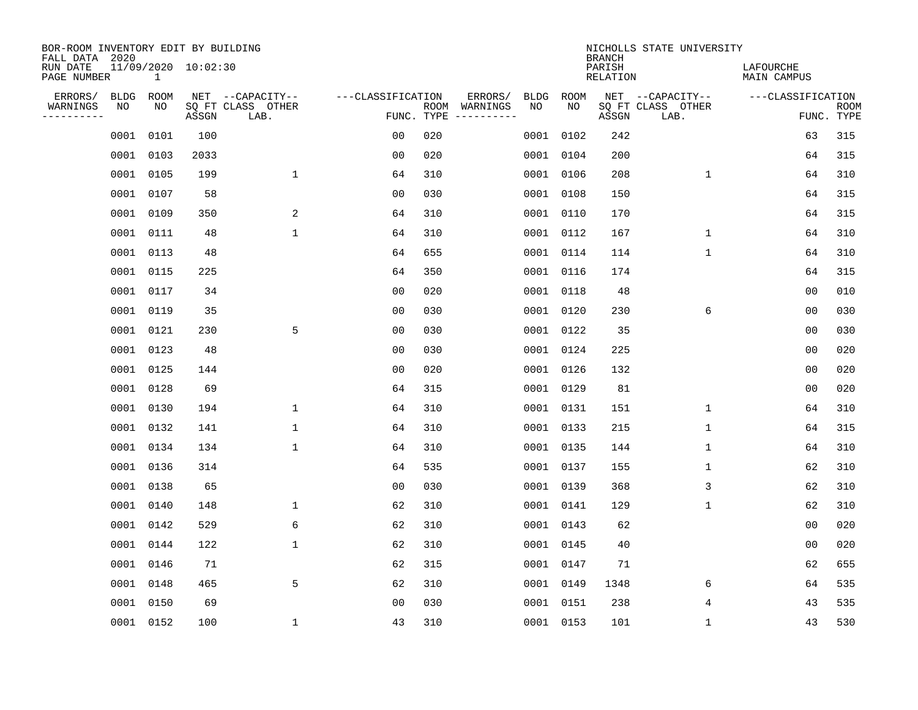| BOR-ROOM INVENTORY EDIT BY BUILDING<br>FALL DATA 2020 |             |              |                     |                           |                   |                    |          |             |             | <b>BRANCH</b>             | NICHOLLS STATE UNIVERSITY |                                 |                           |
|-------------------------------------------------------|-------------|--------------|---------------------|---------------------------|-------------------|--------------------|----------|-------------|-------------|---------------------------|---------------------------|---------------------------------|---------------------------|
| RUN DATE<br>PAGE NUMBER                               |             | $\mathbf{1}$ | 11/09/2020 10:02:30 |                           |                   |                    |          |             |             | PARISH<br><b>RELATION</b> |                           | LAFOURCHE<br><b>MAIN CAMPUS</b> |                           |
| ERRORS/                                               | <b>BLDG</b> | ROOM         |                     | NET --CAPACITY--          | ---CLASSIFICATION |                    | ERRORS/  | <b>BLDG</b> | <b>ROOM</b> |                           | NET --CAPACITY--          | ---CLASSIFICATION               |                           |
| WARNINGS<br>----------                                | NO          | NO           | ASSGN               | SQ FT CLASS OTHER<br>LAB. |                   | ROOM<br>FUNC. TYPE | WARNINGS | NO          | NO          | ASSGN                     | SQ FT CLASS OTHER<br>LAB. |                                 | <b>ROOM</b><br>FUNC. TYPE |
|                                                       | 0001        | 0101         | 100                 |                           | 0 <sub>0</sub>    | 020                |          |             | 0001 0102   | 242                       |                           | 63                              | 315                       |
|                                                       | 0001        | 0103         | 2033                |                           | 00                | 020                |          |             | 0001 0104   | 200                       |                           | 64                              | 315                       |
|                                                       | 0001        | 0105         | 199                 | $\mathbf{1}$              | 64                | 310                |          |             | 0001 0106   | 208                       | 1                         | 64                              | 310                       |
|                                                       | 0001        | 0107         | 58                  |                           | 0 <sub>0</sub>    | 030                |          |             | 0001 0108   | 150                       |                           | 64                              | 315                       |
|                                                       | 0001        | 0109         | 350                 | 2                         | 64                | 310                |          |             | 0001 0110   | 170                       |                           | 64                              | 315                       |
|                                                       |             | 0001 0111    | 48                  | $\mathbf 1$               | 64                | 310                |          |             | 0001 0112   | 167                       | $\mathbf 1$               | 64                              | 310                       |
|                                                       |             | 0001 0113    | 48                  |                           | 64                | 655                |          |             | 0001 0114   | 114                       | $\mathbf{1}$              | 64                              | 310                       |
|                                                       |             | 0001 0115    | 225                 |                           | 64                | 350                |          |             | 0001 0116   | 174                       |                           | 64                              | 315                       |
|                                                       | 0001        | 0117         | 34                  |                           | 0 <sub>0</sub>    | 020                |          |             | 0001 0118   | 48                        |                           | 0 <sub>0</sub>                  | 010                       |
|                                                       |             | 0001 0119    | 35                  |                           | 0 <sub>0</sub>    | 030                |          |             | 0001 0120   | 230                       | 6                         | 0 <sub>0</sub>                  | 030                       |
|                                                       | 0001        | 0121         | 230                 | 5                         | 0 <sub>0</sub>    | 030                |          |             | 0001 0122   | 35                        |                           | 0 <sub>0</sub>                  | 030                       |
|                                                       |             | 0001 0123    | 48                  |                           | 0 <sub>0</sub>    | 030                |          |             | 0001 0124   | 225                       |                           | 0 <sub>0</sub>                  | 020                       |
|                                                       | 0001        | 0125         | 144                 |                           | 0 <sub>0</sub>    | 020                |          |             | 0001 0126   | 132                       |                           | 00                              | 020                       |
|                                                       | 0001        | 0128         | 69                  |                           | 64                | 315                |          |             | 0001 0129   | 81                        |                           | 00                              | 020                       |
|                                                       | 0001        | 0130         | 194                 | 1                         | 64                | 310                |          |             | 0001 0131   | 151                       | 1                         | 64                              | 310                       |
|                                                       | 0001        | 0132         | 141                 | 1                         | 64                | 310                |          |             | 0001 0133   | 215                       | 1                         | 64                              | 315                       |
|                                                       | 0001        | 0134         | 134                 | 1                         | 64                | 310                |          |             | 0001 0135   | 144                       | 1                         | 64                              | 310                       |
|                                                       | 0001        | 0136         | 314                 |                           | 64                | 535                |          |             | 0001 0137   | 155                       | 1                         | 62                              | 310                       |
|                                                       | 0001        | 0138         | 65                  |                           | 0 <sub>0</sub>    | 030                |          |             | 0001 0139   | 368                       | 3                         | 62                              | 310                       |
|                                                       | 0001        | 0140         | 148                 | $\mathbf{1}$              | 62                | 310                |          | 0001 0141   |             | 129                       | 1                         | 62                              | 310                       |
|                                                       | 0001        | 0142         | 529                 | 6                         | 62                | 310                |          |             | 0001 0143   | 62                        |                           | 0 <sub>0</sub>                  | 020                       |
|                                                       | 0001        | 0144         | 122                 | $\mathbf{1}$              | 62                | 310                |          |             | 0001 0145   | 40                        |                           | 0 <sub>0</sub>                  | 020                       |
|                                                       | 0001        | 0146         | 71                  |                           | 62                | 315                |          |             | 0001 0147   | 71                        |                           | 62                              | 655                       |
|                                                       | 0001        | 0148         | 465                 | 5                         | 62                | 310                |          |             | 0001 0149   | 1348                      | 6                         | 64                              | 535                       |
|                                                       | 0001        | 0150         | 69                  |                           | 0 <sub>0</sub>    | 030                |          |             | 0001 0151   | 238                       | 4                         | 43                              | 535                       |
|                                                       |             | 0001 0152    | 100                 | 1                         | 43                | 310                |          |             | 0001 0153   | 101                       | 1                         | 43                              | 530                       |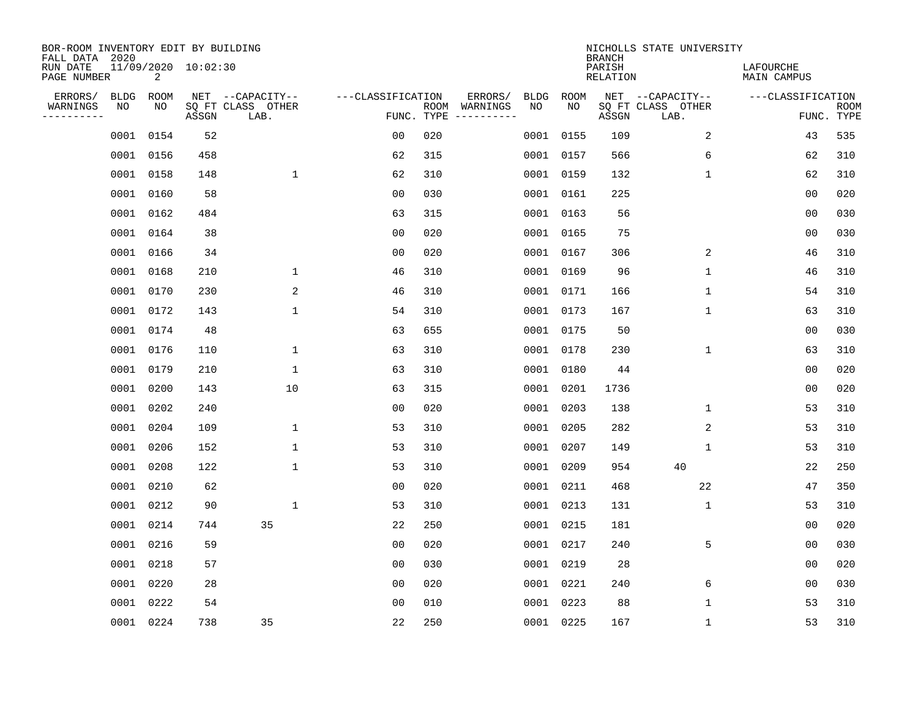| BOR-ROOM INVENTORY EDIT BY BUILDING<br>FALL DATA 2020 |             |           |                     |                           |                   |                    |                         |      |           | <b>BRANCH</b>             | NICHOLLS STATE UNIVERSITY |                                 |                           |
|-------------------------------------------------------|-------------|-----------|---------------------|---------------------------|-------------------|--------------------|-------------------------|------|-----------|---------------------------|---------------------------|---------------------------------|---------------------------|
| RUN DATE<br>PAGE NUMBER                               |             | 2         | 11/09/2020 10:02:30 |                           |                   |                    |                         |      |           | PARISH<br><b>RELATION</b> |                           | LAFOURCHE<br><b>MAIN CAMPUS</b> |                           |
| ERRORS/                                               | <b>BLDG</b> | ROOM      |                     | NET --CAPACITY--          | ---CLASSIFICATION |                    | ERRORS/                 | BLDG | ROOM      |                           | NET --CAPACITY--          | ---CLASSIFICATION               |                           |
| WARNINGS<br>-----------                               | NO          | NO        | ASSGN               | SQ FT CLASS OTHER<br>LAB. |                   | ROOM<br>FUNC. TYPE | WARNINGS<br>----------- | NO   | NO        | ASSGN                     | SQ FT CLASS OTHER<br>LAB. |                                 | <b>ROOM</b><br>FUNC. TYPE |
|                                                       | 0001        | 0154      | 52                  |                           | 0 <sub>0</sub>    | 020                |                         |      | 0001 0155 | 109                       | 2                         | 43                              | 535                       |
|                                                       |             | 0001 0156 | 458                 |                           | 62                | 315                |                         |      | 0001 0157 | 566                       | 6                         | 62                              | 310                       |
|                                                       |             | 0001 0158 | 148                 | $\mathbf{1}$              | 62                | 310                |                         |      | 0001 0159 | 132                       | $\mathbf{1}$              | 62                              | 310                       |
|                                                       |             | 0001 0160 | 58                  |                           | 0 <sub>0</sub>    | 030                |                         |      | 0001 0161 | 225                       |                           | 0 <sub>0</sub>                  | 020                       |
|                                                       | 0001        | 0162      | 484                 |                           | 63                | 315                |                         |      | 0001 0163 | 56                        |                           | 0 <sub>0</sub>                  | 030                       |
|                                                       |             | 0001 0164 | 38                  |                           | 0 <sub>0</sub>    | 020                |                         |      | 0001 0165 | 75                        |                           | 0 <sub>0</sub>                  | 030                       |
|                                                       |             | 0001 0166 | 34                  |                           | 0 <sub>0</sub>    | 020                |                         |      | 0001 0167 | 306                       | 2                         | 46                              | 310                       |
|                                                       |             | 0001 0168 | 210                 | $\mathbf 1$               | 46                | 310                |                         |      | 0001 0169 | 96                        | $\mathbf{1}$              | 46                              | 310                       |
|                                                       |             | 0001 0170 | 230                 | 2                         | 46                | 310                |                         |      | 0001 0171 | 166                       | $\mathbf 1$               | 54                              | 310                       |
|                                                       |             | 0001 0172 | 143                 | $\mathbf{1}$              | 54                | 310                |                         |      | 0001 0173 | 167                       | $\mathbf 1$               | 63                              | 310                       |
|                                                       |             | 0001 0174 | 48                  |                           | 63                | 655                |                         |      | 0001 0175 | 50                        |                           | 0 <sub>0</sub>                  | 030                       |
|                                                       |             | 0001 0176 | 110                 | 1                         | 63                | 310                |                         |      | 0001 0178 | 230                       | $\mathbf 1$               | 63                              | 310                       |
|                                                       | 0001        | 0179      | 210                 | $\mathbf{1}$              | 63                | 310                |                         | 0001 | 0180      | 44                        |                           | 0 <sub>0</sub>                  | 020                       |
|                                                       |             | 0001 0200 | 143                 | 10                        | 63                | 315                |                         | 0001 | 0201      | 1736                      |                           | 0 <sub>0</sub>                  | 020                       |
|                                                       | 0001        | 0202      | 240                 |                           | 0 <sub>0</sub>    | 020                |                         | 0001 | 0203      | 138                       | 1                         | 53                              | 310                       |
|                                                       |             | 0001 0204 | 109                 | 1                         | 53                | 310                |                         | 0001 | 0205      | 282                       | 2                         | 53                              | 310                       |
|                                                       | 0001        | 0206      | 152                 | $\mathbf 1$               | 53                | 310                |                         | 0001 | 0207      | 149                       | 1                         | 53                              | 310                       |
|                                                       | 0001        | 0208      | 122                 | $\mathbf 1$               | 53                | 310                |                         | 0001 | 0209      | 954                       | 40                        | 22                              | 250                       |
|                                                       | 0001        | 0210      | 62                  |                           | 0 <sub>0</sub>    | 020                |                         |      | 0001 0211 | 468                       | 22                        | 47                              | 350                       |
|                                                       |             | 0001 0212 | 90                  | $\mathbf{1}$              | 53                | 310                |                         |      | 0001 0213 | 131                       | 1                         | 53                              | 310                       |
|                                                       | 0001        | 0214      | 744                 | 35                        | 22                | 250                |                         |      | 0001 0215 | 181                       |                           | 0 <sub>0</sub>                  | 020                       |
|                                                       | 0001        | 0216      | 59                  |                           | 0 <sub>0</sub>    | 020                |                         |      | 0001 0217 | 240                       | 5                         | 00                              | 030                       |
|                                                       | 0001        | 0218      | 57                  |                           | 0 <sub>0</sub>    | 030                |                         |      | 0001 0219 | 28                        |                           | 0 <sub>0</sub>                  | 020                       |
|                                                       | 0001        | 0220      | 28                  |                           | 00                | 020                |                         |      | 0001 0221 | 240                       | 6                         | 00                              | 030                       |
|                                                       | 0001        | 0222      | 54                  |                           | 0 <sub>0</sub>    | 010                |                         |      | 0001 0223 | 88                        | 1                         | 53                              | 310                       |
|                                                       |             | 0001 0224 | 738                 | 35                        | 22                | 250                |                         |      | 0001 0225 | 167                       | 1                         | 53                              | 310                       |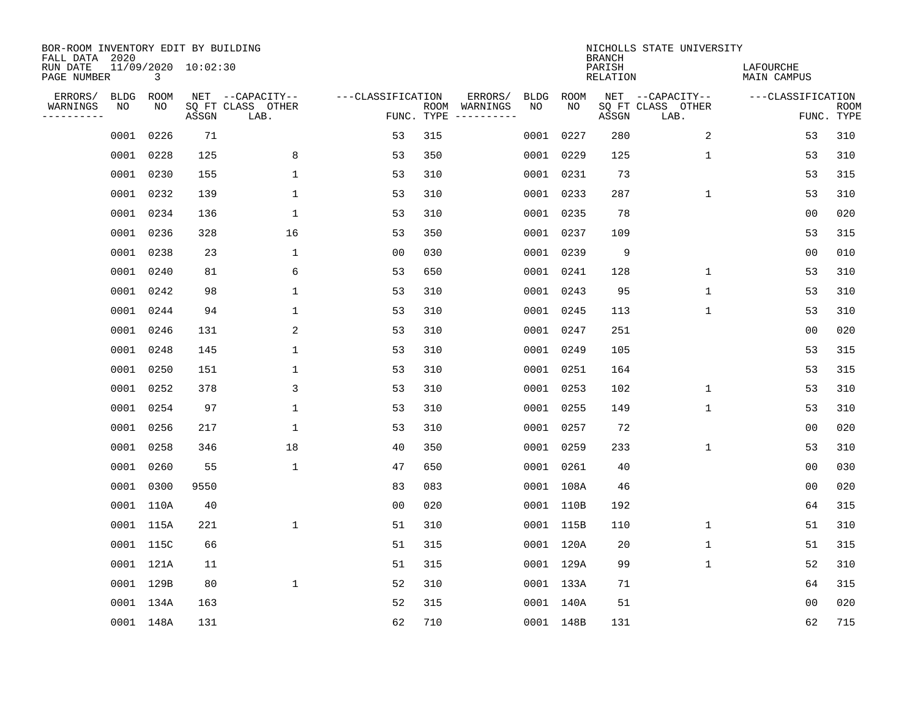| BOR-ROOM INVENTORY EDIT BY BUILDING<br>FALL DATA 2020 |             |           |                     |                           |                   |                    |                         |             |             | <b>BRANCH</b>             | NICHOLLS STATE UNIVERSITY |                                 |                           |
|-------------------------------------------------------|-------------|-----------|---------------------|---------------------------|-------------------|--------------------|-------------------------|-------------|-------------|---------------------------|---------------------------|---------------------------------|---------------------------|
| RUN DATE<br>PAGE NUMBER                               |             | 3         | 11/09/2020 10:02:30 |                           |                   |                    |                         |             |             | PARISH<br><b>RELATION</b> |                           | LAFOURCHE<br><b>MAIN CAMPUS</b> |                           |
| ERRORS/                                               | <b>BLDG</b> | ROOM      |                     | NET --CAPACITY--          | ---CLASSIFICATION |                    | ERRORS/                 | <b>BLDG</b> | <b>ROOM</b> |                           | NET --CAPACITY--          | ---CLASSIFICATION               |                           |
| WARNINGS<br>----------                                | NO          | NO        | ASSGN               | SQ FT CLASS OTHER<br>LAB. |                   | ROOM<br>FUNC. TYPE | WARNINGS<br>----------- | NO          | NO          | ASSGN                     | SQ FT CLASS OTHER<br>LAB. |                                 | <b>ROOM</b><br>FUNC. TYPE |
|                                                       | 0001        | 0226      | 71                  |                           | 53                | 315                |                         |             | 0001 0227   | 280                       | 2                         | 53                              | 310                       |
|                                                       | 0001        | 0228      | 125                 | 8                         | 53                | 350                |                         |             | 0001 0229   | 125                       | 1                         | 53                              | 310                       |
|                                                       | 0001        | 0230      | 155                 | $\mathbf 1$               | 53                | 310                |                         |             | 0001 0231   | 73                        |                           | 53                              | 315                       |
|                                                       |             | 0001 0232 | 139                 | 1                         | 53                | 310                |                         |             | 0001 0233   | 287                       | $\mathbf 1$               | 53                              | 310                       |
|                                                       | 0001        | 0234      | 136                 | $\mathbf 1$               | 53                | 310                |                         |             | 0001 0235   | 78                        |                           | 00                              | 020                       |
|                                                       |             | 0001 0236 | 328                 | 16                        | 53                | 350                |                         |             | 0001 0237   | 109                       |                           | 53                              | 315                       |
|                                                       | 0001        | 0238      | 23                  | $\mathbf{1}$              | 0 <sub>0</sub>    | 030                |                         |             | 0001 0239   | 9                         |                           | 0 <sub>0</sub>                  | 010                       |
|                                                       |             | 0001 0240 | 81                  | 6                         | 53                | 650                |                         |             | 0001 0241   | 128                       | $\mathbf{1}$              | 53                              | 310                       |
|                                                       | 0001        | 0242      | 98                  | $\mathbf{1}$              | 53                | 310                |                         |             | 0001 0243   | 95                        | $\mathbf{1}$              | 53                              | 310                       |
|                                                       |             | 0001 0244 | 94                  | 1                         | 53                | 310                |                         |             | 0001 0245   | 113                       | 1                         | 53                              | 310                       |
|                                                       | 0001        | 0246      | 131                 | 2                         | 53                | 310                |                         |             | 0001 0247   | 251                       |                           | 0 <sub>0</sub>                  | 020                       |
|                                                       |             | 0001 0248 | 145                 | 1                         | 53                | 310                |                         |             | 0001 0249   | 105                       |                           | 53                              | 315                       |
|                                                       | 0001        | 0250      | 151                 | 1                         | 53                | 310                |                         |             | 0001 0251   | 164                       |                           | 53                              | 315                       |
|                                                       | 0001        | 0252      | 378                 | 3                         | 53                | 310                |                         |             | 0001 0253   | 102                       | 1                         | 53                              | 310                       |
|                                                       | 0001        | 0254      | 97                  | 1                         | 53                | 310                |                         |             | 0001 0255   | 149                       | 1                         | 53                              | 310                       |
|                                                       | 0001        | 0256      | 217                 | $\mathbf{1}$              | 53                | 310                |                         |             | 0001 0257   | 72                        |                           | 00                              | 020                       |
|                                                       | 0001        | 0258      | 346                 | 18                        | 40                | 350                |                         |             | 0001 0259   | 233                       | 1                         | 53                              | 310                       |
|                                                       | 0001        | 0260      | 55                  | $\mathbf 1$               | 47                | 650                |                         |             | 0001 0261   | 40                        |                           | 0 <sub>0</sub>                  | 030                       |
|                                                       | 0001        | 0300      | 9550                |                           | 83                | 083                |                         |             | 0001 108A   | 46                        |                           | 0 <sub>0</sub>                  | 020                       |
|                                                       |             | 0001 110A | 40                  |                           | 0 <sub>0</sub>    | 020                |                         |             | 0001 110B   | 192                       |                           | 64                              | 315                       |
|                                                       |             | 0001 115A | 221                 | $\mathbf{1}$              | 51                | 310                |                         |             | 0001 115B   | 110                       | 1                         | 51                              | 310                       |
|                                                       |             | 0001 115C | 66                  |                           | 51                | 315                |                         |             | 0001 120A   | 20                        | $\mathbf 1$               | 51                              | 315                       |
|                                                       |             | 0001 121A | 11                  |                           | 51                | 315                |                         |             | 0001 129A   | 99                        | 1                         | 52                              | 310                       |
|                                                       |             | 0001 129B | 80                  | $\mathbf 1$               | 52                | 310                |                         |             | 0001 133A   | 71                        |                           | 64                              | 315                       |
|                                                       |             | 0001 134A | 163                 |                           | 52                | 315                |                         |             | 0001 140A   | 51                        |                           | 0 <sub>0</sub>                  | 020                       |
|                                                       |             | 0001 148A | 131                 |                           | 62                | 710                |                         |             | 0001 148B   | 131                       |                           | 62                              | 715                       |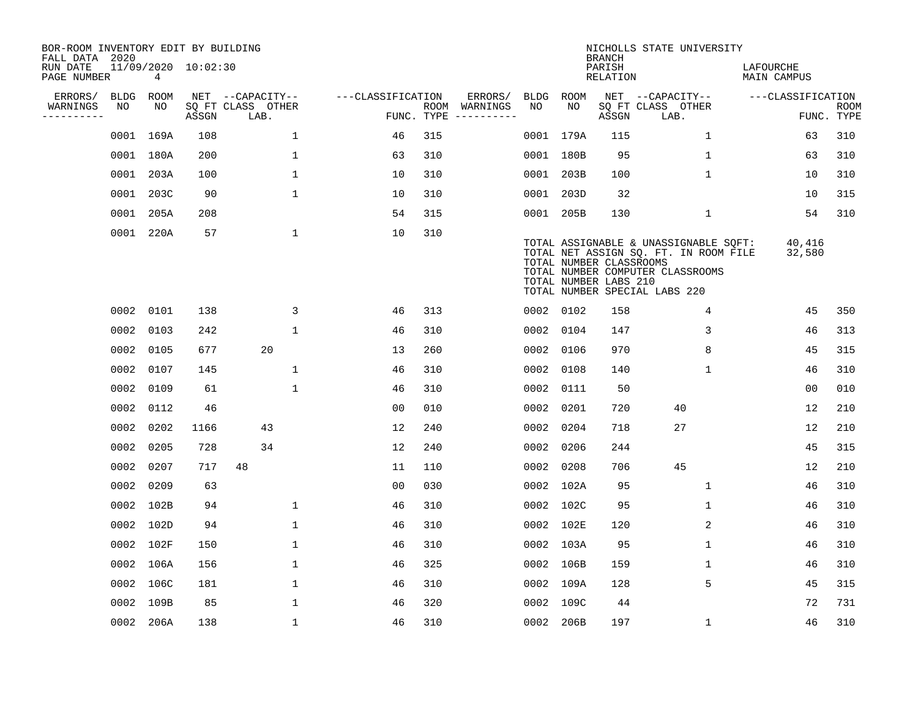| BOR-ROOM INVENTORY EDIT BY BUILDING<br>FALL DATA 2020 |             |           |                     |                           |                    |                    |                         |      |                                                  | <b>BRANCH</b>             | NICHOLLS STATE UNIVERSITY                                                                                                                           |                                 |                           |
|-------------------------------------------------------|-------------|-----------|---------------------|---------------------------|--------------------|--------------------|-------------------------|------|--------------------------------------------------|---------------------------|-----------------------------------------------------------------------------------------------------------------------------------------------------|---------------------------------|---------------------------|
| RUN DATE<br>PAGE NUMBER                               |             | 4         | 11/09/2020 10:02:30 |                           |                    |                    |                         |      |                                                  | PARISH<br><b>RELATION</b> |                                                                                                                                                     | LAFOURCHE<br><b>MAIN CAMPUS</b> |                           |
| ERRORS/                                               | <b>BLDG</b> | ROOM      |                     | NET --CAPACITY--          | ---CLASSIFICATION  |                    | ERRORS/                 | BLDG | ROOM                                             |                           | NET --CAPACITY--                                                                                                                                    | ---CLASSIFICATION               |                           |
| WARNINGS<br>----------                                | NO          | NO        | ASSGN               | SQ FT CLASS OTHER<br>LAB. |                    | ROOM<br>FUNC. TYPE | WARNINGS<br>----------- | NO   | NO                                               | ASSGN                     | SQ FT CLASS OTHER<br>LAB.                                                                                                                           |                                 | <b>ROOM</b><br>FUNC. TYPE |
|                                                       |             | 0001 169A | 108                 |                           | 1<br>46            | 315                |                         |      | 0001 179A                                        | 115                       | $\mathbf 1$                                                                                                                                         | 63                              | 310                       |
|                                                       |             | 0001 180A | 200                 |                           | $\mathbf 1$<br>63  | 310                |                         |      | 0001 180B                                        | 95                        | $\mathbf 1$                                                                                                                                         | 63                              | 310                       |
|                                                       |             | 0001 203A | 100                 |                           | $\mathbf{1}$<br>10 | 310                |                         |      | 0001 203B                                        | 100                       | $\mathbf{1}$                                                                                                                                        | 10                              | 310                       |
|                                                       |             | 0001 203C | 90                  |                           | $\mathbf{1}$<br>10 | 310                |                         |      | 0001 203D                                        | 32                        |                                                                                                                                                     | 10                              | 315                       |
|                                                       | 0001        | 205A      | 208                 |                           | 54                 | 315                |                         |      | 0001 205B                                        | 130                       | $\mathbf{1}$                                                                                                                                        | 54                              | 310                       |
|                                                       |             | 0001 220A | 57                  |                           | $\mathbf 1$<br>10  | 310                |                         |      | TOTAL NUMBER CLASSROOMS<br>TOTAL NUMBER LABS 210 |                           | TOTAL ASSIGNABLE & UNASSIGNABLE SQFT:<br>TOTAL NET ASSIGN SQ. FT. IN ROOM FILE<br>TOTAL NUMBER COMPUTER CLASSROOMS<br>TOTAL NUMBER SPECIAL LABS 220 | 40,416<br>32,580                |                           |
|                                                       |             | 0002 0101 | 138                 |                           | 3<br>46            | 313                |                         |      | 0002 0102                                        | 158                       | 4                                                                                                                                                   | 45                              | 350                       |
|                                                       | 0002        | 0103      | 242                 |                           | $\mathbf{1}$<br>46 | 310                |                         | 0002 | 0104                                             | 147                       | 3                                                                                                                                                   | 46                              | 313                       |
|                                                       | 0002        | 0105      | 677                 | 20                        | 13                 | 260                |                         | 0002 | 0106                                             | 970                       | 8                                                                                                                                                   | 45                              | 315                       |
|                                                       | 0002        | 0107      | 145                 |                           | 1<br>46            | 310                |                         | 0002 | 0108                                             | 140                       | 1                                                                                                                                                   | 46                              | 310                       |
|                                                       | 0002        | 0109      | 61                  |                           | $\mathbf 1$<br>46  | 310                |                         | 0002 | 0111                                             | 50                        |                                                                                                                                                     | 0 <sub>0</sub>                  | 010                       |
|                                                       | 0002        | 0112      | 46                  |                           | 0 <sub>0</sub>     | 010                |                         | 0002 | 0201                                             | 720                       | 40                                                                                                                                                  | 12                              | 210                       |
|                                                       | 0002        | 0202      | 1166                | 43                        | 12                 | 240                |                         | 0002 | 0204                                             | 718                       | 27                                                                                                                                                  | 12                              | 210                       |
|                                                       | 0002        | 0205      | 728                 | 34                        | 12                 | 240                |                         | 0002 | 0206                                             | 244                       |                                                                                                                                                     | 45                              | 315                       |
|                                                       | 0002        | 0207      | 717                 | 48                        | 11                 | 110                |                         | 0002 | 0208                                             | 706                       | 45                                                                                                                                                  | 12                              | 210                       |
|                                                       | 0002        | 0209      | 63                  |                           | 0 <sub>0</sub>     | 030                |                         |      | 0002 102A                                        | 95                        | 1                                                                                                                                                   | 46                              | 310                       |
|                                                       |             | 0002 102B | 94                  |                           | $\mathbf{1}$<br>46 | 310                |                         |      | 0002 102C                                        | 95                        | $\mathbf 1$                                                                                                                                         | 46                              | 310                       |
|                                                       |             | 0002 102D | 94                  |                           | $\mathbf{1}$<br>46 | 310                |                         |      | 0002 102E                                        | 120                       | 2                                                                                                                                                   | 46                              | 310                       |
|                                                       |             | 0002 102F | 150                 |                           | $\mathbf 1$<br>46  | 310                |                         |      | 0002 103A                                        | 95                        | $\mathbf{1}$                                                                                                                                        | 46                              | 310                       |
|                                                       |             | 0002 106A | 156                 |                           | $\mathbf 1$<br>46  | 325                |                         |      | 0002 106B                                        | 159                       | 1                                                                                                                                                   | 46                              | 310                       |
|                                                       |             | 0002 106C | 181                 |                           | $\mathbf{1}$<br>46 | 310                |                         |      | 0002 109A                                        | 128                       | 5                                                                                                                                                   | 45                              | 315                       |
|                                                       |             | 0002 109B | 85                  |                           | $\mathbf{1}$<br>46 | 320                |                         |      | 0002 109C                                        | 44                        |                                                                                                                                                     | 72                              | 731                       |
|                                                       |             | 0002 206A | 138                 |                           | $\mathbf{1}$<br>46 | 310                |                         |      | 0002 206B                                        | 197                       | $\mathbf 1$                                                                                                                                         | 46                              | 310                       |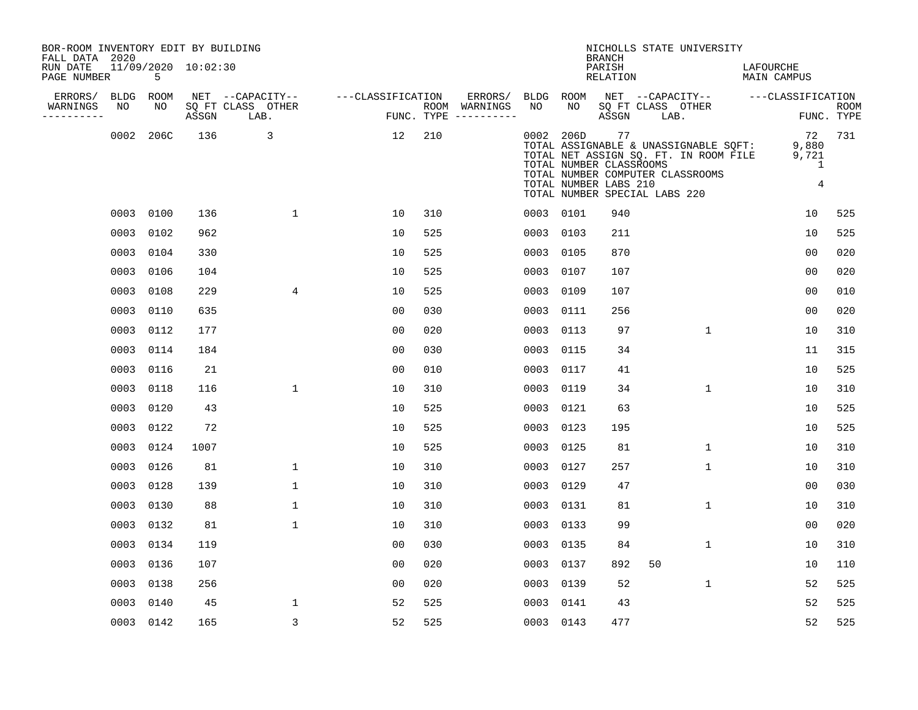| BOR-ROOM INVENTORY EDIT BY BUILDING<br>FALL DATA 2020 |           |                     |                           |                   |     |                                        |           |           | <b>BRANCH</b>                                                                           |      | NICHOLLS STATE UNIVERSITY                                                                                          |                          |                            |
|-------------------------------------------------------|-----------|---------------------|---------------------------|-------------------|-----|----------------------------------------|-----------|-----------|-----------------------------------------------------------------------------------------|------|--------------------------------------------------------------------------------------------------------------------|--------------------------|----------------------------|
| RUN DATE<br>PAGE NUMBER                               | 5         | 11/09/2020 10:02:30 |                           |                   |     |                                        |           |           | PARISH<br>RELATION                                                                      |      |                                                                                                                    | LAFOURCHE<br>MAIN CAMPUS |                            |
| ERRORS/<br>BLDG                                       | ROOM      |                     | NET --CAPACITY--          | ---CLASSIFICATION |     | ERRORS/                                | BLDG ROOM |           |                                                                                         |      | NET --CAPACITY--                                                                                                   | ---CLASSIFICATION        |                            |
| WARNINGS<br>NO<br>----------                          | NO        | ASSGN               | SQ FT CLASS OTHER<br>LAB. |                   |     | ROOM WARNINGS<br>FUNC. TYPE ---------- | NO        | NO        | ASSGN                                                                                   | LAB. | SO FT CLASS OTHER                                                                                                  |                          | <b>ROOM</b><br>FUNC. TYPE  |
|                                                       | 0002 206C | 136                 | 3                         | 12                | 210 |                                        |           | 0002 206D | 77<br>TOTAL NUMBER CLASSROOMS<br>TOTAL NUMBER LABS 210<br>TOTAL NUMBER SPECIAL LABS 220 |      | TOTAL ASSIGNABLE & UNASSIGNABLE SQFT:<br>TOTAL NET ASSIGN SQ. FT. IN ROOM FILE<br>TOTAL NUMBER COMPUTER CLASSROOMS | 72<br>9,880<br>9,721     | 731<br>1<br>$\overline{4}$ |
|                                                       | 0003 0100 | 136                 | $\mathbf{1}$              | 10                | 310 |                                        |           | 0003 0101 | 940                                                                                     |      |                                                                                                                    | 10                       | 525                        |
|                                                       | 0003 0102 | 962                 |                           | 10                | 525 |                                        |           | 0003 0103 | 211                                                                                     |      |                                                                                                                    | 10                       | 525                        |
|                                                       | 0003 0104 | 330                 |                           | 10                | 525 |                                        | 0003      | 0105      | 870                                                                                     |      |                                                                                                                    | 0 <sub>0</sub>           | 020                        |
|                                                       | 0003 0106 | 104                 |                           | 10                | 525 |                                        |           | 0003 0107 | 107                                                                                     |      |                                                                                                                    | 0 <sub>0</sub>           | 020                        |
|                                                       | 0003 0108 | 229                 | 4                         | 10                | 525 |                                        | 0003      | 0109      | 107                                                                                     |      |                                                                                                                    | 0 <sub>0</sub>           | 010                        |
|                                                       | 0003 0110 | 635                 |                           | 00                | 030 |                                        | 0003      | 0111      | 256                                                                                     |      |                                                                                                                    | 0 <sub>0</sub>           | 020                        |
|                                                       | 0003 0112 | 177                 |                           | 0 <sub>0</sub>    | 020 |                                        | 0003      | 0113      | 97                                                                                      |      | $\mathbf{1}$                                                                                                       | 10                       | 310                        |
|                                                       | 0003 0114 | 184                 |                           | 0 <sub>0</sub>    | 030 |                                        | 0003      | 0115      | 34                                                                                      |      |                                                                                                                    | 11                       | 315                        |
|                                                       | 0003 0116 | 21                  |                           | 0 <sub>0</sub>    | 010 |                                        | 0003      | 0117      | 41                                                                                      |      |                                                                                                                    | 10                       | 525                        |
|                                                       | 0003 0118 | 116                 | $\mathbf 1$               | 10                | 310 |                                        | 0003      | 0119      | 34                                                                                      |      | $\mathbf 1$                                                                                                        | 10                       | 310                        |
|                                                       | 0003 0120 | 43                  |                           | 10                | 525 |                                        |           | 0003 0121 | 63                                                                                      |      |                                                                                                                    | 10                       | 525                        |
|                                                       | 0003 0122 | 72                  |                           | 10                | 525 |                                        | 0003      | 0123      | 195                                                                                     |      |                                                                                                                    | 10                       | 525                        |
|                                                       | 0003 0124 | 1007                |                           | 10                | 525 |                                        | 0003      | 0125      | 81                                                                                      |      | $\mathbf 1$                                                                                                        | 10                       | 310                        |
|                                                       | 0003 0126 | 81                  | $\mathbf 1$               | 10                | 310 |                                        | 0003      | 0127      | 257                                                                                     |      | $\mathbf 1$                                                                                                        | 10                       | 310                        |
|                                                       | 0003 0128 | 139                 | $\mathbf{1}$              | 10                | 310 |                                        | 0003      | 0129      | 47                                                                                      |      |                                                                                                                    | 0 <sub>0</sub>           | 030                        |
|                                                       | 0003 0130 | 88                  | $\mathbf{1}$              | 10                | 310 |                                        | 0003      | 0131      | 81                                                                                      |      | $\mathbf{1}$                                                                                                       | 10                       | 310                        |
|                                                       | 0003 0132 | 81                  | $\mathbf 1$               | 10                | 310 |                                        | 0003      | 0133      | 99                                                                                      |      |                                                                                                                    | 0 <sub>0</sub>           | 020                        |
|                                                       | 0003 0134 | 119                 |                           | 0 <sub>0</sub>    | 030 |                                        | 0003      | 0135      | 84                                                                                      |      | $\mathbf{1}$                                                                                                       | 10                       | 310                        |
|                                                       | 0003 0136 | 107                 |                           | 0 <sub>0</sub>    | 020 |                                        | 0003      | 0137      | 892                                                                                     | 50   |                                                                                                                    | 10                       | 110                        |
|                                                       | 0003 0138 | 256                 |                           | 00                | 020 |                                        | 0003      | 0139      | 52                                                                                      |      | $\mathbf{1}$                                                                                                       | 52                       | 525                        |
|                                                       | 0003 0140 | 45                  | $\mathbf{1}$              | 52                | 525 |                                        | 0003      | 0141      | 43                                                                                      |      |                                                                                                                    | 52                       | 525                        |
|                                                       | 0003 0142 | 165                 | 3                         | 52                | 525 |                                        |           | 0003 0143 | 477                                                                                     |      |                                                                                                                    | 52                       | 525                        |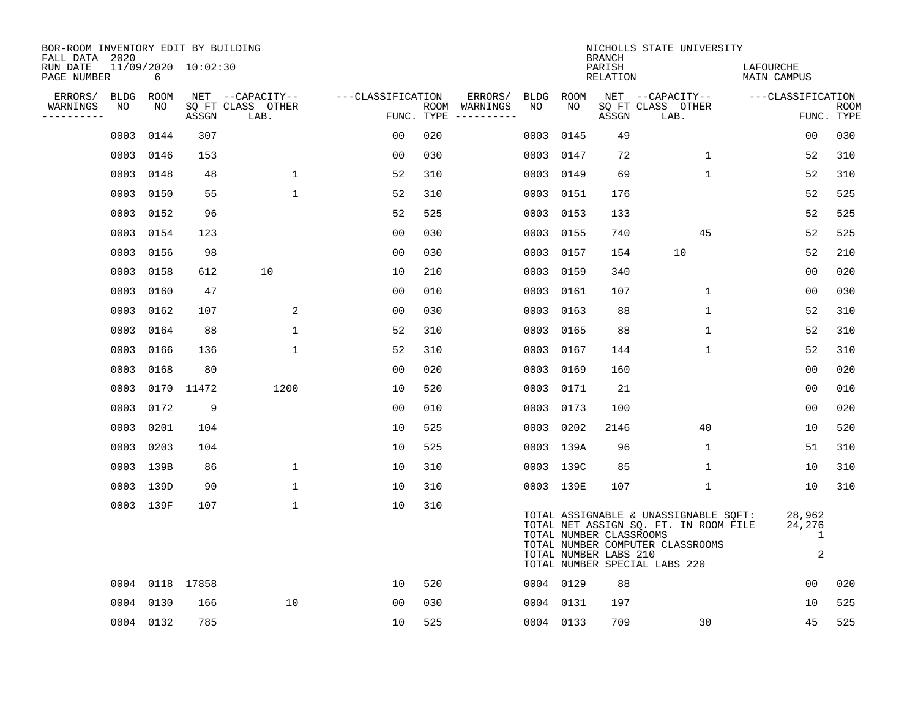| BOR-ROOM INVENTORY EDIT BY BUILDING<br>FALL DATA 2020 |             |           |                     |                           |                   |     |                                      |             |           | <b>BRANCH</b>                                    | NICHOLLS STATE UNIVERSITY                                                                                                                           |                            |                           |
|-------------------------------------------------------|-------------|-----------|---------------------|---------------------------|-------------------|-----|--------------------------------------|-------------|-----------|--------------------------------------------------|-----------------------------------------------------------------------------------------------------------------------------------------------------|----------------------------|---------------------------|
| RUN DATE<br>PAGE NUMBER                               |             | 6         | 11/09/2020 10:02:30 |                           |                   |     |                                      |             |           | PARISH<br>RELATION                               |                                                                                                                                                     | LAFOURCHE<br>MAIN CAMPUS   |                           |
| ERRORS/                                               | <b>BLDG</b> | ROOM      |                     | NET --CAPACITY--          | ---CLASSIFICATION |     | ERRORS/                              | <b>BLDG</b> | ROOM      |                                                  | NET --CAPACITY--                                                                                                                                    | ---CLASSIFICATION          |                           |
| WARNINGS<br>. _ _ _ _ _ _ _ _ _                       | NO          | NO.       | ASSGN               | SQ FT CLASS OTHER<br>LAB. |                   |     | ROOM WARNINGS<br>FUNC. TYPE $------$ | NO.         | NO        | ASSGN                                            | SQ FT CLASS OTHER<br>LAB.                                                                                                                           |                            | <b>ROOM</b><br>FUNC. TYPE |
|                                                       | 0003        | 0144      | 307                 |                           | 00                | 020 |                                      | 0003        | 0145      | 49                                               |                                                                                                                                                     | 00                         | 030                       |
|                                                       | 0003        | 0146      | 153                 |                           | 0 <sub>0</sub>    | 030 |                                      |             | 0003 0147 | 72                                               | $\mathbf 1$                                                                                                                                         | 52                         | 310                       |
|                                                       | 0003        | 0148      | 48                  | $\mathbf 1$               | 52                | 310 |                                      |             | 0003 0149 | 69                                               | $\mathbf 1$                                                                                                                                         | 52                         | 310                       |
|                                                       | 0003        | 0150      | 55                  | $\mathbf{1}$              | 52                | 310 |                                      |             | 0003 0151 | 176                                              |                                                                                                                                                     | 52                         | 525                       |
|                                                       | 0003        | 0152      | 96                  |                           | 52                | 525 |                                      |             | 0003 0153 | 133                                              |                                                                                                                                                     | 52                         | 525                       |
|                                                       |             | 0003 0154 | 123                 |                           | 0 <sub>0</sub>    | 030 |                                      |             | 0003 0155 | 740                                              | 45                                                                                                                                                  | 52                         | 525                       |
|                                                       | 0003        | 0156      | 98                  |                           | 00                | 030 |                                      |             | 0003 0157 | 154                                              | 10                                                                                                                                                  | 52                         | 210                       |
|                                                       | 0003        | 0158      | 612                 | 10                        | 10                | 210 |                                      |             | 0003 0159 | 340                                              |                                                                                                                                                     | 0 <sub>0</sub>             | 020                       |
|                                                       | 0003        | 0160      | 47                  |                           | 0 <sub>0</sub>    | 010 |                                      |             | 0003 0161 | 107                                              | 1                                                                                                                                                   | 0 <sub>0</sub>             | 030                       |
|                                                       | 0003        | 0162      | 107                 | 2                         | 0 <sub>0</sub>    | 030 |                                      |             | 0003 0163 | 88                                               | $\mathbf 1$                                                                                                                                         | 52                         | 310                       |
|                                                       | 0003        | 0164      | 88                  | $\mathbf 1$               | 52                | 310 |                                      |             | 0003 0165 | 88                                               | $\mathbf 1$                                                                                                                                         | 52                         | 310                       |
|                                                       | 0003        | 0166      | 136                 | $\mathbf 1$               | 52                | 310 |                                      |             | 0003 0167 | 144                                              | $\mathbf 1$                                                                                                                                         | 52                         | 310                       |
|                                                       | 0003        | 0168      | 80                  |                           | 0 <sub>0</sub>    | 020 |                                      | 0003        | 0169      | 160                                              |                                                                                                                                                     | 0 <sub>0</sub>             | 020                       |
|                                                       | 0003        | 0170      | 11472               | 1200                      | 10                | 520 |                                      |             | 0003 0171 | 21                                               |                                                                                                                                                     | 0 <sub>0</sub>             | 010                       |
|                                                       | 0003        | 0172      | 9                   |                           | 0 <sub>0</sub>    | 010 |                                      |             | 0003 0173 | 100                                              |                                                                                                                                                     | 00                         | 020                       |
|                                                       | 0003        | 0201      | 104                 |                           | 10                | 525 |                                      |             | 0003 0202 | 2146                                             | 40                                                                                                                                                  | 10                         | 520                       |
|                                                       | 0003        | 0203      | 104                 |                           | 10                | 525 |                                      |             | 0003 139A | 96                                               | 1                                                                                                                                                   | 51                         | 310                       |
|                                                       |             | 0003 139B | 86                  | $\mathbf 1$               | 10                | 310 |                                      |             | 0003 139C | 85                                               | $\mathbf 1$                                                                                                                                         | 10                         | 310                       |
|                                                       |             | 0003 139D | 90                  | $\mathbf 1$               | 10                | 310 |                                      |             | 0003 139E | 107                                              | 1                                                                                                                                                   | 10                         | 310                       |
|                                                       |             | 0003 139F | 107                 | $\mathbf{1}$              | 10                | 310 |                                      |             |           | TOTAL NUMBER CLASSROOMS<br>TOTAL NUMBER LABS 210 | TOTAL ASSIGNABLE & UNASSIGNABLE SQFT:<br>TOTAL NET ASSIGN SQ. FT. IN ROOM FILE<br>TOTAL NUMBER COMPUTER CLASSROOMS<br>TOTAL NUMBER SPECIAL LABS 220 | 28,962<br>24,276<br>1<br>2 |                           |
|                                                       |             |           | 0004 0118 17858     |                           | 10                | 520 |                                      |             | 0004 0129 | 88                                               |                                                                                                                                                     | 0 <sub>0</sub>             | 020                       |
|                                                       |             | 0004 0130 | 166                 | 10                        | 0 <sub>0</sub>    | 030 |                                      |             | 0004 0131 | 197                                              |                                                                                                                                                     | 10                         | 525                       |
|                                                       |             | 0004 0132 | 785                 |                           | 10                | 525 |                                      |             | 0004 0133 | 709                                              | 30                                                                                                                                                  | 45                         | 525                       |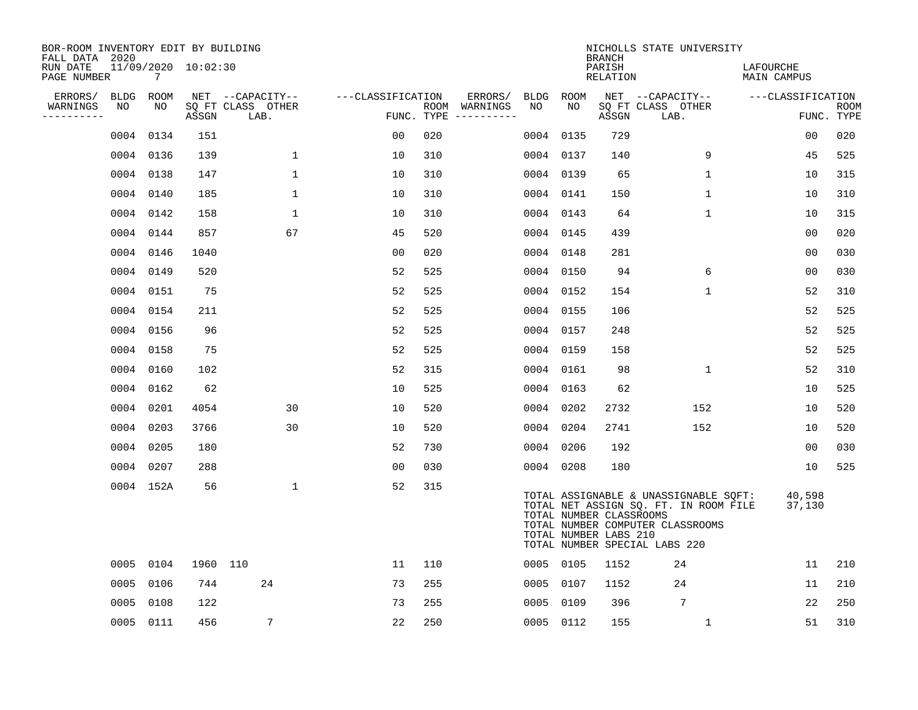| BOR-ROOM INVENTORY EDIT BY BUILDING<br>FALL DATA 2020 |           |      |                     |                           |                   |     |                                      |           |           | <b>BRANCH</b>                                    | NICHOLLS STATE UNIVERSITY                                                                                                                           |                          |                    |
|-------------------------------------------------------|-----------|------|---------------------|---------------------------|-------------------|-----|--------------------------------------|-----------|-----------|--------------------------------------------------|-----------------------------------------------------------------------------------------------------------------------------------------------------|--------------------------|--------------------|
| RUN DATE<br>PAGE NUMBER                               |           | 7    | 11/09/2020 10:02:30 |                           |                   |     |                                      |           |           | PARISH<br>RELATION                               |                                                                                                                                                     | LAFOURCHE<br>MAIN CAMPUS |                    |
| ERRORS/                                               | BLDG      | ROOM |                     | NET --CAPACITY--          | ---CLASSIFICATION |     | ERRORS/                              | BLDG ROOM |           |                                                  | NET --CAPACITY--                                                                                                                                    | ---CLASSIFICATION        |                    |
| WARNINGS<br>---------                                 | NO        | NO   | ASSGN               | SQ FT CLASS OTHER<br>LAB. |                   |     | ROOM WARNINGS<br>FUNC. TYPE $------$ | NO        | NO        | ASSGN                                            | SQ FT CLASS OTHER<br>LAB.                                                                                                                           |                          | ROOM<br>FUNC. TYPE |
|                                                       | 0004 0134 |      | 151                 |                           | 0 <sub>0</sub>    | 020 |                                      | 0004      | 0135      | 729                                              |                                                                                                                                                     | 00                       | 020                |
|                                                       | 0004 0136 |      | 139                 | 1                         | 10                | 310 |                                      | 0004 0137 |           | 140                                              | 9                                                                                                                                                   | 45                       | 525                |
|                                                       | 0004 0138 |      | 147                 | $\mathbf{1}$              | 10                | 310 |                                      | 0004 0139 |           | 65                                               | $\mathbf 1$                                                                                                                                         | 10                       | 315                |
|                                                       | 0004 0140 |      | 185                 | 1                         | 10                | 310 |                                      | 0004 0141 |           | 150                                              | $\mathbf 1$                                                                                                                                         | 10                       | 310                |
|                                                       | 0004 0142 |      | 158                 | 1                         | 10                | 310 |                                      | 0004 0143 |           | 64                                               | $\mathbf 1$                                                                                                                                         | 10                       | 315                |
|                                                       | 0004 0144 |      | 857                 | 67                        | 45                | 520 |                                      | 0004 0145 |           | 439                                              |                                                                                                                                                     | 00                       | 020                |
|                                                       | 0004 0146 |      | 1040                |                           | 00                | 020 |                                      | 0004 0148 |           | 281                                              |                                                                                                                                                     | 00                       | 030                |
|                                                       | 0004 0149 |      | 520                 |                           | 52                | 525 |                                      |           | 0004 0150 | 94                                               | 6                                                                                                                                                   | 0 <sub>0</sub>           | 030                |
|                                                       | 0004 0151 |      | 75                  |                           | 52                | 525 |                                      | 0004 0152 |           | 154                                              | $\mathbf{1}$                                                                                                                                        | 52                       | 310                |
|                                                       | 0004 0154 |      | 211                 |                           | 52                | 525 |                                      | 0004 0155 |           | 106                                              |                                                                                                                                                     | 52                       | 525                |
|                                                       | 0004 0156 |      | 96                  |                           | 52                | 525 |                                      | 0004 0157 |           | 248                                              |                                                                                                                                                     | 52                       | 525                |
|                                                       | 0004 0158 |      | 75                  |                           | 52                | 525 |                                      | 0004 0159 |           | 158                                              |                                                                                                                                                     | 52                       | 525                |
|                                                       | 0004      | 0160 | 102                 |                           | 52                | 315 |                                      | 0004 0161 |           | 98                                               | $\mathbf{1}$                                                                                                                                        | 52                       | 310                |
|                                                       | 0004 0162 |      | 62                  |                           | 10                | 525 |                                      | 0004 0163 |           | 62                                               |                                                                                                                                                     | 10                       | 525                |
|                                                       | 0004 0201 |      | 4054                | 30                        | 10                | 520 |                                      | 0004 0202 |           | 2732                                             | 152                                                                                                                                                 | 10                       | 520                |
|                                                       | 0004 0203 |      | 3766                | 30                        | 10                | 520 |                                      | 0004 0204 |           | 2741                                             | 152                                                                                                                                                 | 10                       | 520                |
|                                                       | 0004 0205 |      | 180                 |                           | 52                | 730 |                                      | 0004 0206 |           | 192                                              |                                                                                                                                                     | 00                       | 030                |
|                                                       | 0004 0207 |      | 288                 |                           | 0 <sub>0</sub>    | 030 |                                      | 0004 0208 |           | 180                                              |                                                                                                                                                     | 10                       | 525                |
|                                                       | 0004 152A |      | 56                  | $\mathbf 1$               | 52                | 315 |                                      |           |           | TOTAL NUMBER CLASSROOMS<br>TOTAL NUMBER LABS 210 | TOTAL ASSIGNABLE & UNASSIGNABLE SQFT:<br>TOTAL NET ASSIGN SQ. FT. IN ROOM FILE<br>TOTAL NUMBER COMPUTER CLASSROOMS<br>TOTAL NUMBER SPECIAL LABS 220 | 40,598<br>37,130         |                    |
|                                                       | 0005 0104 |      | 1960 110            |                           | 11                | 110 |                                      | 0005 0105 |           | 1152                                             | 24                                                                                                                                                  | 11                       | 210                |
|                                                       | 0005 0106 |      | 744                 | 24                        | 73                | 255 |                                      | 0005 0107 |           | 1152                                             | 24                                                                                                                                                  | 11                       | 210                |
|                                                       | 0005      | 0108 | 122                 |                           | 73                | 255 |                                      | 0005 0109 |           | 396                                              | $7\phantom{.0}$                                                                                                                                     | 22                       | 250                |
|                                                       | 0005 0111 |      | 456                 | 7                         | 22                | 250 |                                      | 0005 0112 |           | 155                                              | $\mathbf{1}$                                                                                                                                        | 51                       | 310                |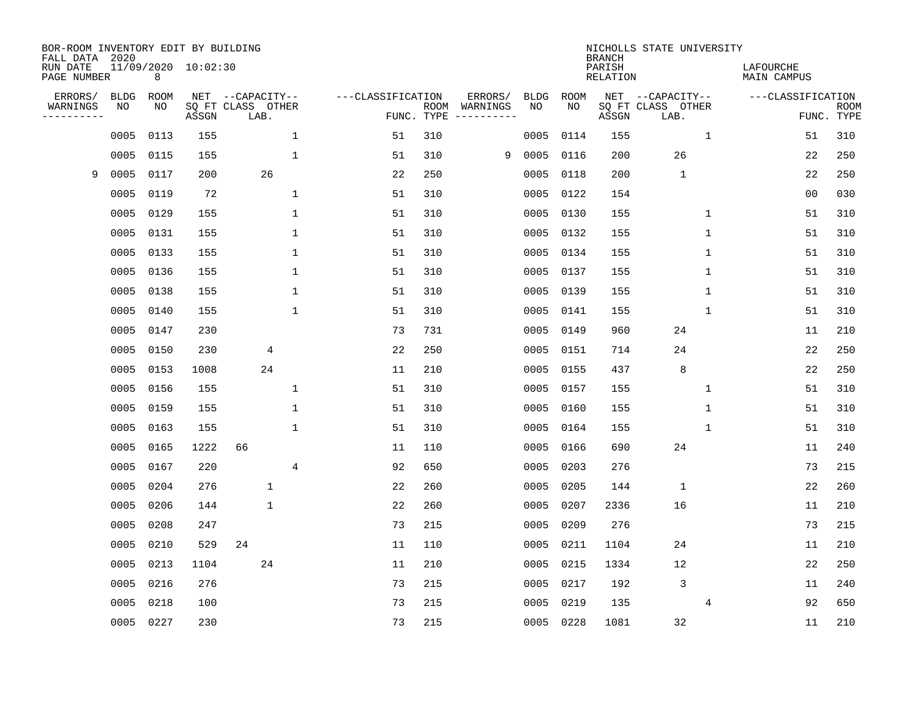| BOR-ROOM INVENTORY EDIT BY BUILDING<br>FALL DATA 2020 |                   |            |                     |                                       |                    |     |                                                                                                 |                   |            | <b>BRANCH</b>      | NICHOLLS STATE UNIVERSITY             |                          |             |
|-------------------------------------------------------|-------------------|------------|---------------------|---------------------------------------|--------------------|-----|-------------------------------------------------------------------------------------------------|-------------------|------------|--------------------|---------------------------------------|--------------------------|-------------|
| RUN DATE<br>PAGE NUMBER                               |                   | 8          | 11/09/2020 10:02:30 |                                       |                    |     |                                                                                                 |                   |            | PARISH<br>RELATION |                                       | LAFOURCHE<br>MAIN CAMPUS |             |
| ERRORS/<br>WARNINGS                                   | <b>BLDG</b><br>ΝO | ROOM<br>NO |                     | NET --CAPACITY--<br>SQ FT CLASS OTHER | ---CLASSIFICATION  |     | ERRORS/<br>ROOM WARNINGS                                                                        | <b>BLDG</b><br>NO | ROOM<br>NO |                    | NET --CAPACITY--<br>SQ FT CLASS OTHER | ---CLASSIFICATION        | <b>ROOM</b> |
| ---------                                             |                   |            | ASSGN               | LAB.                                  | FUNC. TYPE         |     | $\begin{tabular}{cccccc} - & - & - & - & - & - & - \\ & - & - & - & - & - & - \\ \end{tabular}$ |                   |            | ASSGN              | LAB.                                  |                          | FUNC. TYPE  |
|                                                       | 0005              | 0113       | 155                 |                                       | $\mathbf{1}$<br>51 | 310 |                                                                                                 | 0005              | 0114       | 155                | 1                                     | 51                       | 310         |
|                                                       | 0005              | 0115       | 155                 |                                       | $\mathbf{1}$<br>51 | 310 | 9                                                                                               | 0005              | 0116       | 200                | 26                                    | 22                       | 250         |
| 9                                                     | 0005              | 0117       | 200                 | 26                                    | 22                 | 250 |                                                                                                 | 0005              | 0118       | 200                | $\mathbf{1}$                          | 22                       | 250         |
|                                                       | 0005              | 0119       | 72                  |                                       | $\mathbf{1}$<br>51 | 310 |                                                                                                 | 0005              | 0122       | 154                |                                       | 0 <sub>0</sub>           | 030         |
|                                                       | 0005              | 0129       | 155                 |                                       | $\mathbf{1}$<br>51 | 310 |                                                                                                 | 0005              | 0130       | 155                | $\mathbf{1}$                          | 51                       | 310         |
|                                                       | 0005 0131         |            | 155                 |                                       | $\mathbf{1}$<br>51 | 310 |                                                                                                 | 0005              | 0132       | 155                | $\mathbf 1$                           | 51                       | 310         |
|                                                       |                   | 0005 0133  | 155                 |                                       | $\mathbf{1}$<br>51 | 310 |                                                                                                 | 0005              | 0134       | 155                | $\mathbf 1$                           | 51                       | 310         |
|                                                       |                   | 0005 0136  | 155                 |                                       | $\mathbf{1}$<br>51 | 310 |                                                                                                 | 0005              | 0137       | 155                | $\mathbf{1}$                          | 51                       | 310         |
|                                                       | 0005              | 0138       | 155                 |                                       | $\mathbf{1}$<br>51 | 310 |                                                                                                 | 0005              | 0139       | 155                | $\mathbf 1$                           | 51                       | 310         |
|                                                       | 0005              | 0140       | 155                 |                                       | $\mathbf{1}$<br>51 | 310 |                                                                                                 | 0005              | 0141       | 155                | $\mathbf{1}$                          | 51                       | 310         |
|                                                       | 0005              | 0147       | 230                 |                                       | 73                 | 731 |                                                                                                 | 0005              | 0149       | 960                | 24                                    | 11                       | 210         |
|                                                       | 0005              | 0150       | 230                 | 4                                     | 22                 | 250 |                                                                                                 | 0005              | 0151       | 714                | 24                                    | 22                       | 250         |
|                                                       | 0005              | 0153       | 1008                | 24                                    | 11                 | 210 |                                                                                                 | 0005              | 0155       | 437                | 8                                     | 22                       | 250         |
|                                                       | 0005              | 0156       | 155                 |                                       | 51<br>$\mathbf{1}$ | 310 |                                                                                                 | 0005              | 0157       | 155                | $\mathbf 1$                           | 51                       | 310         |
|                                                       | 0005              | 0159       | 155                 |                                       | 51<br>1            | 310 |                                                                                                 | 0005              | 0160       | 155                | 1                                     | 51                       | 310         |
|                                                       | 0005              | 0163       | 155                 |                                       | $\mathbf{1}$<br>51 | 310 |                                                                                                 | 0005              | 0164       | 155                | $\mathbf{1}$                          | 51                       | 310         |
|                                                       | 0005              | 0165       | 1222                | 66                                    | 11                 | 110 |                                                                                                 | 0005              | 0166       | 690                | 24                                    | 11                       | 240         |
|                                                       | 0005              | 0167       | 220                 |                                       | 4<br>92            | 650 |                                                                                                 | 0005              | 0203       | 276                |                                       | 73                       | 215         |
|                                                       | 0005              | 0204       | 276                 | $\mathbf 1$                           | 22                 | 260 |                                                                                                 | 0005              | 0205       | 144                | $\mathbf{1}$                          | 22                       | 260         |
|                                                       | 0005              | 0206       | 144                 | $\mathbf 1$                           | 22                 | 260 |                                                                                                 | 0005              | 0207       | 2336               | 16                                    | 11                       | 210         |
|                                                       | 0005              | 0208       | 247                 |                                       | 73                 | 215 |                                                                                                 | 0005              | 0209       | 276                |                                       | 73                       | 215         |
|                                                       | 0005              | 0210       | 529                 | 24                                    | 11                 | 110 |                                                                                                 | 0005              | 0211       | 1104               | 24                                    | 11                       | 210         |
|                                                       | 0005              | 0213       | 1104                | 24                                    | 11                 | 210 |                                                                                                 | 0005              | 0215       | 1334               | 12                                    | 22                       | 250         |
|                                                       | 0005              | 0216       | 276                 |                                       | 73                 | 215 |                                                                                                 | 0005              | 0217       | 192                | 3                                     | 11                       | 240         |
|                                                       | 0005              | 0218       | 100                 |                                       | 73                 | 215 |                                                                                                 | 0005              | 0219       | 135                | 4                                     | 92                       | 650         |
|                                                       |                   | 0005 0227  | 230                 |                                       | 73                 | 215 |                                                                                                 |                   | 0005 0228  | 1081               | 32                                    | 11                       | 210         |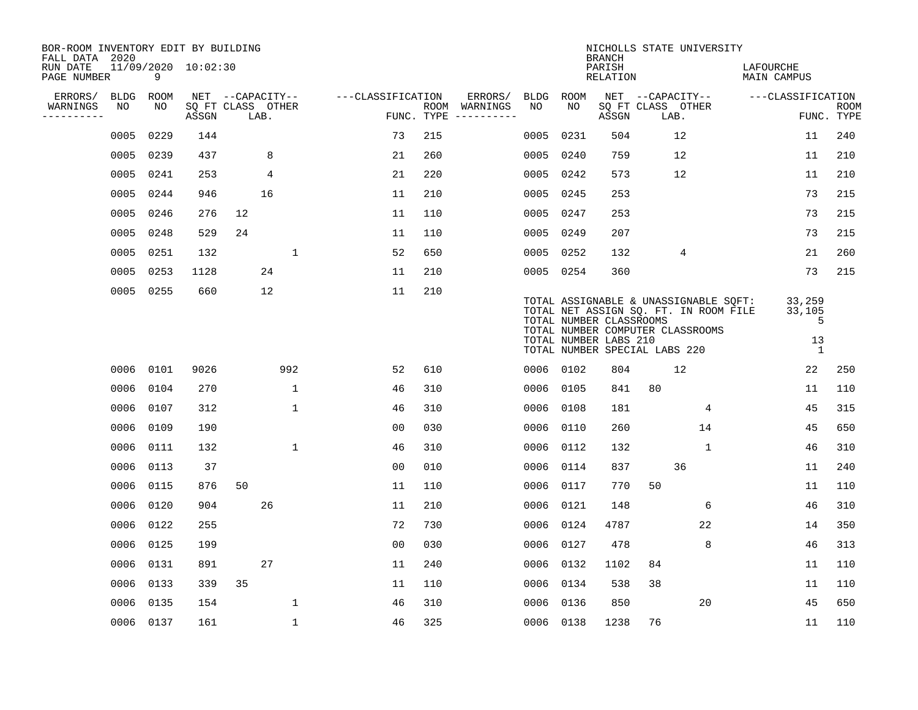| BOR-ROOM INVENTORY EDIT BY BUILDING<br>FALL DATA 2020 |             |                          |       |                           |              |                   |            |               |             |           | <b>BRANCH</b>                                                                     |    | NICHOLLS STATE UNIVERSITY                                                                                          |                                             |                           |
|-------------------------------------------------------|-------------|--------------------------|-------|---------------------------|--------------|-------------------|------------|---------------|-------------|-----------|-----------------------------------------------------------------------------------|----|--------------------------------------------------------------------------------------------------------------------|---------------------------------------------|---------------------------|
| RUN DATE<br>PAGE NUMBER                               |             | 11/09/2020 10:02:30<br>9 |       |                           |              |                   |            |               |             |           | PARISH<br><b>RELATION</b>                                                         |    |                                                                                                                    | LAFOURCHE<br>MAIN CAMPUS                    |                           |
| ERRORS/                                               | <b>BLDG</b> | ROOM                     |       | NET --CAPACITY--          |              | ---CLASSIFICATION |            | ERRORS/       | <b>BLDG</b> | ROOM      |                                                                                   |    | NET --CAPACITY--                                                                                                   | ---CLASSIFICATION                           |                           |
| WARNINGS<br>---------                                 | NO          | NO                       | ASSGN | SQ FT CLASS OTHER<br>LAB. |              |                   | FUNC. TYPE | ROOM WARNINGS | NO          | NO.       | ASSGN                                                                             |    | SQ FT CLASS OTHER<br>LAB.                                                                                          |                                             | <b>ROOM</b><br>FUNC. TYPE |
|                                                       | 0005        | 0229                     | 144   |                           |              | 73                | 215        |               | 0005        | 0231      | 504                                                                               |    | 12                                                                                                                 | 11                                          | 240                       |
|                                                       | 0005        | 0239                     | 437   | 8                         |              | 21                | 260        |               | 0005        | 0240      | 759                                                                               |    | 12                                                                                                                 | 11                                          | 210                       |
|                                                       | 0005        | 0241                     | 253   | 4                         |              | 21                | 220        |               | 0005        | 0242      | 573                                                                               |    | 12                                                                                                                 | 11                                          | 210                       |
|                                                       | 0005        | 0244                     | 946   | 16                        |              | 11                | 210        |               | 0005        | 0245      | 253                                                                               |    |                                                                                                                    | 73                                          | 215                       |
|                                                       | 0005        | 0246                     | 276   | 12                        |              | 11                | 110        |               | 0005        | 0247      | 253                                                                               |    |                                                                                                                    | 73                                          | 215                       |
|                                                       | 0005        | 0248                     | 529   | 24                        |              | 11                | 110        |               |             | 0005 0249 | 207                                                                               |    |                                                                                                                    | 73                                          | 215                       |
|                                                       | 0005        | 0251                     | 132   |                           | $\mathbf{1}$ | 52                | 650        |               |             | 0005 0252 | 132                                                                               |    | 4                                                                                                                  | 21                                          | 260                       |
|                                                       | 0005        | 0253                     | 1128  | 24                        |              | 11                | 210        |               |             | 0005 0254 | 360                                                                               |    |                                                                                                                    | 73                                          | 215                       |
|                                                       | 0005        | 0255                     | 660   | 12                        |              | 11                | 210        |               |             |           | TOTAL NUMBER CLASSROOMS<br>TOTAL NUMBER LABS 210<br>TOTAL NUMBER SPECIAL LABS 220 |    | TOTAL ASSIGNABLE & UNASSIGNABLE SQFT:<br>TOTAL NET ASSIGN SQ. FT. IN ROOM FILE<br>TOTAL NUMBER COMPUTER CLASSROOMS | 33,259<br>33,105<br>5<br>13<br><sup>1</sup> |                           |
|                                                       | 0006        | 0101                     | 9026  |                           | 992          | 52                | 610        |               |             | 0006 0102 | 804                                                                               |    | 12                                                                                                                 | 22                                          | 250                       |
|                                                       | 0006        | 0104                     | 270   |                           | $\mathbf{1}$ | 46                | 310        |               | 0006        | 0105      | 841                                                                               | 80 |                                                                                                                    | 11                                          | 110                       |
|                                                       | 0006        | 0107                     | 312   |                           | $\mathbf{1}$ | 46                | 310        |               | 0006        | 0108      | 181                                                                               |    | 4                                                                                                                  | 45                                          | 315                       |
|                                                       | 0006        | 0109                     | 190   |                           |              | 0 <sub>0</sub>    | 030        |               | 0006        | 0110      | 260                                                                               |    | 14                                                                                                                 | 45                                          | 650                       |
|                                                       | 0006        | 0111                     | 132   |                           | $\mathbf 1$  | 46                | 310        |               | 0006        | 0112      | 132                                                                               |    | $\mathbf{1}$                                                                                                       | 46                                          | 310                       |
|                                                       | 0006        | 0113                     | 37    |                           |              | 0 <sub>0</sub>    | 010        |               | 0006        | 0114      | 837                                                                               |    | 36                                                                                                                 | 11                                          | 240                       |
|                                                       | 0006        | 0115                     | 876   | 50                        |              | 11                | 110        |               | 0006        | 0117      | 770                                                                               | 50 |                                                                                                                    | 11                                          | 110                       |
|                                                       | 0006        | 0120                     | 904   | 26                        |              | 11                | 210        |               | 0006        | 0121      | 148                                                                               |    | 6                                                                                                                  | 46                                          | 310                       |
|                                                       | 0006        | 0122                     | 255   |                           |              | 72                | 730        |               | 0006        | 0124      | 4787                                                                              |    | 22                                                                                                                 | 14                                          | 350                       |
|                                                       | 0006        | 0125                     | 199   |                           |              | 0 <sub>0</sub>    | 030        |               | 0006        | 0127      | 478                                                                               |    | 8                                                                                                                  | 46                                          | 313                       |
|                                                       | 0006        | 0131                     | 891   | 27                        |              | 11                | 240        |               | 0006        | 0132      | 1102                                                                              | 84 |                                                                                                                    | 11                                          | 110                       |
|                                                       | 0006        | 0133                     | 339   | 35                        |              | 11                | 110        |               | 0006        | 0134      | 538                                                                               | 38 |                                                                                                                    | 11                                          | 110                       |
|                                                       | 0006        | 0135                     | 154   |                           | 1            | 46                | 310        |               | 0006        | 0136      | 850                                                                               |    | 20                                                                                                                 | 45                                          | 650                       |
|                                                       |             | 0006 0137                | 161   |                           | $\mathbf{1}$ | 46                | 325        |               |             | 0006 0138 | 1238                                                                              | 76 |                                                                                                                    | 11                                          | 110                       |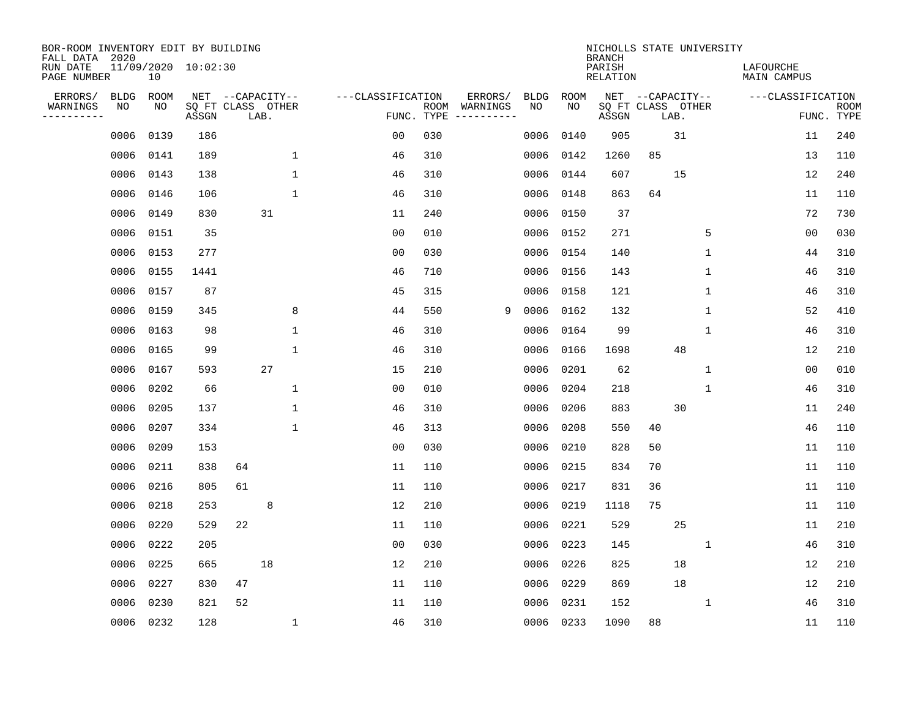| BOR-ROOM INVENTORY EDIT BY BUILDING<br>FALL DATA 2020<br>RUN DATE |                   |            | 11/09/2020 10:02:30 |                                               |              |                                 |      |                     |                   |                    | NICHOLLS STATE UNIVERSITY<br><b>BRANCH</b><br>PARISH |    |                                               |              | LAFOURCHE         |                           |
|-------------------------------------------------------------------|-------------------|------------|---------------------|-----------------------------------------------|--------------|---------------------------------|------|---------------------|-------------------|--------------------|------------------------------------------------------|----|-----------------------------------------------|--------------|-------------------|---------------------------|
| PAGE NUMBER                                                       |                   | 10         |                     |                                               |              |                                 |      |                     |                   |                    | <b>RELATION</b>                                      |    |                                               |              | MAIN CAMPUS       |                           |
| ERRORS/<br>WARNINGS<br>---------                                  | <b>BLDG</b><br>NO | ROOM<br>NO | ASSGN               | NET --CAPACITY--<br>SQ FT CLASS OTHER<br>LAB. |              | ---CLASSIFICATION<br>FUNC. TYPE | ROOM | ERRORS/<br>WARNINGS | <b>BLDG</b><br>NO | <b>ROOM</b><br>NO. | ASSGN                                                |    | NET --CAPACITY--<br>SQ FT CLASS OTHER<br>LAB. |              | ---CLASSIFICATION | <b>ROOM</b><br>FUNC. TYPE |
|                                                                   | 0006              | 0139       | 186                 |                                               |              | 0 <sub>0</sub>                  | 030  |                     | 0006              | 0140               | 905                                                  |    | 31                                            |              | 11                | 240                       |
|                                                                   | 0006              | 0141       | 189                 |                                               | 1            | 46                              | 310  |                     | 0006              | 0142               | 1260                                                 | 85 |                                               |              | 13                | 110                       |
|                                                                   | 0006              | 0143       | 138                 |                                               | $\mathbf{1}$ | 46                              | 310  |                     | 0006              | 0144               | 607                                                  |    | 15                                            |              | 12                | 240                       |
|                                                                   | 0006              | 0146       | 106                 |                                               | $\mathbf{1}$ | 46                              | 310  |                     | 0006              | 0148               | 863                                                  | 64 |                                               |              | 11                | 110                       |
|                                                                   | 0006              | 0149       | 830                 | 31                                            |              | 11                              | 240  |                     | 0006              | 0150               | 37                                                   |    |                                               |              | 72                | 730                       |
|                                                                   | 0006              | 0151       | 35                  |                                               |              | 0 <sub>0</sub>                  | 010  |                     | 0006              | 0152               | 271                                                  |    |                                               | 5            | 0 <sub>0</sub>    | 030                       |
|                                                                   | 0006              | 0153       | 277                 |                                               |              | 0 <sub>0</sub>                  | 030  |                     | 0006              | 0154               | 140                                                  |    |                                               | $\mathbf{1}$ | 44                | 310                       |
|                                                                   | 0006              | 0155       | 1441                |                                               |              | 46                              | 710  |                     | 0006              | 0156               | 143                                                  |    |                                               | $\mathbf 1$  | 46                | 310                       |
|                                                                   | 0006              | 0157       | 87                  |                                               |              | 45                              | 315  |                     | 0006              | 0158               | 121                                                  |    |                                               | $\mathbf 1$  | 46                | 310                       |
|                                                                   | 0006              | 0159       | 345                 |                                               | 8            | 44                              | 550  | 9                   | 0006              | 0162               | 132                                                  |    |                                               | $\mathbf 1$  | 52                | 410                       |
|                                                                   | 0006              | 0163       | 98                  |                                               | 1            | 46                              | 310  |                     | 0006              | 0164               | 99                                                   |    |                                               | $\mathbf 1$  | 46                | 310                       |
|                                                                   | 0006              | 0165       | 99                  |                                               | 1            | 46                              | 310  |                     | 0006              | 0166               | 1698                                                 |    | 48                                            |              | 12                | 210                       |
|                                                                   | 0006              | 0167       | 593                 | 27                                            |              | 15                              | 210  |                     | 0006              | 0201               | 62                                                   |    |                                               | $\mathbf 1$  | 0 <sub>0</sub>    | 010                       |
|                                                                   | 0006              | 0202       | 66                  |                                               | 1            | 00                              | 010  |                     | 0006              | 0204               | 218                                                  |    |                                               | 1            | 46                | 310                       |
|                                                                   | 0006              | 0205       | 137                 |                                               | 1            | 46                              | 310  |                     | 0006              | 0206               | 883                                                  |    | 30                                            |              | 11                | 240                       |
|                                                                   | 0006              | 0207       | 334                 |                                               | $\mathbf 1$  | 46                              | 313  |                     | 0006              | 0208               | 550                                                  | 40 |                                               |              | 46                | 110                       |
|                                                                   | 0006              | 0209       | 153                 |                                               |              | 0 <sub>0</sub>                  | 030  |                     | 0006              | 0210               | 828                                                  | 50 |                                               |              | 11                | 110                       |
|                                                                   | 0006              | 0211       | 838                 | 64                                            |              | 11                              | 110  |                     | 0006              | 0215               | 834                                                  | 70 |                                               |              | 11                | 110                       |
|                                                                   | 0006              | 0216       | 805                 | 61                                            |              | 11                              | 110  |                     | 0006              | 0217               | 831                                                  | 36 |                                               |              | 11                | 110                       |
|                                                                   | 0006              | 0218       | 253                 | 8                                             |              | 12                              | 210  |                     | 0006              | 0219               | 1118                                                 | 75 |                                               |              | 11                | 110                       |
|                                                                   | 0006              | 0220       | 529                 | 22                                            |              | 11                              | 110  |                     | 0006              | 0221               | 529                                                  |    | 25                                            |              | 11                | 210                       |
|                                                                   | 0006              | 0222       | 205                 |                                               |              | 0 <sub>0</sub>                  | 030  |                     | 0006              | 0223               | 145                                                  |    |                                               | $\mathbf{1}$ | 46                | 310                       |
|                                                                   | 0006              | 0225       | 665                 | 18                                            |              | 12                              | 210  |                     | 0006              | 0226               | 825                                                  |    | 18                                            |              | 12                | 210                       |
|                                                                   | 0006              | 0227       | 830                 | 47                                            |              | 11                              | 110  |                     | 0006              | 0229               | 869                                                  |    | 18                                            |              | 12                | 210                       |
|                                                                   | 0006              | 0230       | 821                 | 52                                            |              | 11                              | 110  |                     | 0006              | 0231               | 152                                                  |    |                                               | 1            | 46                | 310                       |
|                                                                   | 0006              | 0232       | 128                 |                                               | $\mathbf 1$  | 46                              | 310  |                     |                   | 0006 0233          | 1090                                                 | 88 |                                               |              | 11                | 110                       |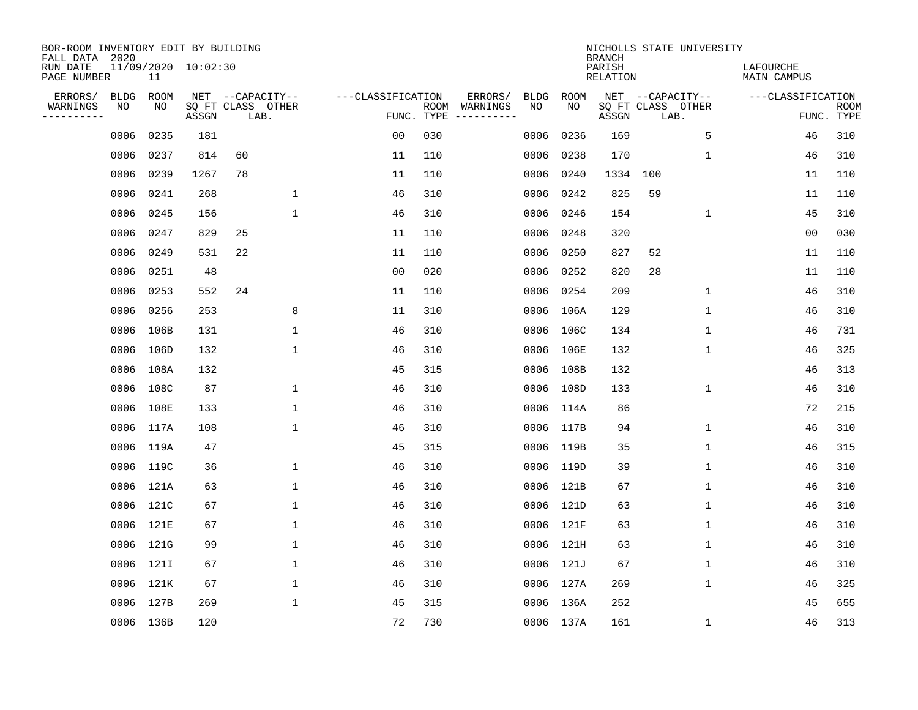| BOR-ROOM INVENTORY EDIT BY BUILDING<br>FALL DATA 2020 |             |           |                     |                           |              |                   |                    |                        |             |           | <b>BRANCH</b>             |                           | NICHOLLS STATE UNIVERSITY |                                 |    |                           |
|-------------------------------------------------------|-------------|-----------|---------------------|---------------------------|--------------|-------------------|--------------------|------------------------|-------------|-----------|---------------------------|---------------------------|---------------------------|---------------------------------|----|---------------------------|
| RUN DATE<br>PAGE NUMBER                               |             | 11        | 11/09/2020 10:02:30 |                           |              |                   |                    |                        |             |           | PARISH<br><b>RELATION</b> |                           |                           | LAFOURCHE<br><b>MAIN CAMPUS</b> |    |                           |
| ERRORS/                                               | <b>BLDG</b> | ROOM      |                     | NET --CAPACITY--          |              | ---CLASSIFICATION |                    | ERRORS/                | <b>BLDG</b> | ROOM      |                           | NET --CAPACITY--          |                           | ---CLASSIFICATION               |    |                           |
| WARNINGS<br>----------                                | NO          | ΝO        | ASSGN               | SQ FT CLASS OTHER<br>LAB. |              |                   | ROOM<br>FUNC. TYPE | WARNINGS<br>---------- | NO          | NO        | ASSGN                     | SQ FT CLASS OTHER<br>LAB. |                           |                                 |    | <b>ROOM</b><br>FUNC. TYPE |
|                                                       | 0006        | 0235      | 181                 |                           |              | 00                | 030                |                        | 0006        | 0236      | 169                       |                           | 5                         | 46                              |    | 310                       |
|                                                       | 0006        | 0237      | 814                 | 60                        |              | 11                | 110                |                        | 0006        | 0238      | 170                       |                           | 1                         | 46                              |    | 310                       |
|                                                       | 0006        | 0239      | 1267                | 78                        |              | 11                | 110                |                        | 0006        | 0240      | 1334                      | 100                       |                           | 11                              |    | 110                       |
|                                                       | 0006        | 0241      | 268                 |                           | $\mathbf 1$  | 46                | 310                |                        | 0006        | 0242      | 825                       | 59                        |                           | 11                              |    | 110                       |
|                                                       | 0006        | 0245      | 156                 |                           | $\mathbf{1}$ | 46                | 310                |                        | 0006        | 0246      | 154                       |                           | $\mathbf 1$               | 45                              |    | 310                       |
|                                                       | 0006        | 0247      | 829                 | 25                        |              | 11                | 110                |                        | 0006        | 0248      | 320                       |                           |                           | 0 <sub>0</sub>                  |    | 030                       |
|                                                       | 0006        | 0249      | 531                 | 22                        |              | 11                | 110                |                        | 0006        | 0250      | 827                       | 52                        |                           | 11                              |    | 110                       |
|                                                       | 0006        | 0251      | 48                  |                           |              | 0 <sub>0</sub>    | 020                |                        | 0006        | 0252      | 820                       | 28                        |                           | 11                              |    | 110                       |
|                                                       | 0006        | 0253      | 552                 | 24                        |              | 11                | 110                |                        | 0006        | 0254      | 209                       |                           | $\mathbf 1$               |                                 | 46 | 310                       |
|                                                       | 0006        | 0256      | 253                 |                           | 8            | 11                | 310                |                        | 0006        | 106A      | 129                       |                           | 1                         |                                 | 46 | 310                       |
|                                                       | 0006        | 106B      | 131                 |                           | $\mathbf 1$  | 46                | 310                |                        | 0006        | 106C      | 134                       |                           | 1                         | 46                              |    | 731                       |
|                                                       | 0006        | 106D      | 132                 |                           | $\mathbf 1$  | 46                | 310                |                        |             | 0006 106E | 132                       |                           | 1                         |                                 | 46 | 325                       |
|                                                       | 0006        | 108A      | 132                 |                           |              | 45                | 315                |                        | 0006        | 108B      | 132                       |                           |                           |                                 | 46 | 313                       |
|                                                       |             | 0006 108C | 87                  |                           | 1            | 46                | 310                |                        |             | 0006 108D | 133                       |                           | 1                         |                                 | 46 | 310                       |
|                                                       | 0006        | 108E      | 133                 |                           | $\mathbf 1$  | 46                | 310                |                        |             | 0006 114A | 86                        |                           |                           | 72                              |    | 215                       |
|                                                       |             | 0006 117A | 108                 |                           | $\mathbf{1}$ | 46                | 310                |                        | 0006        | 117B      | 94                        |                           | 1                         | 46                              |    | 310                       |
|                                                       | 0006        | 119A      | 47                  |                           |              | 45                | 315                |                        | 0006        | 119B      | 35                        |                           | 1                         |                                 | 46 | 315                       |
|                                                       | 0006        | 119C      | 36                  |                           | 1            | 46                | 310                |                        |             | 0006 119D | 39                        |                           | 1                         |                                 | 46 | 310                       |
|                                                       |             | 0006 121A | 63                  |                           | 1            | 46                | 310                |                        |             | 0006 121B | 67                        |                           | 1                         | 46                              |    | 310                       |
|                                                       |             | 0006 121C | 67                  |                           | 1            | 46                | 310                |                        | 0006        | 121D      | 63                        |                           | 1                         | 46                              |    | 310                       |
|                                                       |             | 0006 121E | 67                  |                           | 1            | 46                | 310                |                        |             | 0006 121F | 63                        |                           | 1                         | 46                              |    | 310                       |
|                                                       | 0006        | 121G      | 99                  |                           | $\mathbf 1$  | 46                | 310                |                        | 0006        | 121H      | 63                        |                           | 1                         |                                 | 46 | 310                       |
|                                                       |             | 0006 121I | 67                  |                           | 1            | 46                | 310                |                        |             | 0006 121J | 67                        |                           | 1                         | 46                              |    | 310                       |
|                                                       |             | 0006 121K | 67                  |                           | $\mathbf 1$  | 46                | 310                |                        |             | 0006 127A | 269                       |                           | $\mathbf 1$               | 46                              |    | 325                       |
|                                                       |             | 0006 127B | 269                 |                           | $\mathbf{1}$ | 45                | 315                |                        |             | 0006 136A | 252                       |                           |                           | 45                              |    | 655                       |
|                                                       |             | 0006 136B | 120                 |                           |              | 72                | 730                |                        |             | 0006 137A | 161                       |                           | 1                         | 46                              |    | 313                       |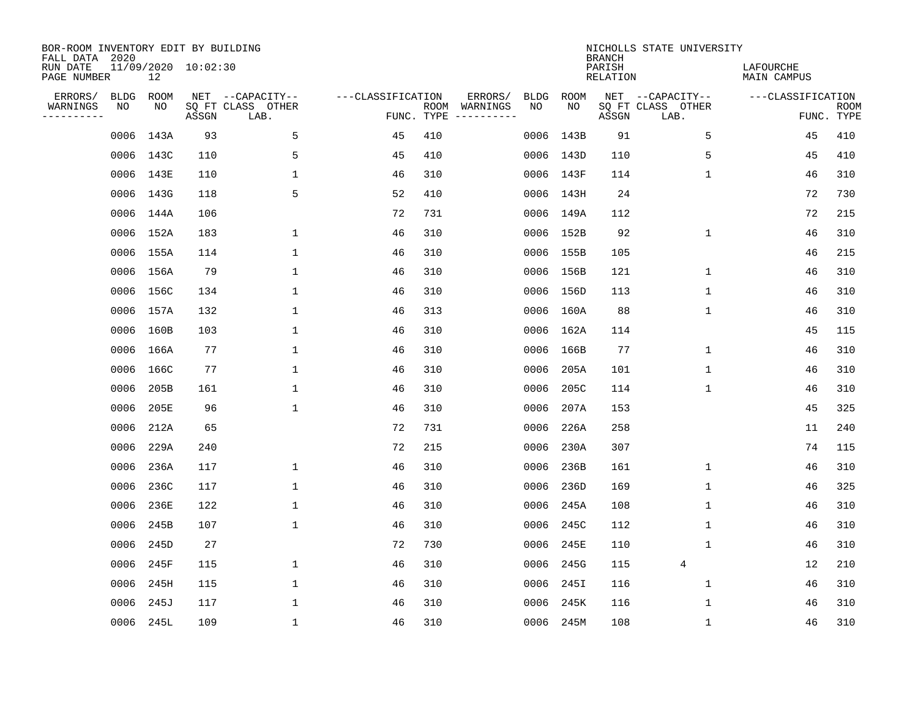| BOR-ROOM INVENTORY EDIT BY BUILDING<br>FALL DATA 2020 |                           |       |                           |                   |            |                              |             |             | <b>BRANCH</b>             | NICHOLLS STATE UNIVERSITY |                                 |                           |
|-------------------------------------------------------|---------------------------|-------|---------------------------|-------------------|------------|------------------------------|-------------|-------------|---------------------------|---------------------------|---------------------------------|---------------------------|
| RUN DATE<br>PAGE NUMBER                               | 11/09/2020 10:02:30<br>12 |       |                           |                   |            |                              |             |             | PARISH<br><b>RELATION</b> |                           | LAFOURCHE<br><b>MAIN CAMPUS</b> |                           |
| ERRORS/<br><b>BLDG</b>                                | ROOM                      |       | NET --CAPACITY--          | ---CLASSIFICATION |            | ERRORS/                      | <b>BLDG</b> | <b>ROOM</b> |                           | NET --CAPACITY--          | ---CLASSIFICATION               |                           |
| WARNINGS<br>NO<br>----------                          | NO                        | ASSGN | SQ FT CLASS OTHER<br>LAB. |                   | FUNC. TYPE | ROOM WARNINGS<br>----------- | NO          | NO          | ASSGN                     | SQ FT CLASS OTHER<br>LAB. |                                 | <b>ROOM</b><br>FUNC. TYPE |
| 0006                                                  | 143A                      | 93    | 5                         | 45                | 410        |                              |             | 0006 143B   | 91                        | 5                         | 45                              | 410                       |
|                                                       | 0006 143C                 | 110   | 5                         | 45                | 410        |                              |             | 0006 143D   | 110                       | 5                         | 45                              | 410                       |
|                                                       | 0006 143E                 | 110   | $\mathbf{1}$              | 46                | 310        |                              |             | 0006 143F   | 114                       | 1                         | 46                              | 310                       |
|                                                       | 0006 143G                 | 118   | 5                         | 52                | 410        |                              |             | 0006 143H   | 24                        |                           | 72                              | 730                       |
| 0006                                                  | 144A                      | 106   |                           | 72                | 731        |                              |             | 0006 149A   | 112                       |                           | 72                              | 215                       |
|                                                       | 0006 152A                 | 183   | 1                         | 46                | 310        |                              |             | 0006 152B   | 92                        | $\mathbf{1}$              | 46                              | 310                       |
|                                                       | 0006 155A                 | 114   | $\mathbf 1$               | 46                | 310        |                              |             | 0006 155B   | 105                       |                           | 46                              | 215                       |
|                                                       | 0006 156A                 | 79    | $\mathbf{1}$              | 46                | 310        |                              |             | 0006 156B   | 121                       | $\mathbf 1$               | 46                              | 310                       |
|                                                       | 0006 156C                 | 134   | $\mathbf{1}$              | 46                | 310        |                              |             | 0006 156D   | 113                       | $\mathbf 1$               | 46                              | 310                       |
|                                                       | 0006 157A                 | 132   | 1                         | 46                | 313        |                              |             | 0006 160A   | 88                        | $\mathbf 1$               | 46                              | 310                       |
| 0006                                                  | 160B                      | 103   | $\mathbf{1}$              | 46                | 310        |                              |             | 0006 162A   | 114                       |                           | 45                              | 115                       |
|                                                       | 0006 166A                 | 77    | $\mathbf{1}$              | 46                | 310        |                              |             | 0006 166B   | 77                        | $\mathbf{1}$              | 46                              | 310                       |
| 0006                                                  | 166C                      | 77    | 1                         | 46                | 310        |                              | 0006        | 205A        | 101                       | $\mathbf 1$               | 46                              | 310                       |
| 0006                                                  | 205B                      | 161   | 1                         | 46                | 310        |                              | 0006        | 205C        | 114                       | 1                         | 46                              | 310                       |
| 0006                                                  | 205E                      | 96    | 1                         | 46                | 310        |                              | 0006        | 207A        | 153                       |                           | 45                              | 325                       |
| 0006                                                  | 212A                      | 65    |                           | 72                | 731        |                              | 0006        | 226A        | 258                       |                           | 11                              | 240                       |
| 0006                                                  | 229A                      | 240   |                           | 72                | 215        |                              | 0006        | 230A        | 307                       |                           | 74                              | 115                       |
| 0006                                                  | 236A                      | 117   | $\mathbf{1}$              | 46                | 310        |                              | 0006        | 236B        | 161                       | $\mathbf{1}$              | 46                              | 310                       |
| 0006                                                  | 236C                      | 117   | $\mathbf{1}$              | 46                | 310        |                              | 0006        | 236D        | 169                       | $\mathbf 1$               | 46                              | 325                       |
| 0006                                                  | 236E                      | 122   | 1                         | 46                | 310        |                              | 0006        | 245A        | 108                       | 1                         | 46                              | 310                       |
| 0006                                                  | 245B                      | 107   | 1                         | 46                | 310        |                              | 0006        | 245C        | 112                       | $\mathbf 1$               | 46                              | 310                       |
| 0006                                                  | 245D                      | 27    |                           | 72                | 730        |                              | 0006        | 245E        | 110                       | $\mathbf 1$               | 46                              | 310                       |
| 0006                                                  | 245F                      | 115   | $\mathbf{1}$              | 46                | 310        |                              | 0006        | 245G        | 115                       | $\overline{4}$            | 12                              | 210                       |
| 0006                                                  | 245H                      | 115   | $\mathbf{1}$              | 46                | 310        |                              | 0006        | 245I        | 116                       | $\mathbf 1$               | 46                              | 310                       |
| 0006                                                  | 245J                      | 117   | $\mathbf{1}$              | 46                | 310        |                              | 0006        | 245K        | 116                       | $\mathbf 1$               | 46                              | 310                       |
|                                                       | 0006 245L                 | 109   | $\mathbf{1}$              | 46                | 310        |                              |             | 0006 245M   | 108                       | $\mathbf 1$               | 46                              | 310                       |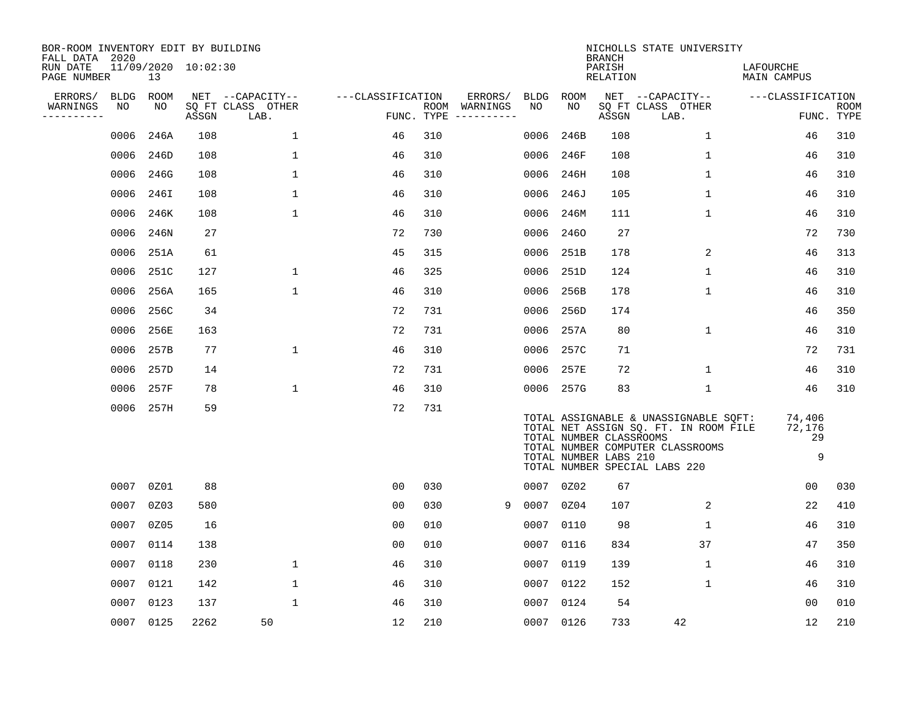| BOR-ROOM INVENTORY EDIT BY BUILDING<br>FALL DATA 2020 |             |           |                     |                           |                   |                    |                                                                                                                                                                                                                                                                                                                                                                                                                                                                                         |             |           | <b>BRANCH</b>                                    | NICHOLLS STATE UNIVERSITY                                                                                                                           |                             |                           |
|-------------------------------------------------------|-------------|-----------|---------------------|---------------------------|-------------------|--------------------|-----------------------------------------------------------------------------------------------------------------------------------------------------------------------------------------------------------------------------------------------------------------------------------------------------------------------------------------------------------------------------------------------------------------------------------------------------------------------------------------|-------------|-----------|--------------------------------------------------|-----------------------------------------------------------------------------------------------------------------------------------------------------|-----------------------------|---------------------------|
| RUN DATE<br>PAGE NUMBER                               |             | 13        | 11/09/2020 10:02:30 |                           |                   |                    |                                                                                                                                                                                                                                                                                                                                                                                                                                                                                         |             |           | PARISH<br>RELATION                               |                                                                                                                                                     | LAFOURCHE<br>MAIN CAMPUS    |                           |
| ERRORS/                                               | <b>BLDG</b> | ROOM      |                     | NET --CAPACITY--          | ---CLASSIFICATION |                    | ERRORS/                                                                                                                                                                                                                                                                                                                                                                                                                                                                                 | <b>BLDG</b> | ROOM      |                                                  | NET --CAPACITY--                                                                                                                                    | ---CLASSIFICATION           |                           |
| WARNINGS<br>----------                                | NO          | NO        | ASSGN               | SQ FT CLASS OTHER<br>LAB. |                   | ROOM<br>FUNC. TYPE | WARNINGS<br>$\begin{tabular}{ccccccccc} \multicolumn{2}{c }{\multicolumn{2}{c }{\multicolumn{2}{c }{\multicolumn{2}{c }{\multicolumn{2}{c}}}} & \multicolumn{2}{c }{\multicolumn{2}{c }{\multicolumn{2}{c }{\multicolumn{2}{c}}}} & \multicolumn{2}{c }{\multicolumn{2}{c }{\multicolumn{2}{c }{\multicolumn{2}{c}}}} & \multicolumn{2}{c }{\multicolumn{2}{c }{\multicolumn{2}{c }{\multicolumn{2}{c}}}} & \multicolumn{2}{c }{\multicolumn{2}{c }{\multicolumn{2}{c }{\multicolumn{2$ | NO          | NO        | ASSGN                                            | SQ FT CLASS OTHER<br>LAB.                                                                                                                           |                             | <b>ROOM</b><br>FUNC. TYPE |
|                                                       | 0006        | 246A      | 108                 | $\mathbf{1}$              | 46                | 310                |                                                                                                                                                                                                                                                                                                                                                                                                                                                                                         | 0006        | 246B      | 108                                              | $\mathbf 1$                                                                                                                                         | 46                          | 310                       |
|                                                       | 0006        | 246D      | 108                 | 1                         | 46                | 310                |                                                                                                                                                                                                                                                                                                                                                                                                                                                                                         | 0006        | 246F      | 108                                              | $\mathbf 1$                                                                                                                                         | 46                          | 310                       |
|                                                       | 0006        | 246G      | 108                 | 1                         | 46                | 310                |                                                                                                                                                                                                                                                                                                                                                                                                                                                                                         | 0006        | 246H      | 108                                              | $\mathbf 1$                                                                                                                                         | 46                          | 310                       |
|                                                       | 0006        | 246I      | 108                 | 1                         | 46                | 310                |                                                                                                                                                                                                                                                                                                                                                                                                                                                                                         | 0006        | 246J      | 105                                              | $\mathbf{1}$                                                                                                                                        | 46                          | 310                       |
|                                                       | 0006        | 246K      | 108                 | $\mathbf{1}$              | 46                | 310                |                                                                                                                                                                                                                                                                                                                                                                                                                                                                                         | 0006        | 246M      | 111                                              | $\mathbf{1}$                                                                                                                                        | 46                          | 310                       |
|                                                       | 0006        | 246N      | 27                  |                           | 72                | 730                |                                                                                                                                                                                                                                                                                                                                                                                                                                                                                         | 0006        | 2460      | 27                                               |                                                                                                                                                     | 72                          | 730                       |
|                                                       | 0006        | 251A      | 61                  |                           | 45                | 315                |                                                                                                                                                                                                                                                                                                                                                                                                                                                                                         | 0006        | 251B      | 178                                              | 2                                                                                                                                                   | 46                          | 313                       |
|                                                       | 0006        | 251C      | 127                 | $\mathbf{1}$              | 46                | 325                |                                                                                                                                                                                                                                                                                                                                                                                                                                                                                         |             | 0006 251D | 124                                              | $\mathbf{1}$                                                                                                                                        | 46                          | 310                       |
|                                                       | 0006        | 256A      | 165                 | $\mathbf{1}$              | 46                | 310                |                                                                                                                                                                                                                                                                                                                                                                                                                                                                                         | 0006        | 256B      | 178                                              | $\mathbf{1}$                                                                                                                                        | 46                          | 310                       |
|                                                       | 0006        | 256C      | 34                  |                           | 72                | 731                |                                                                                                                                                                                                                                                                                                                                                                                                                                                                                         | 0006        | 256D      | 174                                              |                                                                                                                                                     | 46                          | 350                       |
|                                                       | 0006        | 256E      | 163                 |                           | 72                | 731                |                                                                                                                                                                                                                                                                                                                                                                                                                                                                                         | 0006        | 257A      | 80                                               | $\mathbf 1$                                                                                                                                         | 46                          | 310                       |
|                                                       | 0006        | 257B      | 77                  | $\mathbf 1$               | 46                | 310                |                                                                                                                                                                                                                                                                                                                                                                                                                                                                                         |             | 0006 257C | 71                                               |                                                                                                                                                     | 72                          | 731                       |
|                                                       | 0006        | 257D      | 14                  |                           | 72                | 731                |                                                                                                                                                                                                                                                                                                                                                                                                                                                                                         | 0006        | 257E      | 72                                               | 1                                                                                                                                                   | 46                          | 310                       |
|                                                       | 0006        | 257F      | 78                  | $\mathbf 1$               | 46                | 310                |                                                                                                                                                                                                                                                                                                                                                                                                                                                                                         |             | 0006 257G | 83                                               | $\mathbf 1$                                                                                                                                         | 46                          | 310                       |
|                                                       | 0006        | 257H      | 59                  |                           | 72                | 731                |                                                                                                                                                                                                                                                                                                                                                                                                                                                                                         |             |           | TOTAL NUMBER CLASSROOMS<br>TOTAL NUMBER LABS 210 | TOTAL ASSIGNABLE & UNASSIGNABLE SQFT:<br>TOTAL NET ASSIGN SQ. FT. IN ROOM FILE<br>TOTAL NUMBER COMPUTER CLASSROOMS<br>TOTAL NUMBER SPECIAL LABS 220 | 74,406<br>72,176<br>29<br>9 |                           |
|                                                       | 0007        | 0Z01      | 88                  |                           | 0 <sub>0</sub>    | 030                |                                                                                                                                                                                                                                                                                                                                                                                                                                                                                         |             | 0007 0Z02 | 67                                               |                                                                                                                                                     | 0 <sub>0</sub>              | 030                       |
|                                                       | 0007        | 0Z03      | 580                 |                           | 0 <sub>0</sub>    | 030                | -9                                                                                                                                                                                                                                                                                                                                                                                                                                                                                      | 0007        | 0Z04      | 107                                              | 2                                                                                                                                                   | 22                          | 410                       |
|                                                       | 0007        | 0Z05      | 16                  |                           | 0 <sub>0</sub>    | 010                |                                                                                                                                                                                                                                                                                                                                                                                                                                                                                         | 0007        | 0110      | 98                                               | $\mathbf{1}$                                                                                                                                        | 46                          | 310                       |
|                                                       | 0007        | 0114      | 138                 |                           | 0 <sub>0</sub>    | 010                |                                                                                                                                                                                                                                                                                                                                                                                                                                                                                         | 0007        | 0116      | 834                                              | 37                                                                                                                                                  | 47                          | 350                       |
|                                                       | 0007        | 0118      | 230                 | $\mathbf{1}$              | 46                | 310                |                                                                                                                                                                                                                                                                                                                                                                                                                                                                                         | 0007        | 0119      | 139                                              | $\mathbf{1}$                                                                                                                                        | 46                          | 310                       |
|                                                       | 0007        | 0121      | 142                 | $\mathbf{1}$              | 46                | 310                |                                                                                                                                                                                                                                                                                                                                                                                                                                                                                         | 0007        | 0122      | 152                                              | $\mathbf{1}$                                                                                                                                        | 46                          | 310                       |
|                                                       | 0007        | 0123      | 137                 | $\mathbf 1$               | 46                | 310                |                                                                                                                                                                                                                                                                                                                                                                                                                                                                                         | 0007        | 0124      | 54                                               |                                                                                                                                                     | 0 <sub>0</sub>              | 010                       |
|                                                       |             | 0007 0125 | 2262                | 50                        | 12                | 210                |                                                                                                                                                                                                                                                                                                                                                                                                                                                                                         |             | 0007 0126 | 733                                              | 42                                                                                                                                                  | 12                          | 210                       |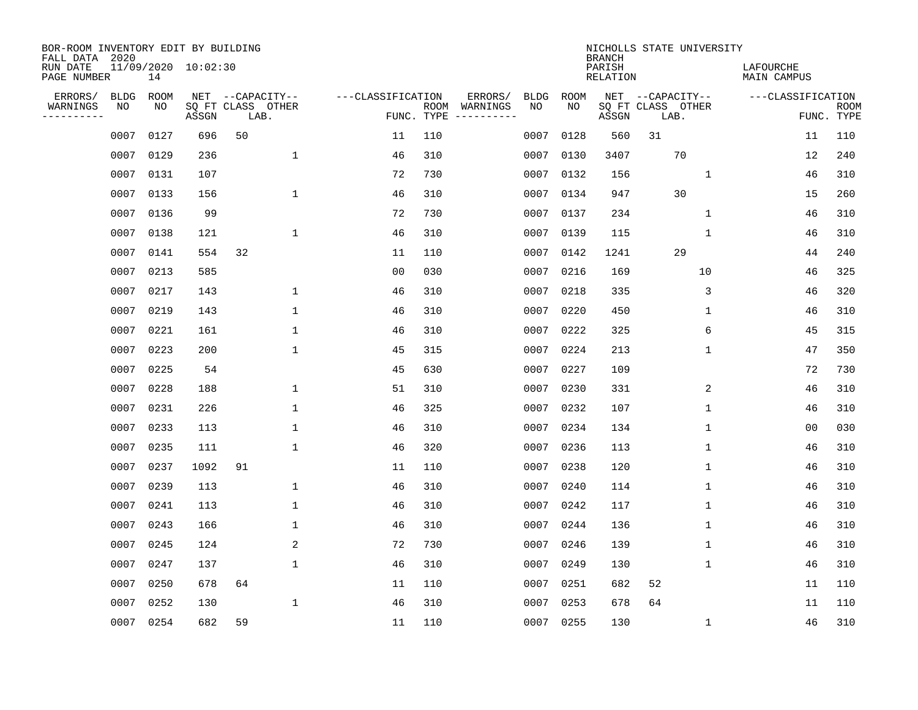| BOR-ROOM INVENTORY EDIT BY BUILDING<br>FALL DATA 2020 |             |      |                     |                           |                   |                    |                         |             |             | <b>BRANCH</b>             | NICHOLLS STATE UNIVERSITY |                                 |                           |
|-------------------------------------------------------|-------------|------|---------------------|---------------------------|-------------------|--------------------|-------------------------|-------------|-------------|---------------------------|---------------------------|---------------------------------|---------------------------|
| RUN DATE<br>PAGE NUMBER                               |             | 14   | 11/09/2020 10:02:30 |                           |                   |                    |                         |             |             | PARISH<br><b>RELATION</b> |                           | LAFOURCHE<br><b>MAIN CAMPUS</b> |                           |
| ERRORS/                                               | <b>BLDG</b> | ROOM |                     | NET --CAPACITY--          | ---CLASSIFICATION |                    | ERRORS/                 | <b>BLDG</b> | <b>ROOM</b> |                           | NET --CAPACITY--          | ---CLASSIFICATION               |                           |
| WARNINGS<br>----------                                | NO          | ΝO   | ASSGN               | SQ FT CLASS OTHER<br>LAB. |                   | ROOM<br>FUNC. TYPE | WARNINGS<br>----------- | NO          | NO          | ASSGN                     | SQ FT CLASS OTHER<br>LAB. |                                 | <b>ROOM</b><br>FUNC. TYPE |
|                                                       | 0007        | 0127 | 696                 | 50                        | 11                | 110                |                         | 0007        | 0128        | 560                       | 31                        | 11                              | 110                       |
|                                                       | 0007        | 0129 | 236                 | $\mathbf{1}$              | 46                | 310                |                         | 0007        | 0130        | 3407                      | 70                        | 12                              | 240                       |
|                                                       | 0007        | 0131 | 107                 |                           | 72                | 730                |                         | 0007        | 0132        | 156                       | 1                         | 46                              | 310                       |
|                                                       | 0007        | 0133 | 156                 | $\mathbf{1}$              | 46                | 310                |                         | 0007        | 0134        | 947                       | 30                        | 15                              | 260                       |
|                                                       | 0007        | 0136 | 99                  |                           | 72                | 730                |                         | 0007        | 0137        | 234                       | $\mathbf 1$               | 46                              | 310                       |
|                                                       | 0007        | 0138 | 121                 | 1                         | 46                | 310                |                         | 0007        | 0139        | 115                       | 1                         | 46                              | 310                       |
|                                                       | 0007        | 0141 | 554                 | 32                        | 11                | 110                |                         | 0007        | 0142        | 1241                      | 29                        | 44                              | 240                       |
|                                                       | 0007        | 0213 | 585                 |                           | 0 <sub>0</sub>    | 030                |                         | 0007        | 0216        | 169                       | 10                        | 46                              | 325                       |
|                                                       | 0007        | 0217 | 143                 | $\mathbf 1$               | 46                | 310                |                         | 0007        | 0218        | 335                       | 3                         | 46                              | 320                       |
|                                                       | 0007        | 0219 | 143                 | 1                         | 46                | 310                |                         | 0007        | 0220        | 450                       | 1                         | 46                              | 310                       |
|                                                       | 0007        | 0221 | 161                 | $\mathbf{1}$              | 46                | 310                |                         | 0007        | 0222        | 325                       | 6                         | 45                              | 315                       |
|                                                       | 0007        | 0223 | 200                 | $\mathbf{1}$              | 45                | 315                |                         | 0007        | 0224        | 213                       | 1                         | 47                              | 350                       |
|                                                       | 0007        | 0225 | 54                  |                           | 45                | 630                |                         | 0007        | 0227        | 109                       |                           | 72                              | 730                       |
|                                                       | 0007        | 0228 | 188                 | $\mathbf{1}$              | 51                | 310                |                         | 0007        | 0230        | 331                       | 2                         | 46                              | 310                       |
|                                                       | 0007        | 0231 | 226                 | 1                         | 46                | 325                |                         | 0007        | 0232        | 107                       | 1                         | 46                              | 310                       |
|                                                       | 0007        | 0233 | 113                 | 1                         | 46                | 310                |                         | 0007        | 0234        | 134                       | 1                         | 0 <sub>0</sub>                  | 030                       |
|                                                       | 0007        | 0235 | 111                 | $\mathbf 1$               | 46                | 320                |                         | 0007        | 0236        | 113                       | 1                         | 46                              | 310                       |
|                                                       | 0007        | 0237 | 1092                | 91                        | 11                | 110                |                         | 0007        | 0238        | 120                       | 1                         | 46                              | 310                       |
|                                                       | 0007        | 0239 | 113                 | $\mathbf{1}$              | 46                | 310                |                         | 0007        | 0240        | 114                       | 1                         | 46                              | 310                       |
|                                                       | 0007        | 0241 | 113                 | $\mathbf{1}$              | 46                | 310                |                         | 0007        | 0242        | 117                       | 1                         | 46                              | 310                       |
|                                                       | 0007        | 0243 | 166                 | $\mathbf{1}$              | 46                | 310                |                         | 0007        | 0244        | 136                       | 1                         | 46                              | 310                       |
|                                                       | 0007        | 0245 | 124                 | 2                         | 72                | 730                |                         | 0007        | 0246        | 139                       | 1                         | 46                              | 310                       |
|                                                       | 0007        | 0247 | 137                 | 1                         | 46                | 310                |                         | 0007        | 0249        | 130                       | 1                         | 46                              | 310                       |
|                                                       | 0007        | 0250 | 678                 | 64                        | 11                | 110                |                         | 0007        | 0251        | 682                       | 52                        | 11                              | 110                       |
|                                                       | 0007        | 0252 | 130                 | $\mathbf 1$               | 46                | 310                |                         | 0007        | 0253        | 678                       | 64                        | 11                              | 110                       |
|                                                       | 0007        | 0254 | 682                 | 59                        | 11                | 110                |                         | 0007        | 0255        | 130                       | 1                         | 46                              | 310                       |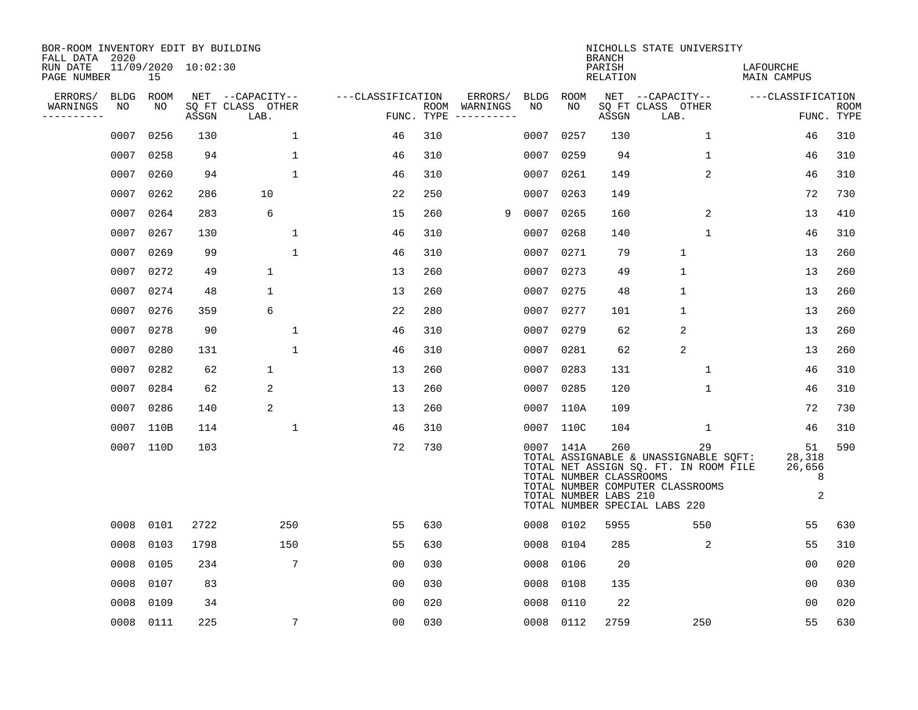| BOR-ROOM INVENTORY EDIT BY BUILDING<br>FALL DATA 2020 |                   |            |                     |                                               |                   |            |                                         |                   |            | <b>BRANCH</b>                                           | NICHOLLS STATE UNIVERSITY                                                                                                                                 |                                  |                           |
|-------------------------------------------------------|-------------------|------------|---------------------|-----------------------------------------------|-------------------|------------|-----------------------------------------|-------------------|------------|---------------------------------------------------------|-----------------------------------------------------------------------------------------------------------------------------------------------------------|----------------------------------|---------------------------|
| RUN DATE<br>PAGE NUMBER                               |                   | 15         | 11/09/2020 10:02:30 |                                               |                   |            |                                         |                   |            | PARISH<br>RELATION                                      |                                                                                                                                                           | LAFOURCHE<br><b>MAIN CAMPUS</b>  |                           |
| ERRORS/<br>WARNINGS<br>----------                     | <b>BLDG</b><br>NO | ROOM<br>NO | ASSGN               | NET --CAPACITY--<br>SQ FT CLASS OTHER<br>LAB. | ---CLASSIFICATION | FUNC. TYPE | ERRORS/<br>ROOM WARNINGS<br>----------- | <b>BLDG</b><br>NO | ROOM<br>NO | ASSGN                                                   | NET --CAPACITY--<br>SQ FT CLASS OTHER<br>LAB.                                                                                                             | ---CLASSIFICATION                | <b>ROOM</b><br>FUNC. TYPE |
|                                                       | 0007              | 0256       | 130                 | $\mathbf{1}$                                  | 46                | 310        |                                         | 0007              | 0257       | 130                                                     | $\mathbf 1$                                                                                                                                               | 46                               | 310                       |
|                                                       | 0007              | 0258       | 94                  | $\mathbf{1}$                                  | 46                | 310        |                                         | 0007              | 0259       | 94                                                      | $\mathbf 1$                                                                                                                                               | 46                               | 310                       |
|                                                       | 0007              | 0260       | 94                  | $\mathbf{1}$                                  | 46                | 310        |                                         | 0007              | 0261       | 149                                                     | $\overline{a}$                                                                                                                                            | 46                               | 310                       |
|                                                       | 0007              | 0262       | 286                 | 10                                            | 22                | 250        |                                         | 0007              | 0263       | 149                                                     |                                                                                                                                                           | 72                               | 730                       |
|                                                       | 0007              | 0264       | 283                 | 6                                             | 15                | 260        | 9                                       | 0007              | 0265       | 160                                                     | $\overline{2}$                                                                                                                                            | 13                               | 410                       |
|                                                       | 0007              | 0267       | 130                 | $\mathbf{1}$                                  | 46                | 310        |                                         |                   | 0007 0268  | 140                                                     | $\mathbf{1}$                                                                                                                                              | 46                               | 310                       |
|                                                       | 0007              | 0269       | 99                  | 1                                             | 46                | 310        |                                         |                   | 0007 0271  | 79                                                      | $\mathbf{1}$                                                                                                                                              | 13                               | 260                       |
|                                                       | 0007              | 0272       | 49                  | $\mathbf{1}$                                  | 13                | 260        |                                         |                   | 0007 0273  | 49                                                      | $\mathbf{1}$                                                                                                                                              | 13                               | 260                       |
|                                                       | 0007              | 0274       | 48                  | $\mathbf 1$                                   | 13                | 260        |                                         | 0007              | 0275       | 48                                                      | $\mathbf{1}$                                                                                                                                              | 13                               | 260                       |
|                                                       |                   | 0007 0276  | 359                 | 6                                             | 22                | 280        |                                         | 0007              | 0277       | 101                                                     | $\mathbf 1$                                                                                                                                               | 13                               | 260                       |
|                                                       | 0007              | 0278       | 90                  | 1                                             | 46                | 310        |                                         | 0007              | 0279       | 62                                                      | $\overline{a}$                                                                                                                                            | 13                               | 260                       |
|                                                       | 0007              | 0280       | 131                 | 1                                             | 46                | 310        |                                         | 0007              | 0281       | 62                                                      | 2                                                                                                                                                         | 13                               | 260                       |
|                                                       | 0007              | 0282       | 62                  | 1                                             | 13                | 260        |                                         | 0007              | 0283       | 131                                                     | $\mathbf 1$                                                                                                                                               | 46                               | 310                       |
|                                                       | 0007              | 0284       | 62                  | 2                                             | 13                | 260        |                                         | 0007              | 0285       | 120                                                     | $\mathbf{1}$                                                                                                                                              | 46                               | 310                       |
|                                                       | 0007              | 0286       | 140                 | 2                                             | 13                | 260        |                                         |                   | 0007 110A  | 109                                                     |                                                                                                                                                           | 72                               | 730                       |
|                                                       | 0007              | 110B       | 114                 | 1                                             | 46                | 310        |                                         |                   | 0007 110C  | 104                                                     | 1                                                                                                                                                         | 46                               | 310                       |
|                                                       |                   | 0007 110D  | 103                 |                                               | 72                | 730        |                                         |                   | 0007 141A  | 260<br>TOTAL NUMBER CLASSROOMS<br>TOTAL NUMBER LABS 210 | 29<br>TOTAL ASSIGNABLE & UNASSIGNABLE SQFT:<br>TOTAL NET ASSIGN SQ. FT. IN ROOM FILE<br>TOTAL NUMBER COMPUTER CLASSROOMS<br>TOTAL NUMBER SPECIAL LABS 220 | 51<br>28,318<br>26,656<br>8<br>2 | 590                       |
|                                                       | 0008              | 0101       | 2722                | 250                                           | 55                | 630        |                                         |                   | 0008 0102  | 5955                                                    | 550                                                                                                                                                       | 55                               | 630                       |
|                                                       | 0008              | 0103       | 1798                | 150                                           | 55                | 630        |                                         | 0008              | 0104       | 285                                                     | 2                                                                                                                                                         | 55                               | 310                       |
|                                                       | 0008              | 0105       | 234                 | 7                                             | 0 <sub>0</sub>    | 030        |                                         | 0008              | 0106       | 20                                                      |                                                                                                                                                           | 0 <sub>0</sub>                   | 020                       |
|                                                       | 0008              | 0107       | 83                  |                                               | 0 <sub>0</sub>    | 030        |                                         | 0008              | 0108       | 135                                                     |                                                                                                                                                           | 0 <sub>0</sub>                   | 030                       |
|                                                       | 0008              | 0109       | 34                  |                                               | 0 <sub>0</sub>    | 020        |                                         | 0008              | 0110       | 22                                                      |                                                                                                                                                           | 0 <sub>0</sub>                   | 020                       |
|                                                       |                   | 0008 0111  | 225                 | 7                                             | 0 <sub>0</sub>    | 030        |                                         |                   | 0008 0112  | 2759                                                    | 250                                                                                                                                                       | 55                               | 630                       |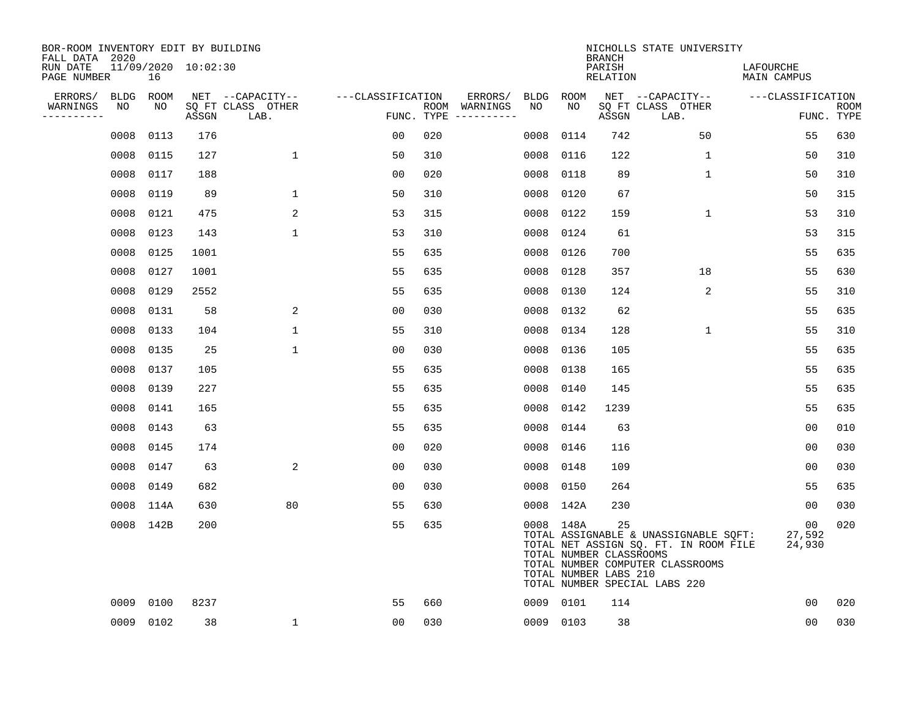| BOR-ROOM INVENTORY EDIT BY BUILDING<br>FALL DATA 2020 |             |           |                     |                           |                   |     |                                      |             |             | <b>BRANCH</b>                                          | NICHOLLS STATE UNIVERSITY                                                                                                                           |                                 |                           |
|-------------------------------------------------------|-------------|-----------|---------------------|---------------------------|-------------------|-----|--------------------------------------|-------------|-------------|--------------------------------------------------------|-----------------------------------------------------------------------------------------------------------------------------------------------------|---------------------------------|---------------------------|
| RUN DATE<br>PAGE NUMBER                               |             | 16        | 11/09/2020 10:02:30 |                           |                   |     |                                      |             |             | PARISH<br><b>RELATION</b>                              |                                                                                                                                                     | LAFOURCHE<br><b>MAIN CAMPUS</b> |                           |
| ERRORS/                                               | <b>BLDG</b> | ROOM      |                     | NET --CAPACITY--          | ---CLASSIFICATION |     | ERRORS/                              | <b>BLDG</b> | <b>ROOM</b> |                                                        | NET --CAPACITY--                                                                                                                                    | ---CLASSIFICATION               |                           |
| WARNINGS<br>----------                                | NO          | NO        | ASSGN               | SQ FT CLASS OTHER<br>LAB. |                   |     | ROOM WARNINGS<br>FUNC. TYPE $------$ | NO          | NO.         | ASSGN                                                  | SQ FT CLASS OTHER<br>LAB.                                                                                                                           |                                 | <b>ROOM</b><br>FUNC. TYPE |
|                                                       | 0008        | 0113      | 176                 |                           | 00                | 020 |                                      | 0008        | 0114        | 742                                                    | 50                                                                                                                                                  | 55                              | 630                       |
|                                                       |             | 0008 0115 | 127                 | $\mathbf 1$               | 50                | 310 |                                      | 0008        | 0116        | 122                                                    | 1                                                                                                                                                   | 50                              | 310                       |
|                                                       | 0008        | 0117      | 188                 |                           | 0 <sub>0</sub>    | 020 |                                      | 0008        | 0118        | 89                                                     | $\mathbf 1$                                                                                                                                         | 50                              | 310                       |
|                                                       | 0008        | 0119      | 89                  | $\mathbf 1$               | 50                | 310 |                                      | 0008        | 0120        | 67                                                     |                                                                                                                                                     | 50                              | 315                       |
|                                                       | 0008        | 0121      | 475                 | 2                         | 53                | 315 |                                      | 0008        | 0122        | 159                                                    | $\mathbf 1$                                                                                                                                         | 53                              | 310                       |
|                                                       |             | 0008 0123 | 143                 | $\mathbf{1}$              | 53                | 310 |                                      | 0008        | 0124        | 61                                                     |                                                                                                                                                     | 53                              | 315                       |
|                                                       |             | 0008 0125 | 1001                |                           | 55                | 635 |                                      | 0008        | 0126        | 700                                                    |                                                                                                                                                     | 55                              | 635                       |
|                                                       |             | 0008 0127 | 1001                |                           | 55                | 635 |                                      | 0008        | 0128        | 357                                                    | 18                                                                                                                                                  | 55                              | 630                       |
|                                                       | 0008        | 0129      | 2552                |                           | 55                | 635 |                                      | 0008        | 0130        | 124                                                    | $\overline{a}$                                                                                                                                      | 55                              | 310                       |
|                                                       |             | 0008 0131 | 58                  | 2                         | 0 <sub>0</sub>    | 030 |                                      | 0008        | 0132        | 62                                                     |                                                                                                                                                     | 55                              | 635                       |
|                                                       |             | 0008 0133 | 104                 | $\mathbf 1$               | 55                | 310 |                                      | 0008        | 0134        | 128                                                    | $\mathbf 1$                                                                                                                                         | 55                              | 310                       |
|                                                       |             | 0008 0135 | 25                  | $\mathbf{1}$              | 0 <sub>0</sub>    | 030 |                                      | 0008        | 0136        | 105                                                    |                                                                                                                                                     | 55                              | 635                       |
|                                                       | 0008        | 0137      | 105                 |                           | 55                | 635 |                                      | 0008        | 0138        | 165                                                    |                                                                                                                                                     | 55                              | 635                       |
|                                                       |             | 0008 0139 | 227                 |                           | 55                | 635 |                                      | 0008        | 0140        | 145                                                    |                                                                                                                                                     | 55                              | 635                       |
|                                                       |             | 0008 0141 | 165                 |                           | 55                | 635 |                                      | 0008        | 0142        | 1239                                                   |                                                                                                                                                     | 55                              | 635                       |
|                                                       |             | 0008 0143 | 63                  |                           | 55                | 635 |                                      | 0008        | 0144        | 63                                                     |                                                                                                                                                     | 0 <sub>0</sub>                  | 010                       |
|                                                       | 0008        | 0145      | 174                 |                           | 0 <sub>0</sub>    | 020 |                                      | 0008        | 0146        | 116                                                    |                                                                                                                                                     | 00                              | 030                       |
|                                                       | 0008        | 0147      | 63                  | 2                         | 00                | 030 |                                      | 0008        | 0148        | 109                                                    |                                                                                                                                                     | 0 <sub>0</sub>                  | 030                       |
|                                                       |             | 0008 0149 | 682                 |                           | 0 <sub>0</sub>    | 030 |                                      |             | 0008 0150   | 264                                                    |                                                                                                                                                     | 55                              | 635                       |
|                                                       |             | 0008 114A | 630                 | 80                        | 55                | 630 |                                      |             | 0008 142A   | 230                                                    |                                                                                                                                                     | 00                              | 030                       |
|                                                       |             | 0008 142B | 200                 |                           | 55                | 635 |                                      |             | 0008 148A   | 25<br>TOTAL NUMBER CLASSROOMS<br>TOTAL NUMBER LABS 210 | TOTAL ASSIGNABLE & UNASSIGNABLE SQFT:<br>TOTAL NET ASSIGN SQ. FT. IN ROOM FILE<br>TOTAL NUMBER COMPUTER CLASSROOMS<br>TOTAL NUMBER SPECIAL LABS 220 | 00<br>27,592<br>24,930          | 020                       |
|                                                       | 0009        | 0100      | 8237                |                           | 55                | 660 |                                      |             | 0009 0101   | 114                                                    |                                                                                                                                                     | 0 <sub>0</sub>                  | 020                       |
|                                                       |             | 0009 0102 | 38                  | $\mathbf{1}$              | 00                | 030 |                                      |             | 0009 0103   | 38                                                     |                                                                                                                                                     | 0 <sub>0</sub>                  | 030                       |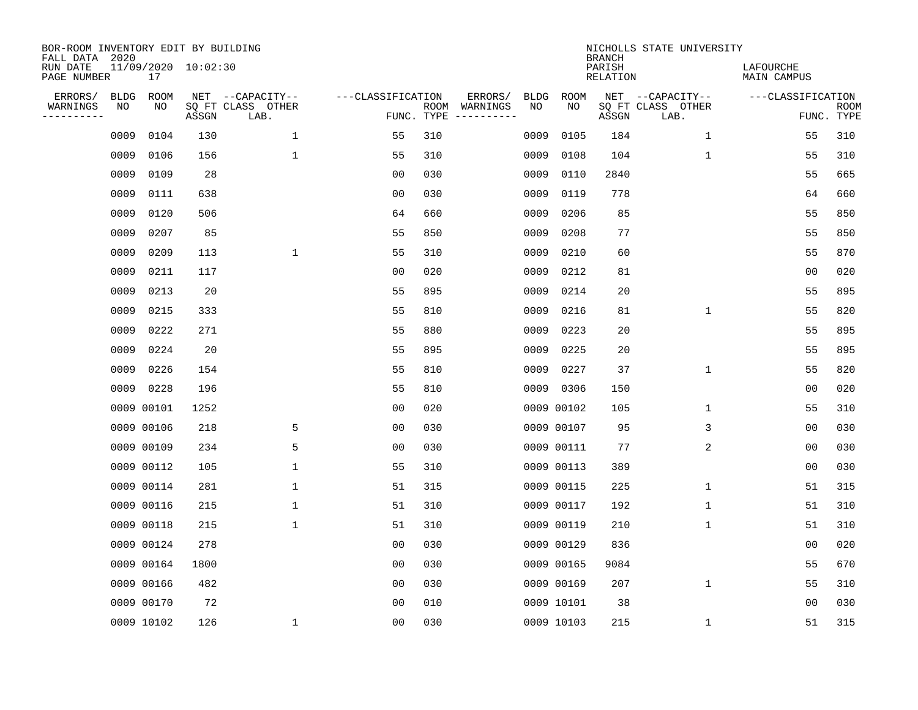| BOR-ROOM INVENTORY EDIT BY BUILDING<br>FALL DATA 2020 |             |            |                     |                           |                   |                    |                         |             |             | <b>BRANCH</b>             | NICHOLLS STATE UNIVERSITY |                                 |                           |
|-------------------------------------------------------|-------------|------------|---------------------|---------------------------|-------------------|--------------------|-------------------------|-------------|-------------|---------------------------|---------------------------|---------------------------------|---------------------------|
| RUN DATE<br>PAGE NUMBER                               |             | 17         | 11/09/2020 10:02:30 |                           |                   |                    |                         |             |             | PARISH<br><b>RELATION</b> |                           | LAFOURCHE<br><b>MAIN CAMPUS</b> |                           |
| ERRORS/                                               | <b>BLDG</b> | ROOM       |                     | NET --CAPACITY--          | ---CLASSIFICATION |                    | ERRORS/                 | <b>BLDG</b> | <b>ROOM</b> |                           | NET --CAPACITY--          | ---CLASSIFICATION               |                           |
| WARNINGS<br>----------                                | NO          | ΝO         | ASSGN               | SQ FT CLASS OTHER<br>LAB. |                   | ROOM<br>FUNC. TYPE | WARNINGS<br>----------- | NO          | NO          | ASSGN                     | SQ FT CLASS OTHER<br>LAB. |                                 | <b>ROOM</b><br>FUNC. TYPE |
|                                                       | 0009        | 0104       | 130                 | 1                         | 55                | 310                |                         | 0009        | 0105        | 184                       | $\mathbf{1}$              | 55                              | 310                       |
|                                                       | 0009        | 0106       | 156                 | $\mathbf 1$               | 55                | 310                |                         | 0009        | 0108        | 104                       | 1                         | 55                              | 310                       |
|                                                       | 0009        | 0109       | 28                  |                           | 0 <sub>0</sub>    | 030                |                         | 0009        | 0110        | 2840                      |                           | 55                              | 665                       |
|                                                       | 0009        | 0111       | 638                 |                           | 0 <sub>0</sub>    | 030                |                         | 0009        | 0119        | 778                       |                           | 64                              | 660                       |
|                                                       | 0009        | 0120       | 506                 |                           | 64                | 660                |                         | 0009        | 0206        | 85                        |                           | 55                              | 850                       |
|                                                       | 0009        | 0207       | 85                  |                           | 55                | 850                |                         | 0009        | 0208        | 77                        |                           | 55                              | 850                       |
|                                                       | 0009        | 0209       | 113                 | $\mathbf 1$               | 55                | 310                |                         | 0009        | 0210        | 60                        |                           | 55                              | 870                       |
|                                                       | 0009        | 0211       | 117                 |                           | 0 <sub>0</sub>    | 020                |                         | 0009        | 0212        | 81                        |                           | 0 <sub>0</sub>                  | 020                       |
|                                                       | 0009        | 0213       | 20                  |                           | 55                | 895                |                         | 0009        | 0214        | 20                        |                           | 55                              | 895                       |
|                                                       | 0009        | 0215       | 333                 |                           | 55                | 810                |                         | 0009        | 0216        | 81                        | 1                         | 55                              | 820                       |
|                                                       | 0009        | 0222       | 271                 |                           | 55                | 880                |                         | 0009        | 0223        | 20                        |                           | 55                              | 895                       |
|                                                       | 0009        | 0224       | 20                  |                           | 55                | 895                |                         | 0009        | 0225        | 20                        |                           | 55                              | 895                       |
|                                                       | 0009        | 0226       | 154                 |                           | 55                | 810                |                         | 0009        | 0227        | 37                        | $\mathbf 1$               | 55                              | 820                       |
|                                                       |             | 0009 0228  | 196                 |                           | 55                | 810                |                         |             | 0009 0306   | 150                       |                           | 0 <sub>0</sub>                  | 020                       |
|                                                       |             | 0009 00101 | 1252                |                           | 0 <sub>0</sub>    | 020                |                         |             | 0009 00102  | 105                       | 1                         | 55                              | 310                       |
|                                                       |             | 0009 00106 | 218                 | 5                         | 0 <sub>0</sub>    | 030                |                         |             | 0009 00107  | 95                        | 3                         | 00                              | 030                       |
|                                                       |             | 0009 00109 | 234                 | 5                         | 00                | 030                |                         |             | 0009 00111  | 77                        | 2                         | 00                              | 030                       |
|                                                       |             | 0009 00112 | 105                 | $\mathbf 1$               | 55                | 310                |                         |             | 0009 00113  | 389                       |                           | 0 <sub>0</sub>                  | 030                       |
|                                                       |             | 0009 00114 | 281                 | 1                         | 51                | 315                |                         |             | 0009 00115  | 225                       | 1                         | 51                              | 315                       |
|                                                       |             | 0009 00116 | 215                 | 1                         | 51                | 310                |                         |             | 0009 00117  | 192                       | 1                         | 51                              | 310                       |
|                                                       |             | 0009 00118 | 215                 | $\mathbf 1$               | 51                | 310                |                         |             | 0009 00119  | 210                       | 1                         | 51                              | 310                       |
|                                                       |             | 0009 00124 | 278                 |                           | 0 <sub>0</sub>    | 030                |                         |             | 0009 00129  | 836                       |                           | 0 <sub>0</sub>                  | 020                       |
|                                                       |             | 0009 00164 | 1800                |                           | 0 <sub>0</sub>    | 030                |                         |             | 0009 00165  | 9084                      |                           | 55                              | 670                       |
|                                                       |             | 0009 00166 | 482                 |                           | 0 <sub>0</sub>    | 030                |                         |             | 0009 00169  | 207                       | $\mathbf 1$               | 55                              | 310                       |
|                                                       |             | 0009 00170 | 72                  |                           | 0 <sub>0</sub>    | 010                |                         |             | 0009 10101  | 38                        |                           | 0 <sub>0</sub>                  | 030                       |
|                                                       |             | 0009 10102 | 126                 | $\mathbf{1}$              | 0 <sub>0</sub>    | 030                |                         |             | 0009 10103  | 215                       | 1                         | 51                              | 315                       |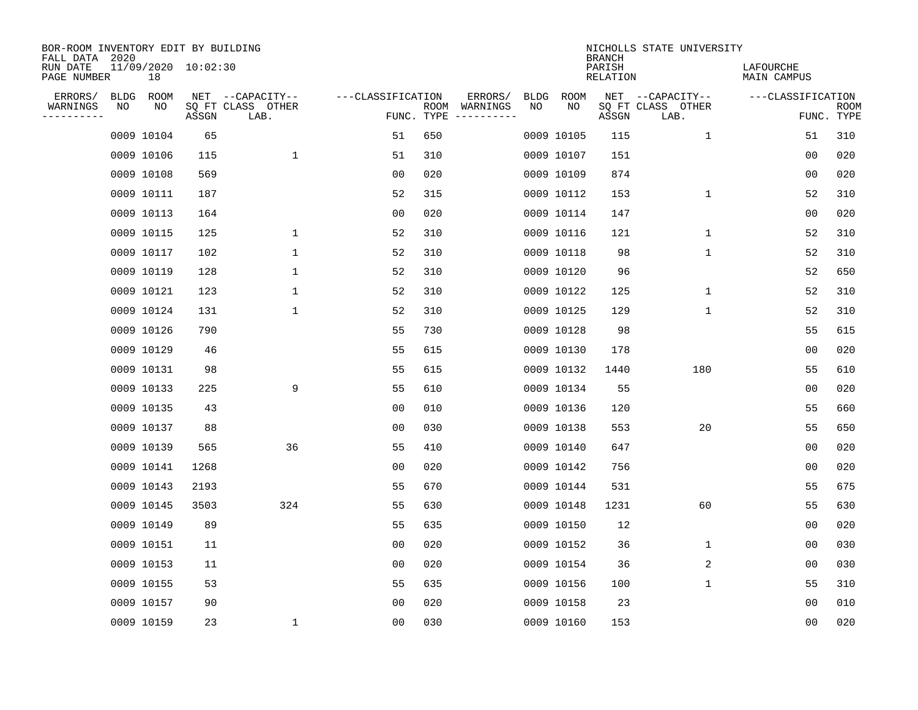| BOR-ROOM INVENTORY EDIT BY BUILDING<br>FALL DATA 2020 |             |                           |       |                           |                   |                    |                         |             |             | <b>BRANCH</b>      | NICHOLLS STATE UNIVERSITY |                          |                           |
|-------------------------------------------------------|-------------|---------------------------|-------|---------------------------|-------------------|--------------------|-------------------------|-------------|-------------|--------------------|---------------------------|--------------------------|---------------------------|
| RUN DATE<br>PAGE NUMBER                               |             | 11/09/2020 10:02:30<br>18 |       |                           |                   |                    |                         |             |             | PARISH<br>RELATION |                           | LAFOURCHE<br>MAIN CAMPUS |                           |
| ERRORS/                                               | <b>BLDG</b> | <b>ROOM</b>               |       | NET --CAPACITY--          | ---CLASSIFICATION |                    | ERRORS/                 | <b>BLDG</b> | <b>ROOM</b> |                    | NET --CAPACITY--          | ---CLASSIFICATION        |                           |
| WARNINGS<br>----------                                | NO          | NO                        | ASSGN | SQ FT CLASS OTHER<br>LAB. |                   | ROOM<br>FUNC. TYPE | WARNINGS<br>----------- | NO          | NO          | ASSGN              | SQ FT CLASS OTHER<br>LAB. |                          | <b>ROOM</b><br>FUNC. TYPE |
|                                                       |             | 0009 10104                | 65    |                           | 51                | 650                |                         |             | 0009 10105  | 115                | $\mathbf 1$               | 51                       | 310                       |
|                                                       |             | 0009 10106                | 115   | $\mathbf{1}$              | 51                | 310                |                         |             | 0009 10107  | 151                |                           | 0 <sub>0</sub>           | 020                       |
|                                                       |             | 0009 10108                | 569   |                           | 00                | 020                |                         |             | 0009 10109  | 874                |                           | 00                       | 020                       |
|                                                       |             | 0009 10111                | 187   |                           | 52                | 315                |                         |             | 0009 10112  | 153                | 1                         | 52                       | 310                       |
|                                                       |             | 0009 10113                | 164   |                           | 00                | 020                |                         |             | 0009 10114  | 147                |                           | 00                       | 020                       |
|                                                       |             | 0009 10115                | 125   | 1                         | 52                | 310                |                         |             | 0009 10116  | 121                | 1                         | 52                       | 310                       |
|                                                       |             | 0009 10117                | 102   | 1                         | 52                | 310                |                         |             | 0009 10118  | 98                 | 1                         | 52                       | 310                       |
|                                                       |             | 0009 10119                | 128   | 1                         | 52                | 310                |                         |             | 0009 10120  | 96                 |                           | 52                       | 650                       |
|                                                       |             | 0009 10121                | 123   | 1                         | 52                | 310                |                         |             | 0009 10122  | 125                | $\mathbf 1$               | 52                       | 310                       |
|                                                       |             | 0009 10124                | 131   | 1                         | 52                | 310                |                         |             | 0009 10125  | 129                | $\mathbf 1$               | 52                       | 310                       |
|                                                       |             | 0009 10126                | 790   |                           | 55                | 730                |                         |             | 0009 10128  | 98                 |                           | 55                       | 615                       |
|                                                       |             | 0009 10129                | 46    |                           | 55                | 615                |                         |             | 0009 10130  | 178                |                           | 0 <sub>0</sub>           | 020                       |
|                                                       |             | 0009 10131                | 98    |                           | 55                | 615                |                         |             | 0009 10132  | 1440               | 180                       | 55                       | 610                       |
|                                                       |             | 0009 10133                | 225   | 9                         | 55                | 610                |                         |             | 0009 10134  | 55                 |                           | 0 <sub>0</sub>           | 020                       |
|                                                       |             | 0009 10135                | 43    |                           | 0 <sub>0</sub>    | 010                |                         |             | 0009 10136  | 120                |                           | 55                       | 660                       |
|                                                       |             | 0009 10137                | 88    |                           | 0 <sub>0</sub>    | 030                |                         |             | 0009 10138  | 553                | 20                        | 55                       | 650                       |
|                                                       |             | 0009 10139                | 565   | 36                        | 55                | 410                |                         |             | 0009 10140  | 647                |                           | 0 <sub>0</sub>           | 020                       |
|                                                       |             | 0009 10141                | 1268  |                           | 00                | 020                |                         |             | 0009 10142  | 756                |                           | 0 <sub>0</sub>           | 020                       |
|                                                       |             | 0009 10143                | 2193  |                           | 55                | 670                |                         |             | 0009 10144  | 531                |                           | 55                       | 675                       |
|                                                       |             | 0009 10145                | 3503  | 324                       | 55                | 630                |                         |             | 0009 10148  | 1231               | 60                        | 55                       | 630                       |
|                                                       |             | 0009 10149                | 89    |                           | 55                | 635                |                         |             | 0009 10150  | 12                 |                           | 00                       | 020                       |
|                                                       |             | 0009 10151                | 11    |                           | 00                | 020                |                         |             | 0009 10152  | 36                 | 1                         | 00                       | 030                       |
|                                                       |             | 0009 10153                | 11    |                           | 00                | 020                |                         |             | 0009 10154  | 36                 | 2                         | 00                       | 030                       |
|                                                       |             | 0009 10155                | 53    |                           | 55                | 635                |                         |             | 0009 10156  | 100                | 1                         | 55                       | 310                       |
|                                                       |             | 0009 10157                | 90    |                           | 0 <sub>0</sub>    | 020                |                         |             | 0009 10158  | 23                 |                           | 0 <sub>0</sub>           | 010                       |
|                                                       |             | 0009 10159                | 23    | 1                         | 0 <sub>0</sub>    | 030                |                         |             | 0009 10160  | 153                |                           | 00                       | 020                       |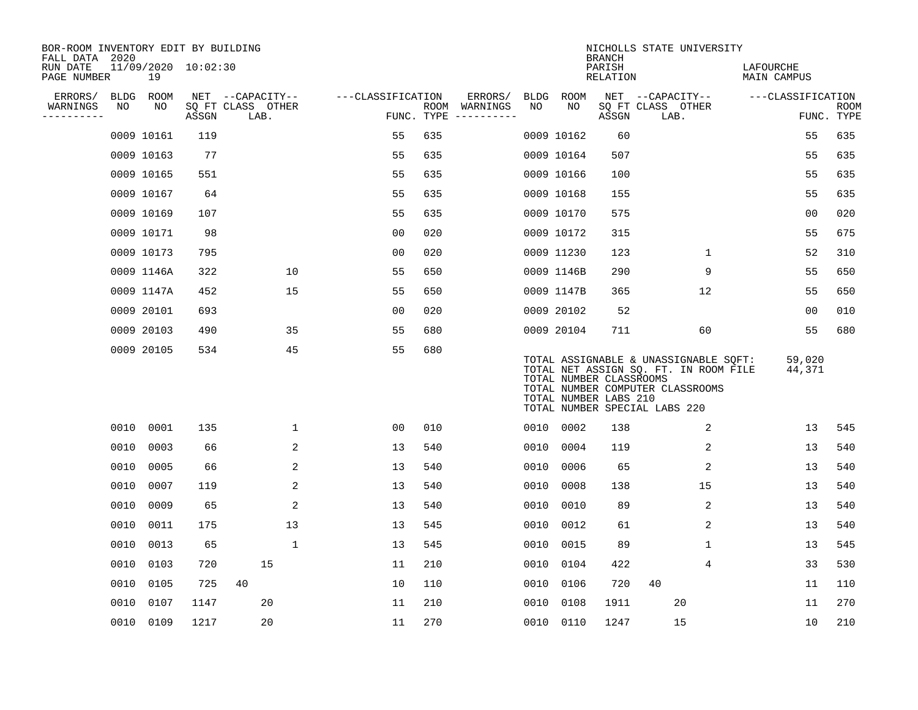| BOR-ROOM INVENTORY EDIT BY BUILDING<br>FALL DATA 2020 |      |                           |       |                           |                   |            |               |      |                                                  | <b>BRANCH</b>      | NICHOLLS STATE UNIVERSITY                                                                                                                           |                          |                           |
|-------------------------------------------------------|------|---------------------------|-------|---------------------------|-------------------|------------|---------------|------|--------------------------------------------------|--------------------|-----------------------------------------------------------------------------------------------------------------------------------------------------|--------------------------|---------------------------|
| RUN DATE<br>PAGE NUMBER                               |      | 11/09/2020 10:02:30<br>19 |       |                           |                   |            |               |      |                                                  | PARISH<br>RELATION |                                                                                                                                                     | LAFOURCHE<br>MAIN CAMPUS |                           |
| ERRORS/                                               |      | BLDG ROOM                 |       | NET --CAPACITY--          | ---CLASSIFICATION |            | ERRORS/       | BLDG | ROOM                                             |                    | NET --CAPACITY--                                                                                                                                    | ---CLASSIFICATION        |                           |
| WARNINGS<br>----------                                | NO   | NO                        | ASSGN | SQ FT CLASS OTHER<br>LAB. |                   | FUNC. TYPE | ROOM WARNINGS | NO   | NO                                               | ASSGN              | SQ FT CLASS OTHER<br>LAB.                                                                                                                           |                          | <b>ROOM</b><br>FUNC. TYPE |
|                                                       |      | 0009 10161                | 119   |                           | 55                | 635        |               |      | 0009 10162                                       | 60                 |                                                                                                                                                     | 55                       | 635                       |
|                                                       |      | 0009 10163                | 77    |                           | 55                | 635        |               |      | 0009 10164                                       | 507                |                                                                                                                                                     | 55                       | 635                       |
|                                                       |      | 0009 10165                | 551   |                           | 55                | 635        |               |      | 0009 10166                                       | 100                |                                                                                                                                                     | 55                       | 635                       |
|                                                       |      | 0009 10167                | 64    |                           | 55                | 635        |               |      | 0009 10168                                       | 155                |                                                                                                                                                     | 55                       | 635                       |
|                                                       |      | 0009 10169                | 107   |                           | 55                | 635        |               |      | 0009 10170                                       | 575                |                                                                                                                                                     | 0 <sub>0</sub>           | 020                       |
|                                                       |      | 0009 10171                | 98    |                           | 0 <sub>0</sub>    | 020        |               |      | 0009 10172                                       | 315                |                                                                                                                                                     | 55                       | 675                       |
|                                                       |      | 0009 10173                | 795   |                           | 0 <sub>0</sub>    | 020        |               |      | 0009 11230                                       | 123                | $\mathbf{1}$                                                                                                                                        | 52                       | 310                       |
|                                                       |      | 0009 1146A                | 322   | 10                        | 55                | 650        |               |      | 0009 1146B                                       | 290                | 9                                                                                                                                                   | 55                       | 650                       |
|                                                       |      | 0009 1147A                | 452   | 15                        | 55                | 650        |               |      | 0009 1147B                                       | 365                | 12                                                                                                                                                  | 55                       | 650                       |
|                                                       |      | 0009 20101                | 693   |                           | 0 <sub>0</sub>    | 020        |               |      | 0009 20102                                       | 52                 |                                                                                                                                                     | 0 <sub>0</sub>           | 010                       |
|                                                       |      | 0009 20103                | 490   | 35                        | 55                | 680        |               |      | 0009 20104                                       | 711                | 60                                                                                                                                                  | 55                       | 680                       |
|                                                       |      | 0009 20105                | 534   | 45                        | 55                | 680        |               |      | TOTAL NUMBER CLASSROOMS<br>TOTAL NUMBER LABS 210 |                    | TOTAL ASSIGNABLE & UNASSIGNABLE SQFT:<br>TOTAL NET ASSIGN SQ. FT. IN ROOM FILE<br>TOTAL NUMBER COMPUTER CLASSROOMS<br>TOTAL NUMBER SPECIAL LABS 220 | 59,020<br>44,371         |                           |
|                                                       | 0010 | 0001                      | 135   | $\mathbf{1}$              | 0 <sub>0</sub>    | 010        |               | 0010 | 0002                                             | 138                | 2                                                                                                                                                   | 13                       | 545                       |
|                                                       | 0010 | 0003                      | 66    | 2                         | 13                | 540        |               | 0010 | 0004                                             | 119                | 2                                                                                                                                                   | 13                       | 540                       |
|                                                       | 0010 | 0005                      | 66    | 2                         | 13                | 540        |               | 0010 | 0006                                             | 65                 | 2                                                                                                                                                   | 13                       | 540                       |
|                                                       | 0010 | 0007                      | 119   | 2                         | 13                | 540        |               | 0010 | 0008                                             | 138                | 15                                                                                                                                                  | 13                       | 540                       |
|                                                       | 0010 | 0009                      | 65    | 2                         | 13                | 540        |               | 0010 | 0010                                             | 89                 | 2                                                                                                                                                   | 13                       | 540                       |
|                                                       | 0010 | 0011                      | 175   | 13                        | 13                | 545        |               | 0010 | 0012                                             | 61                 | 2                                                                                                                                                   | 13                       | 540                       |
|                                                       | 0010 | 0013                      | 65    | $\mathbf{1}$              | 13                | 545        |               | 0010 | 0015                                             | 89                 | $\mathbf 1$                                                                                                                                         | 13                       | 545                       |
|                                                       | 0010 | 0103                      | 720   | 15                        | 11                | 210        |               | 0010 | 0104                                             | 422                | 4                                                                                                                                                   | 33                       | 530                       |
|                                                       | 0010 | 0105                      | 725   | 40                        | 10                | 110        |               | 0010 | 0106                                             | 720                | 40                                                                                                                                                  | 11                       | 110                       |
|                                                       | 0010 | 0107                      | 1147  | 20                        | 11                | 210        |               | 0010 | 0108                                             | 1911               | 20                                                                                                                                                  | 11                       | 270                       |
|                                                       | 0010 | 0109                      | 1217  | 20                        | 11                | 270        |               | 0010 | 0110                                             | 1247               | 15                                                                                                                                                  | 10                       | 210                       |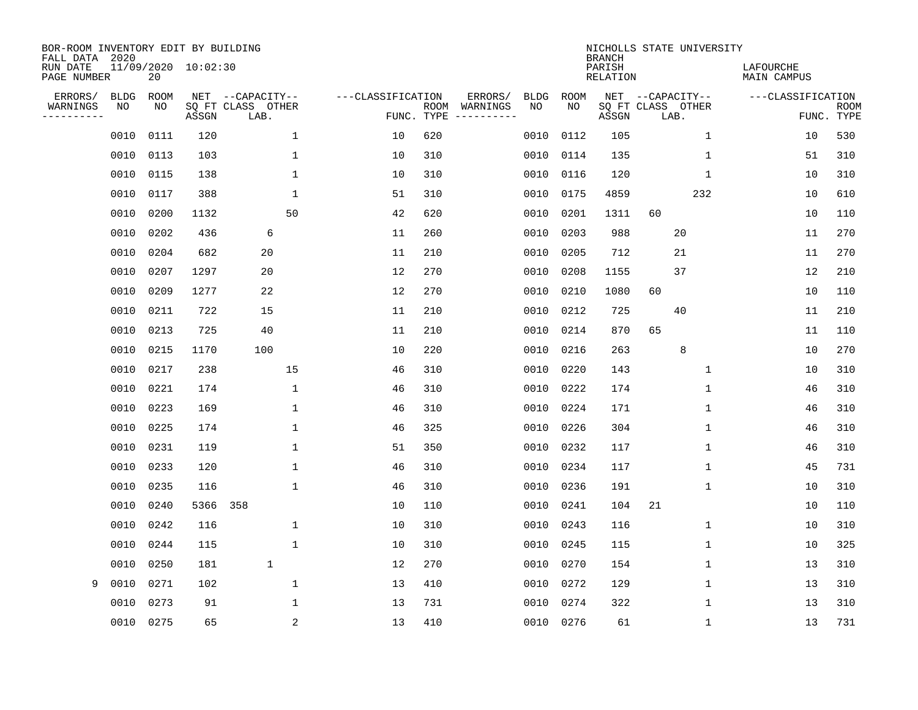| BOR-ROOM INVENTORY EDIT BY BUILDING<br>FALL DATA 2020 |             |             |                     |                           |                   |                    |                        |             |      | <b>BRANCH</b>      | NICHOLLS STATE UNIVERSITY |             |                                 |                           |
|-------------------------------------------------------|-------------|-------------|---------------------|---------------------------|-------------------|--------------------|------------------------|-------------|------|--------------------|---------------------------|-------------|---------------------------------|---------------------------|
| RUN DATE<br>PAGE NUMBER                               |             | 20          | 11/09/2020 10:02:30 |                           |                   |                    |                        |             |      | PARISH<br>RELATION |                           |             | LAFOURCHE<br><b>MAIN CAMPUS</b> |                           |
| ERRORS/                                               | <b>BLDG</b> | <b>ROOM</b> |                     | NET --CAPACITY--          | ---CLASSIFICATION |                    | ERRORS/                | <b>BLDG</b> | ROOM |                    | NET --CAPACITY--          |             | ---CLASSIFICATION               |                           |
| WARNINGS<br>---------                                 | NO          | NO          | ASSGN               | SQ FT CLASS OTHER<br>LAB. |                   | ROOM<br>FUNC. TYPE | WARNINGS<br>---------- | NO          | NO   | ASSGN              | SQ FT CLASS OTHER<br>LAB. |             |                                 | <b>ROOM</b><br>FUNC. TYPE |
|                                                       | 0010        | 0111        | 120                 | 1                         | 10                | 620                |                        | 0010        | 0112 | 105                |                           | 1           | 10                              | 530                       |
|                                                       | 0010        | 0113        | 103                 | 1                         | 10                | 310                |                        | 0010        | 0114 | 135                |                           | $\mathbf 1$ | 51                              | 310                       |
|                                                       | 0010        | 0115        | 138                 | 1                         | 10                | 310                |                        | 0010        | 0116 | 120                |                           | $\mathbf 1$ | 10                              | 310                       |
|                                                       | 0010        | 0117        | 388                 | 1                         | 51                | 310                |                        | 0010        | 0175 | 4859               |                           | 232         | 10                              | 610                       |
|                                                       | 0010        | 0200        | 1132                | 50                        | 42                | 620                |                        | 0010        | 0201 | 1311               | 60                        |             | 10                              | 110                       |
|                                                       | 0010        | 0202        | 436                 | 6                         | 11                | 260                |                        | 0010        | 0203 | 988                | 20                        |             | 11                              | 270                       |
|                                                       | 0010        | 0204        | 682                 | 20                        | 11                | 210                |                        | 0010        | 0205 | 712                | 21                        |             | 11                              | 270                       |
|                                                       | 0010        | 0207        | 1297                | 20                        | 12                | 270                |                        | 0010        | 0208 | 1155               | 37                        |             | 12                              | 210                       |
|                                                       | 0010        | 0209        | 1277                | 22                        | 12                | 270                |                        | 0010        | 0210 | 1080               | 60                        |             | 10                              | 110                       |
|                                                       | 0010        | 0211        | 722                 | 15                        | 11                | 210                |                        | 0010        | 0212 | 725                | 40                        |             | 11                              | 210                       |
|                                                       | 0010        | 0213        | 725                 | 40                        | 11                | 210                |                        | 0010        | 0214 | 870                | 65                        |             | 11                              | 110                       |
|                                                       | 0010        | 0215        | 1170                | 100                       | 10                | 220                |                        | 0010        | 0216 | 263                | 8                         |             | 10                              | 270                       |
|                                                       | 0010        | 0217        | 238                 | 15                        | 46                | 310                |                        | 0010        | 0220 | 143                |                           | 1           | 10                              | 310                       |
|                                                       | 0010        | 0221        | 174                 | 1                         | 46                | 310                |                        | 0010        | 0222 | 174                |                           | 1           | 46                              | 310                       |
|                                                       | 0010        | 0223        | 169                 | 1                         | 46                | 310                |                        | 0010        | 0224 | 171                |                           | $\mathbf 1$ | 46                              | 310                       |
|                                                       | 0010        | 0225        | 174                 | 1                         | 46                | 325                |                        | 0010        | 0226 | 304                |                           | $\mathbf 1$ | 46                              | 310                       |
|                                                       | 0010        | 0231        | 119                 | 1                         | 51                | 350                |                        | 0010        | 0232 | 117                |                           | 1           | 46                              | 310                       |
|                                                       | 0010        | 0233        | 120                 | 1                         | 46                | 310                |                        | 0010        | 0234 | 117                |                           | $\mathbf 1$ | 45                              | 731                       |
|                                                       | 0010        | 0235        | 116                 | 1                         | 46                | 310                |                        | 0010        | 0236 | 191                |                           | 1           | 10                              | 310                       |
|                                                       | 0010        | 0240        | 5366                | 358                       | 10                | 110                |                        | 0010        | 0241 | 104                | 21                        |             | 10                              | 110                       |
|                                                       | 0010        | 0242        | 116                 | 1                         | 10                | 310                |                        | 0010        | 0243 | 116                |                           | 1           | 10                              | 310                       |
|                                                       | 0010        | 0244        | 115                 | $\mathbf{1}$              | 10                | 310                |                        | 0010        | 0245 | 115                |                           | 1           | 10                              | 325                       |
|                                                       | 0010        | 0250        | 181                 | 1                         | 12                | 270                |                        | 0010        | 0270 | 154                |                           | 1           | 13                              | 310                       |
| 9                                                     | 0010        | 0271        | 102                 | $\mathbf 1$               | 13                | 410                |                        | 0010        | 0272 | 129                |                           | 1           | 13                              | 310                       |
|                                                       | 0010        | 0273        | 91                  | 1                         | 13                | 731                |                        | 0010        | 0274 | 322                |                           | $\mathbf 1$ | 13                              | 310                       |
|                                                       | 0010 0275   |             | 65                  | 2                         | 13                | 410                |                        | 0010 0276   |      | 61                 |                           | $\mathbf 1$ | 13                              | 731                       |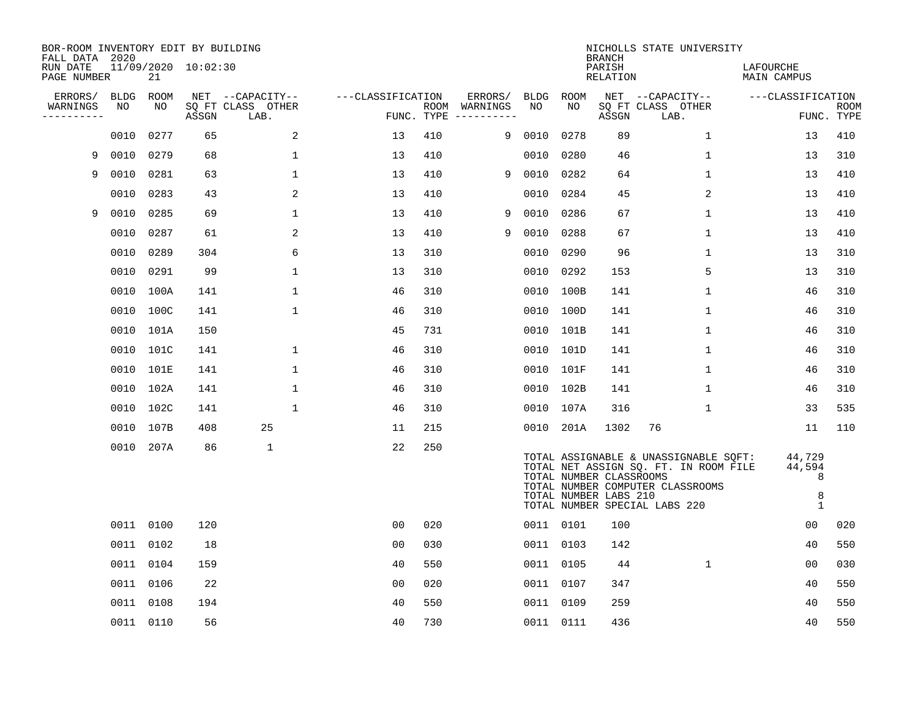| BOR-ROOM INVENTORY EDIT BY BUILDING<br>FALL DATA 2020 |             |           |                     |                           |                   |     |                                      |        |           | <b>BRANCH</b>                                    | NICHOLLS STATE UNIVERSITY                                                                                                                           |                                            |                           |
|-------------------------------------------------------|-------------|-----------|---------------------|---------------------------|-------------------|-----|--------------------------------------|--------|-----------|--------------------------------------------------|-----------------------------------------------------------------------------------------------------------------------------------------------------|--------------------------------------------|---------------------------|
| RUN DATE<br>PAGE NUMBER                               |             | 21        | 11/09/2020 10:02:30 |                           |                   |     |                                      |        |           | PARISH<br>RELATION                               |                                                                                                                                                     | LAFOURCHE<br>MAIN CAMPUS                   |                           |
| ERRORS/                                               | <b>BLDG</b> | ROOM      |                     | NET --CAPACITY--          | ---CLASSIFICATION |     | ERRORS/                              | BLDG   | ROOM      |                                                  | NET --CAPACITY--                                                                                                                                    | ---CLASSIFICATION                          |                           |
| WARNINGS<br>----------                                | NO          | NO        | ASSGN               | SQ FT CLASS OTHER<br>LAB. |                   |     | ROOM WARNINGS<br>FUNC. TYPE $------$ | NO     | NO        | ASSGN                                            | SQ FT CLASS OTHER<br>LAB.                                                                                                                           |                                            | <b>ROOM</b><br>FUNC. TYPE |
|                                                       | 0010        | 0277      | 65                  | 2                         | 13                | 410 |                                      | 9 0010 | 0278      | 89                                               | $\mathbf 1$                                                                                                                                         | 13                                         | 410                       |
| 9                                                     | 0010        | 0279      | 68                  | $\mathbf{1}$              | 13                | 410 |                                      | 0010   | 0280      | 46                                               | 1                                                                                                                                                   | 13                                         | 310                       |
| 9                                                     | 0010        | 0281      | 63                  | $\mathbf{1}$              | 13                | 410 | 9                                    | 0010   | 0282      | 64                                               | $\mathbf 1$                                                                                                                                         | 13                                         | 410                       |
|                                                       | 0010        | 0283      | 43                  | 2                         | 13                | 410 |                                      | 0010   | 0284      | 45                                               | 2                                                                                                                                                   | 13                                         | 410                       |
| 9                                                     | 0010        | 0285      | 69                  | $\mathbf{1}$              | 13                | 410 | 9                                    | 0010   | 0286      | 67                                               | $\mathbf 1$                                                                                                                                         | 13                                         | 410                       |
|                                                       |             | 0010 0287 | 61                  | 2                         | 13                | 410 | 9                                    | 0010   | 0288      | 67                                               | $\mathbf 1$                                                                                                                                         | 13                                         | 410                       |
|                                                       | 0010        | 0289      | 304                 | 6                         | 13                | 310 |                                      | 0010   | 0290      | 96                                               | $\mathbf 1$                                                                                                                                         | 13                                         | 310                       |
|                                                       |             | 0010 0291 | 99                  | $\mathbf{1}$              | 13                | 310 |                                      | 0010   | 0292      | 153                                              | 5                                                                                                                                                   | 13                                         | 310                       |
|                                                       | 0010        | 100A      | 141                 | $\mathbf 1$               | 46                | 310 |                                      | 0010   | 100B      | 141                                              | 1                                                                                                                                                   | 46                                         | 310                       |
|                                                       |             | 0010 100C | 141                 | $\mathbf{1}$              | 46                | 310 |                                      |        | 0010 100D | 141                                              | 1                                                                                                                                                   | 46                                         | 310                       |
|                                                       |             | 0010 101A | 150                 |                           | 45                | 731 |                                      |        | 0010 101B | 141                                              | 1                                                                                                                                                   | 46                                         | 310                       |
|                                                       |             | 0010 101C | 141                 | $\mathbf{1}$              | 46                | 310 |                                      |        | 0010 101D | 141                                              | 1                                                                                                                                                   | 46                                         | 310                       |
|                                                       |             | 0010 101E | 141                 | $\mathbf{1}$              | 46                | 310 |                                      |        | 0010 101F | 141                                              | 1                                                                                                                                                   | 46                                         | 310                       |
|                                                       |             | 0010 102A | 141                 | $\mathbf 1$               | 46                | 310 |                                      |        | 0010 102B | 141                                              | $\mathbf 1$                                                                                                                                         | 46                                         | 310                       |
|                                                       |             | 0010 102C | 141                 | $\mathbf 1$               | 46                | 310 |                                      |        | 0010 107A | 316                                              | 1                                                                                                                                                   | 33                                         | 535                       |
|                                                       |             | 0010 107B | 408                 | 25                        | 11                | 215 |                                      | 0010   | 201A      | 1302                                             | 76                                                                                                                                                  | 11                                         | 110                       |
|                                                       |             | 0010 207A | 86                  | $\mathbf 1$               | 22                | 250 |                                      |        |           | TOTAL NUMBER CLASSROOMS<br>TOTAL NUMBER LABS 210 | TOTAL ASSIGNABLE & UNASSIGNABLE SQFT:<br>TOTAL NET ASSIGN SQ. FT. IN ROOM FILE<br>TOTAL NUMBER COMPUTER CLASSROOMS<br>TOTAL NUMBER SPECIAL LABS 220 | 44,729<br>44,594<br>8<br>8<br>$\mathbf{1}$ |                           |
|                                                       |             | 0011 0100 | 120                 |                           | 0 <sub>0</sub>    | 020 |                                      |        | 0011 0101 | 100                                              |                                                                                                                                                     | 0 <sub>0</sub>                             | 020                       |
|                                                       |             | 0011 0102 | 18                  |                           | 0 <sub>0</sub>    | 030 |                                      |        | 0011 0103 | 142                                              |                                                                                                                                                     | 40                                         | 550                       |
|                                                       |             | 0011 0104 | 159                 |                           | 40                | 550 |                                      |        | 0011 0105 | 44                                               | $\mathbf 1$                                                                                                                                         | 0 <sub>0</sub>                             | 030                       |
|                                                       |             | 0011 0106 | 22                  |                           | 0 <sub>0</sub>    | 020 |                                      | 0011   | 0107      | 347                                              |                                                                                                                                                     | 40                                         | 550                       |
|                                                       |             | 0011 0108 | 194                 |                           | 40                | 550 |                                      |        | 0011 0109 | 259                                              |                                                                                                                                                     | 40                                         | 550                       |
|                                                       |             | 0011 0110 | 56                  |                           | 40                | 730 |                                      |        | 0011 0111 | 436                                              |                                                                                                                                                     | 40                                         | 550                       |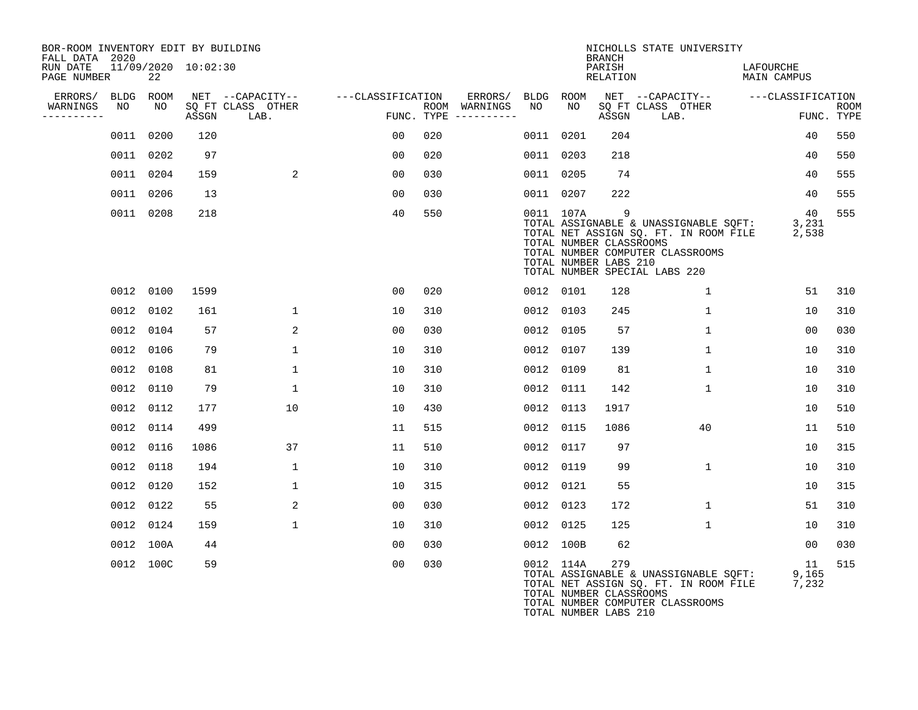| BOR-ROOM INVENTORY EDIT BY BUILDING<br>FALL DATA 2020 |                           |       |                           |                   |                                      |           |           | BRANCH                                                             | NICHOLLS STATE UNIVERSITY                                                                                                                                       |                                 |                           |
|-------------------------------------------------------|---------------------------|-------|---------------------------|-------------------|--------------------------------------|-----------|-----------|--------------------------------------------------------------------|-----------------------------------------------------------------------------------------------------------------------------------------------------------------|---------------------------------|---------------------------|
| RUN DATE<br>PAGE NUMBER                               | 11/09/2020 10:02:30<br>22 |       |                           |                   |                                      |           |           | PARISH<br>RELATION                                                 |                                                                                                                                                                 | LAFOURCHE<br><b>MAIN CAMPUS</b> |                           |
| ERRORS/ BLDG ROOM                                     |                           |       | NET --CAPACITY--          | ---CLASSIFICATION | ERRORS/                              | BLDG ROOM |           |                                                                    | NET --CAPACITY-- ---CLASSIFICATION                                                                                                                              |                                 |                           |
| WARNINGS<br>NO<br>----------                          | NO                        | ASSGN | SQ FT CLASS OTHER<br>LAB. |                   | ROOM WARNINGS<br>FUNC. TYPE $------$ | NO        | NO        | ASSGN                                                              | SQ FT CLASS OTHER<br>LAB.                                                                                                                                       |                                 | <b>ROOM</b><br>FUNC. TYPE |
|                                                       | 0011 0200                 | 120   |                           | 00                | 020                                  |           | 0011 0201 | 204                                                                |                                                                                                                                                                 | 40                              | 550                       |
|                                                       | 0011 0202                 | 97    |                           | 00                | 020                                  |           | 0011 0203 | 218                                                                |                                                                                                                                                                 | 40                              | 550                       |
|                                                       | 0011 0204                 | 159   | 2                         | 00                | 030                                  |           | 0011 0205 | 74                                                                 |                                                                                                                                                                 | 40                              | 555                       |
|                                                       | 0011 0206                 | 13    |                           | 00                | 030                                  |           | 0011 0207 | 222                                                                |                                                                                                                                                                 | 40                              | 555                       |
|                                                       | 0011 0208                 | 218   |                           | 40                | 550                                  |           | 0011 107A | $\overline{9}$<br>TOTAL NUMBER CLASSROOMS<br>TOTAL NUMBER LABS 210 | TOTAL ASSIGNABLE & UNASSIGNABLE SQFT: 3,231<br>TOTAL NET ASSIGN SQ. FT. IN ROOM FILE 2,538<br>TOTAL NUMBER COMPUTER CLASSROOMS<br>TOTAL NUMBER SPECIAL LABS 220 | 40                              | 555                       |
|                                                       | 0012 0100                 | 1599  |                           | 0 <sub>0</sub>    | 020                                  |           | 0012 0101 | 128                                                                | $\mathbf{1}$                                                                                                                                                    | 51                              | 310                       |
|                                                       | 0012 0102                 | 161   | $\mathbf{1}$              | 10                | 310                                  |           | 0012 0103 | 245                                                                | $\mathbf 1$                                                                                                                                                     | 10                              | 310                       |
|                                                       | 0012 0104                 | 57    | 2                         | 0 <sub>0</sub>    | 030                                  |           | 0012 0105 | 57                                                                 | $\mathbf{1}$                                                                                                                                                    | 00                              | 030                       |
|                                                       | 0012 0106                 | 79    | $\mathbf{1}$              | 10                | 310                                  |           | 0012 0107 | 139                                                                | $\mathbf{1}$                                                                                                                                                    | 10                              | 310                       |
|                                                       | 0012 0108                 | 81    | $\mathbf{1}$              | 10                | 310                                  |           | 0012 0109 | 81                                                                 | $\mathbf{1}$                                                                                                                                                    | 10                              | 310                       |
|                                                       | 0012 0110                 | 79    | $\mathbf 1$               | 10                | 310                                  |           | 0012 0111 | 142                                                                | $\mathbf{1}$                                                                                                                                                    | 10                              | 310                       |
|                                                       | 0012 0112                 | 177   | 10                        | 10                | 430                                  |           | 0012 0113 | 1917                                                               |                                                                                                                                                                 | 10                              | 510                       |
|                                                       | 0012 0114                 | 499   |                           | 11                | 515                                  |           | 0012 0115 | 1086                                                               | 40                                                                                                                                                              | 11                              | 510                       |
|                                                       | 0012 0116                 | 1086  | 37                        | 11                | 510                                  |           | 0012 0117 | 97                                                                 |                                                                                                                                                                 | 10                              | 315                       |
|                                                       | 0012 0118                 | 194   | $\mathbf{1}$              | 10                | 310                                  |           | 0012 0119 | 99                                                                 | $\mathbf{1}$                                                                                                                                                    | 10                              | 310                       |
|                                                       | 0012 0120                 | 152   | $\mathbf{1}$              | 10                | 315                                  |           | 0012 0121 | 55                                                                 |                                                                                                                                                                 | 10                              | 315                       |
|                                                       | 0012 0122                 | 55    | 2                         | 00                | 030                                  |           | 0012 0123 | 172                                                                | $\mathbf{1}$                                                                                                                                                    | 51                              | 310                       |
|                                                       | 0012 0124                 | 159   | $\mathbf{1}$              | 10                | 310                                  |           | 0012 0125 | 125                                                                | $\mathbf{1}$                                                                                                                                                    | 10                              | 310                       |
|                                                       | 0012 100A                 | 44    |                           | 00                | 030                                  |           | 0012 100B | 62                                                                 |                                                                                                                                                                 | 00                              | 030                       |
|                                                       | 0012 100C                 | 59    |                           | 0 <sub>0</sub>    | 030                                  |           | 0012 114A | 279<br>TOTAL NUMBER CLASSROOMS                                     | TOTAL ASSIGNABLE & UNASSIGNABLE SQFT:<br>TOTAL NET ASSIGN SQ. FT. IN ROOM FILE<br>TOTAL NUMBER COMPUTER CLASSROOMS                                              | 11<br>9,165<br>7,232            | 515                       |

TOTAL NUMBER LABS 210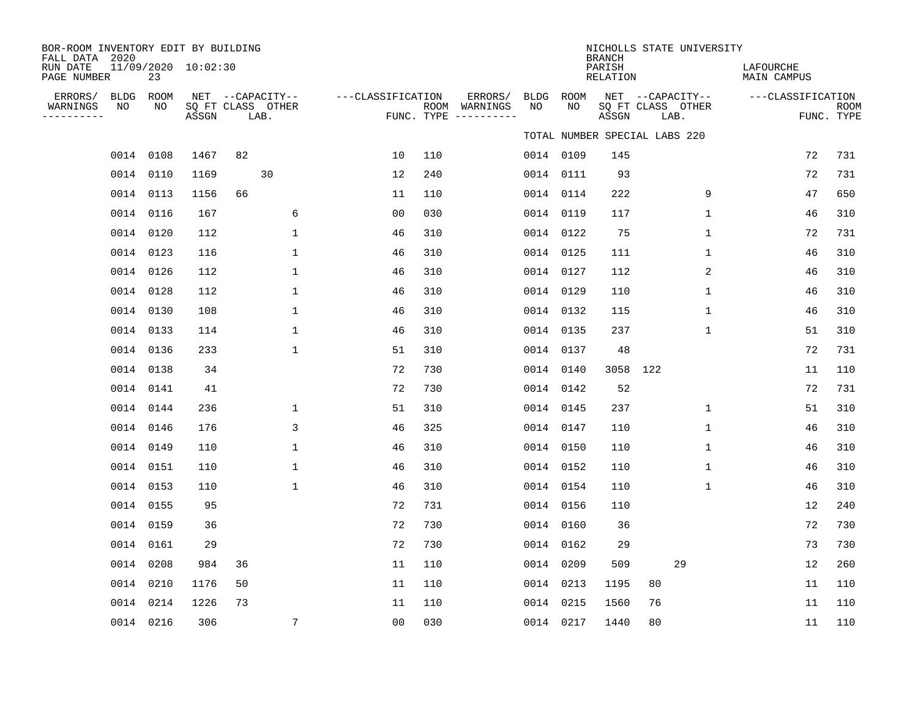| BOR-ROOM INVENTORY EDIT BY BUILDING<br>FALL DATA 2020 |    |           |                     |    |                                               |                   |     |                                                 |            |             | NICHOLLS STATE UNIVERSITY<br><b>BRANCH</b> |    |                                               |              |                          |                           |
|-------------------------------------------------------|----|-----------|---------------------|----|-----------------------------------------------|-------------------|-----|-------------------------------------------------|------------|-------------|--------------------------------------------|----|-----------------------------------------------|--------------|--------------------------|---------------------------|
| RUN DATE<br>PAGE NUMBER                               |    | 23        | 11/09/2020 10:02:30 |    |                                               |                   |     |                                                 |            |             | PARISH<br>RELATION                         |    |                                               |              | LAFOURCHE<br>MAIN CAMPUS |                           |
| ERRORS/ BLDG ROOM<br>WARNINGS<br>----------           | NO | NO        | ASSGN               |    | NET --CAPACITY--<br>SQ FT CLASS OTHER<br>LAB. | ---CLASSIFICATION |     | ERRORS/<br>ROOM WARNINGS<br>FUNC. TYPE $------$ | BLDG<br>NO | ROOM<br>NO. | ASSGN                                      |    | NET --CAPACITY--<br>SQ FT CLASS OTHER<br>LAB. |              | ---CLASSIFICATION        | <b>ROOM</b><br>FUNC. TYPE |
|                                                       |    |           |                     |    |                                               |                   |     |                                                 |            |             | TOTAL NUMBER SPECIAL LABS 220              |    |                                               |              |                          |                           |
|                                                       |    | 0014 0108 | 1467                | 82 |                                               | 10                | 110 |                                                 |            | 0014 0109   | 145                                        |    |                                               |              | 72                       | 731                       |
|                                                       |    | 0014 0110 | 1169                |    | 30                                            | 12                | 240 |                                                 |            | 0014 0111   | 93                                         |    |                                               |              | 72                       | 731                       |
|                                                       |    | 0014 0113 | 1156                | 66 |                                               | 11                | 110 |                                                 |            | 0014 0114   | 222                                        |    |                                               | 9            | 47                       | 650                       |
|                                                       |    | 0014 0116 | 167                 |    | 6                                             | 0 <sub>0</sub>    | 030 |                                                 |            | 0014 0119   | 117                                        |    |                                               | 1            | 46                       | 310                       |
|                                                       |    | 0014 0120 | 112                 |    | $\mathbf 1$                                   | 46                | 310 |                                                 |            | 0014 0122   | 75                                         |    |                                               | $\mathbf 1$  | 72                       | 731                       |
|                                                       |    | 0014 0123 | 116                 |    | $\mathbf{1}$                                  | 46                | 310 |                                                 |            | 0014 0125   | 111                                        |    |                                               | $\mathbf 1$  | 46                       | 310                       |
|                                                       |    | 0014 0126 | 112                 |    | 1                                             | 46                | 310 |                                                 |            | 0014 0127   | 112                                        |    |                                               | 2            | 46                       | 310                       |
|                                                       |    | 0014 0128 | 112                 |    | 1                                             | 46                | 310 |                                                 |            | 0014 0129   | 110                                        |    |                                               | 1            | 46                       | 310                       |
|                                                       |    | 0014 0130 | 108                 |    | 1                                             | 46                | 310 |                                                 |            | 0014 0132   | 115                                        |    |                                               | $\mathbf{1}$ | 46                       | 310                       |
|                                                       |    | 0014 0133 | 114                 |    | 1                                             | 46                | 310 |                                                 |            | 0014 0135   | 237                                        |    |                                               | 1            | 51                       | 310                       |
|                                                       |    | 0014 0136 | 233                 |    | 1                                             | 51                | 310 |                                                 |            | 0014 0137   | 48                                         |    |                                               |              | 72                       | 731                       |
|                                                       |    | 0014 0138 | 34                  |    |                                               | 72                | 730 |                                                 |            | 0014 0140   | 3058 122                                   |    |                                               |              | 11                       | 110                       |
|                                                       |    | 0014 0141 | 41                  |    |                                               | 72                | 730 |                                                 |            | 0014 0142   | 52                                         |    |                                               |              | 72                       | 731                       |
|                                                       |    | 0014 0144 | 236                 |    | 1                                             | 51                | 310 |                                                 |            | 0014 0145   | 237                                        |    |                                               | $\mathbf 1$  | 51                       | 310                       |
|                                                       |    | 0014 0146 | 176                 |    | 3                                             | 46                | 325 |                                                 |            | 0014 0147   | 110                                        |    |                                               | 1            | 46                       | 310                       |
|                                                       |    | 0014 0149 | 110                 |    | $\mathbf{1}$                                  | 46                | 310 |                                                 |            | 0014 0150   | 110                                        |    |                                               | 1            | 46                       | 310                       |
|                                                       |    | 0014 0151 | 110                 |    | $\mathbf{1}$                                  | 46                | 310 |                                                 |            | 0014 0152   | 110                                        |    |                                               | $\mathbf 1$  | 46                       | 310                       |
|                                                       |    | 0014 0153 | 110                 |    | $\mathbf{1}$                                  | 46                | 310 |                                                 |            | 0014 0154   | 110                                        |    |                                               | 1            | 46                       | 310                       |
|                                                       |    | 0014 0155 | 95                  |    |                                               | 72                | 731 |                                                 |            | 0014 0156   | 110                                        |    |                                               |              | 12                       | 240                       |
|                                                       |    | 0014 0159 | 36                  |    |                                               | 72                | 730 |                                                 |            | 0014 0160   | 36                                         |    |                                               |              | 72                       | 730                       |
|                                                       |    | 0014 0161 | 29                  |    |                                               | 72                | 730 |                                                 |            | 0014 0162   | 29                                         |    |                                               |              | 73                       | 730                       |
|                                                       |    | 0014 0208 | 984                 | 36 |                                               | 11                | 110 |                                                 |            | 0014 0209   | 509                                        |    | 29                                            |              | 12                       | 260                       |
|                                                       |    | 0014 0210 | 1176                | 50 |                                               | 11                | 110 |                                                 |            | 0014 0213   | 1195                                       | 80 |                                               |              | 11                       | 110                       |
|                                                       |    | 0014 0214 | 1226                | 73 |                                               | 11                | 110 |                                                 |            | 0014 0215   | 1560                                       | 76 |                                               |              | 11                       | 110                       |
|                                                       |    | 0014 0216 | 306                 |    | $7\phantom{.0}$                               | 0 <sub>0</sub>    | 030 |                                                 |            | 0014 0217   | 1440                                       | 80 |                                               |              | 11                       | 110                       |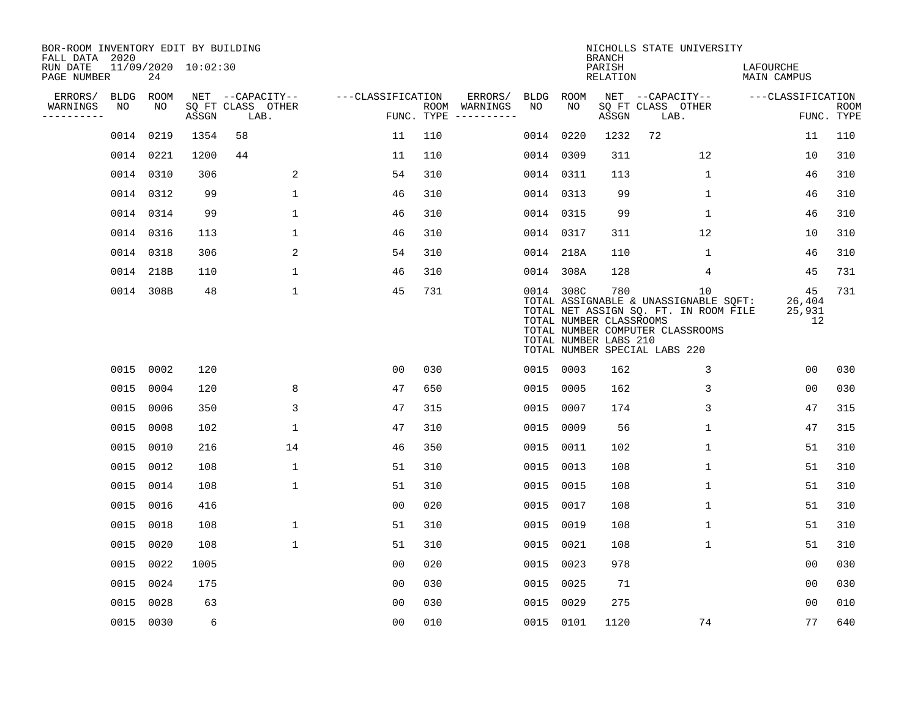| BOR-ROOM INVENTORY EDIT BY BUILDING<br>FALL DATA 2020 |      |           |                     |                           |                   |     |                                      |      |           | <b>BRANCH</b>                                           | NICHOLLS STATE UNIVERSITY                                                                                                                                              |                              |                           |
|-------------------------------------------------------|------|-----------|---------------------|---------------------------|-------------------|-----|--------------------------------------|------|-----------|---------------------------------------------------------|------------------------------------------------------------------------------------------------------------------------------------------------------------------------|------------------------------|---------------------------|
| RUN DATE<br>PAGE NUMBER                               |      | 24        | 11/09/2020 10:02:30 |                           |                   |     |                                      |      |           | PARISH<br>RELATION                                      |                                                                                                                                                                        | LAFOURCHE<br>MAIN CAMPUS     |                           |
| ERRORS/                                               | BLDG | ROOM      |                     | NET --CAPACITY--          | ---CLASSIFICATION |     | ERRORS/                              | BLDG | ROOM      |                                                         | NET --CAPACITY--                                                                                                                                                       | ---CLASSIFICATION            |                           |
| WARNINGS<br>----------                                | NO   | NO        | ASSGN               | SQ FT CLASS OTHER<br>LAB. |                   |     | ROOM WARNINGS<br>FUNC. TYPE $------$ | NO.  | NO        | ASSGN                                                   | SQ FT CLASS OTHER<br>LAB.                                                                                                                                              |                              | <b>ROOM</b><br>FUNC. TYPE |
|                                                       |      | 0014 0219 | 1354                | 58                        | 11                | 110 |                                      | 0014 | 0220      | 1232                                                    | 72                                                                                                                                                                     | 11                           | 110                       |
|                                                       |      | 0014 0221 | 1200                | 44                        | 11                | 110 |                                      |      | 0014 0309 | 311                                                     | 12                                                                                                                                                                     | 10                           | 310                       |
|                                                       |      | 0014 0310 | 306                 | 2                         | 54                | 310 |                                      |      | 0014 0311 | 113                                                     | $\mathbf{1}$                                                                                                                                                           | 46                           | 310                       |
|                                                       |      | 0014 0312 | 99                  | $\mathbf{1}$              | 46                | 310 |                                      |      | 0014 0313 | 99                                                      | $\mathbf{1}$                                                                                                                                                           | 46                           | 310                       |
|                                                       |      | 0014 0314 | 99                  | $\mathbf 1$               | 46                | 310 |                                      |      | 0014 0315 | 99                                                      | $\mathbf 1$                                                                                                                                                            | 46                           | 310                       |
|                                                       |      | 0014 0316 | 113                 | $\mathbf 1$               | 46                | 310 |                                      |      | 0014 0317 | 311                                                     | 12                                                                                                                                                                     | 10                           | 310                       |
|                                                       |      | 0014 0318 | 306                 | 2                         | 54                | 310 |                                      |      | 0014 218A | 110                                                     | $\mathbf 1$                                                                                                                                                            | 46                           | 310                       |
|                                                       |      | 0014 218B | 110                 | $\mathbf{1}$              | 46                | 310 |                                      |      | 0014 308A | 128                                                     | 4                                                                                                                                                                      | 45                           | 731                       |
|                                                       |      | 0014 308B | 48                  | $\mathbf{1}$              | 45                | 731 |                                      |      | 0014 308C | 780<br>TOTAL NUMBER CLASSROOMS<br>TOTAL NUMBER LABS 210 | 10 <sup>°</sup><br>TOTAL ASSIGNABLE & UNASSIGNABLE SQFT:<br>TOTAL NET ASSIGN SQ. FT. IN ROOM FILE<br>TOTAL NUMBER COMPUTER CLASSROOMS<br>TOTAL NUMBER SPECIAL LABS 220 | 45<br>26,404<br>25,931<br>12 | 731                       |
|                                                       |      | 0015 0002 | 120                 |                           | 0 <sub>0</sub>    | 030 |                                      |      | 0015 0003 | 162                                                     | 3                                                                                                                                                                      | 00                           | 030                       |
|                                                       |      | 0015 0004 | 120                 | 8                         | 47                | 650 |                                      | 0015 | 0005      | 162                                                     | 3                                                                                                                                                                      | 0 <sub>0</sub>               | 030                       |
|                                                       |      | 0015 0006 | 350                 | 3                         | 47                | 315 |                                      | 0015 | 0007      | 174                                                     | 3                                                                                                                                                                      | 47                           | 315                       |
|                                                       |      | 0015 0008 | 102                 | $\mathbf 1$               | 47                | 310 |                                      | 0015 | 0009      | 56                                                      | 1                                                                                                                                                                      | 47                           | 315                       |
|                                                       | 0015 | 0010      | 216                 | 14                        | 46                | 350 |                                      | 0015 | 0011      | 102                                                     | 1                                                                                                                                                                      | 51                           | 310                       |
|                                                       |      | 0015 0012 | 108                 | $\mathbf 1$               | 51                | 310 |                                      | 0015 | 0013      | 108                                                     | 1                                                                                                                                                                      | 51                           | 310                       |
|                                                       |      | 0015 0014 | 108                 | $\mathbf{1}$              | 51                | 310 |                                      | 0015 | 0015      | 108                                                     | 1                                                                                                                                                                      | 51                           | 310                       |
|                                                       |      | 0015 0016 | 416                 |                           | 0 <sub>0</sub>    | 020 |                                      | 0015 | 0017      | 108                                                     | 1                                                                                                                                                                      | 51                           | 310                       |
|                                                       |      | 0015 0018 | 108                 | 1                         | 51                | 310 |                                      | 0015 | 0019      | 108                                                     | 1                                                                                                                                                                      | 51                           | 310                       |
|                                                       |      | 0015 0020 | 108                 | $\mathbf 1$               | 51                | 310 |                                      | 0015 | 0021      | 108                                                     | $\mathbf 1$                                                                                                                                                            | 51                           | 310                       |
|                                                       |      | 0015 0022 | 1005                |                           | 0 <sub>0</sub>    | 020 |                                      | 0015 | 0023      | 978                                                     |                                                                                                                                                                        | 0 <sub>0</sub>               | 030                       |
|                                                       |      | 0015 0024 | 175                 |                           | 0 <sub>0</sub>    | 030 |                                      | 0015 | 0025      | 71                                                      |                                                                                                                                                                        | 0 <sub>0</sub>               | 030                       |
|                                                       | 0015 | 0028      | 63                  |                           | 0 <sub>0</sub>    | 030 |                                      | 0015 | 0029      | 275                                                     |                                                                                                                                                                        | 0 <sub>0</sub>               | 010                       |
|                                                       |      | 0015 0030 | 6                   |                           | 0 <sub>0</sub>    | 010 |                                      |      | 0015 0101 | 1120                                                    | 74                                                                                                                                                                     | 77                           | 640                       |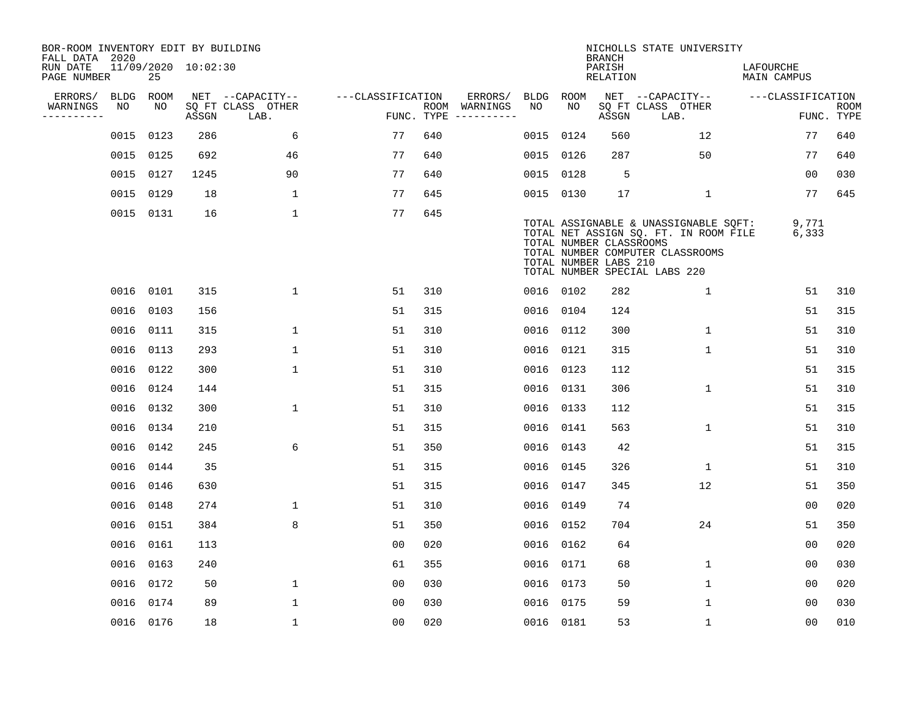| BOR-ROOM INVENTORY EDIT BY BUILDING<br>FALL DATA 2020 |      |           |                     |                           |                   |     |                                      |      |           | <b>BRANCH</b>                                    | NICHOLLS STATE UNIVERSITY                                                                                                                           |                          |                           |
|-------------------------------------------------------|------|-----------|---------------------|---------------------------|-------------------|-----|--------------------------------------|------|-----------|--------------------------------------------------|-----------------------------------------------------------------------------------------------------------------------------------------------------|--------------------------|---------------------------|
| RUN DATE<br>PAGE NUMBER                               |      | 25        | 11/09/2020 10:02:30 |                           |                   |     |                                      |      |           | PARISH<br>RELATION                               |                                                                                                                                                     | LAFOURCHE<br>MAIN CAMPUS |                           |
| ERRORS/                                               | BLDG | ROOM      |                     | NET --CAPACITY--          | ---CLASSIFICATION |     | ERRORS/                              | BLDG | ROOM      |                                                  | NET --CAPACITY--                                                                                                                                    | ---CLASSIFICATION        |                           |
| WARNINGS<br>----------                                | NO   | NO        | ASSGN               | SQ FT CLASS OTHER<br>LAB. |                   |     | ROOM WARNINGS<br>FUNC. TYPE $------$ | NO.  | NO        | ASSGN                                            | SQ FT CLASS OTHER<br>LAB.                                                                                                                           |                          | <b>ROOM</b><br>FUNC. TYPE |
|                                                       |      | 0015 0123 | 286                 | 6                         | 77                | 640 |                                      | 0015 | 0124      | 560                                              | 12 <sup>°</sup>                                                                                                                                     | 77                       | 640                       |
|                                                       |      | 0015 0125 | 692                 | 46                        | 77                | 640 |                                      |      | 0015 0126 | 287                                              | 50                                                                                                                                                  | 77                       | 640                       |
|                                                       |      | 0015 0127 | 1245                | 90                        | 77                | 640 |                                      |      | 0015 0128 | 5                                                |                                                                                                                                                     | 00                       | 030                       |
|                                                       |      | 0015 0129 | 18                  | 1                         | 77                | 645 |                                      |      | 0015 0130 | 17                                               | $\mathbf 1$                                                                                                                                         | 77                       | 645                       |
|                                                       |      | 0015 0131 | 16                  | $\mathbf 1$               | 77                | 645 |                                      |      |           | TOTAL NUMBER CLASSROOMS<br>TOTAL NUMBER LABS 210 | TOTAL ASSIGNABLE & UNASSIGNABLE SQFT:<br>TOTAL NET ASSIGN SQ. FT. IN ROOM FILE<br>TOTAL NUMBER COMPUTER CLASSROOMS<br>TOTAL NUMBER SPECIAL LABS 220 | 9,771<br>6,333           |                           |
|                                                       |      | 0016 0101 | 315                 | $\mathbf{1}$              | 51                | 310 |                                      |      | 0016 0102 | 282                                              | $\mathbf{1}$                                                                                                                                        | 51                       | 310                       |
|                                                       |      | 0016 0103 | 156                 |                           | 51                | 315 |                                      |      | 0016 0104 | 124                                              |                                                                                                                                                     | 51                       | 315                       |
|                                                       |      | 0016 0111 | 315                 | $\mathbf 1$               | 51                | 310 |                                      | 0016 | 0112      | 300                                              | $\mathbf{1}$                                                                                                                                        | 51                       | 310                       |
|                                                       |      | 0016 0113 | 293                 | $\mathbf{1}$              | 51                | 310 |                                      |      | 0016 0121 | 315                                              | $\mathbf{1}$                                                                                                                                        | 51                       | 310                       |
|                                                       |      | 0016 0122 | 300                 | $\mathbf 1$               | 51                | 310 |                                      | 0016 | 0123      | 112                                              |                                                                                                                                                     | 51                       | 315                       |
|                                                       |      | 0016 0124 | 144                 |                           | 51                | 315 |                                      |      | 0016 0131 | 306                                              | 1                                                                                                                                                   | 51                       | 310                       |
|                                                       |      | 0016 0132 | 300                 | $\mathbf 1$               | 51                | 310 |                                      | 0016 | 0133      | 112                                              |                                                                                                                                                     | 51                       | 315                       |
|                                                       |      | 0016 0134 | 210                 |                           | 51                | 315 |                                      |      | 0016 0141 | 563                                              | $\mathbf{1}$                                                                                                                                        | 51                       | 310                       |
|                                                       |      | 0016 0142 | 245                 | 6                         | 51                | 350 |                                      |      | 0016 0143 | 42                                               |                                                                                                                                                     | 51                       | 315                       |
|                                                       |      | 0016 0144 | 35                  |                           | 51                | 315 |                                      |      | 0016 0145 | 326                                              | 1                                                                                                                                                   | 51                       | 310                       |
|                                                       |      | 0016 0146 | 630                 |                           | 51                | 315 |                                      |      | 0016 0147 | 345                                              | 12                                                                                                                                                  | 51                       | 350                       |
|                                                       |      | 0016 0148 | 274                 | 1                         | 51                | 310 |                                      |      | 0016 0149 | 74                                               |                                                                                                                                                     | 0 <sub>0</sub>           | 020                       |
|                                                       |      | 0016 0151 | 384                 | 8                         | 51                | 350 |                                      | 0016 | 0152      | 704                                              | 24                                                                                                                                                  | 51                       | 350                       |
|                                                       |      | 0016 0161 | 113                 |                           | 0 <sub>0</sub>    | 020 |                                      |      | 0016 0162 | 64                                               |                                                                                                                                                     | 0 <sub>0</sub>           | 020                       |
|                                                       |      | 0016 0163 | 240                 |                           | 61                | 355 |                                      |      | 0016 0171 | 68                                               | 1                                                                                                                                                   | 0 <sub>0</sub>           | 030                       |
|                                                       |      | 0016 0172 | 50                  | $\mathbf 1$               | 0 <sub>0</sub>    | 030 |                                      |      | 0016 0173 | 50                                               | $\mathbf 1$                                                                                                                                         | 00                       | 020                       |
|                                                       |      | 0016 0174 | 89                  | $\mathbf{1}$              | 0 <sub>0</sub>    | 030 |                                      |      | 0016 0175 | 59                                               | 1                                                                                                                                                   | 00                       | 030                       |
|                                                       |      | 0016 0176 | 18                  | $\mathbf{1}$              | 0 <sub>0</sub>    | 020 |                                      |      | 0016 0181 | 53                                               | $\mathbf{1}$                                                                                                                                        | 0 <sub>0</sub>           | 010                       |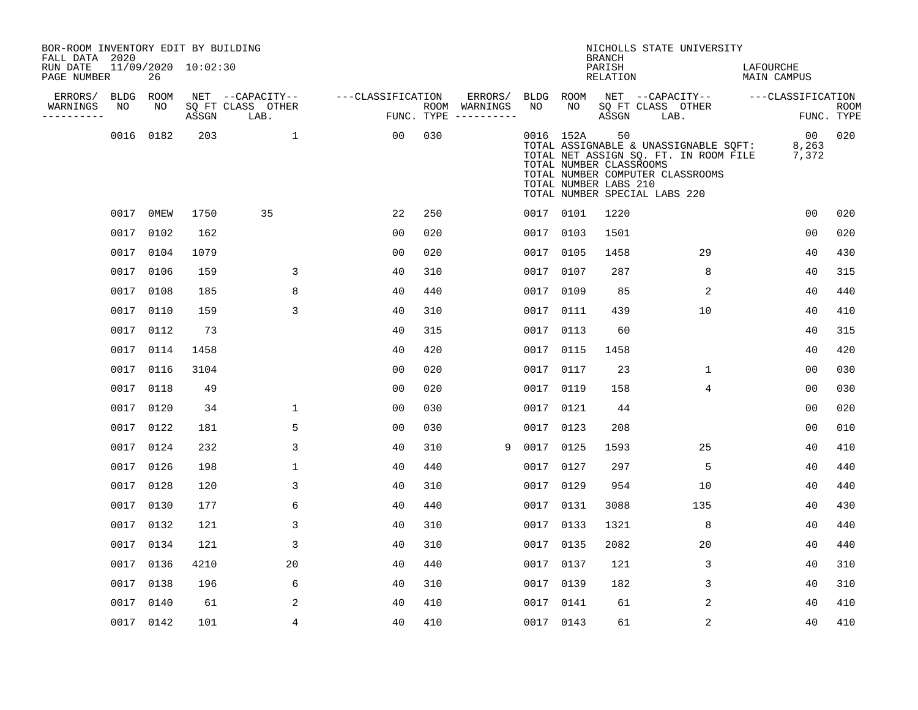| BOR-ROOM INVENTORY EDIT BY BUILDING<br>FALL DATA 2020 |           |           |                     |                           |                   |     |                                      |      |           | <b>BRANCH</b>                                          | NICHOLLS STATE UNIVERSITY                                                                                                                           |                          |                           |
|-------------------------------------------------------|-----------|-----------|---------------------|---------------------------|-------------------|-----|--------------------------------------|------|-----------|--------------------------------------------------------|-----------------------------------------------------------------------------------------------------------------------------------------------------|--------------------------|---------------------------|
| RUN DATE<br>PAGE NUMBER                               |           | 26        | 11/09/2020 10:02:30 |                           |                   |     |                                      |      |           | PARISH<br>RELATION                                     |                                                                                                                                                     | LAFOURCHE<br>MAIN CAMPUS |                           |
| ERRORS/                                               | BLDG ROOM |           |                     | NET --CAPACITY--          | ---CLASSIFICATION |     | ERRORS/                              |      | BLDG ROOM |                                                        | NET --CAPACITY-- ---CLASSIFICATION                                                                                                                  |                          |                           |
| WARNINGS<br>----------                                | NO        | NO        | ASSGN               | SQ FT CLASS OTHER<br>LAB. |                   |     | ROOM WARNINGS<br>FUNC. TYPE $------$ | NO   | NO        | ASSGN                                                  | SQ FT CLASS OTHER<br>LAB.                                                                                                                           |                          | <b>ROOM</b><br>FUNC. TYPE |
|                                                       |           | 0016 0182 | 203                 | $\mathbf{1}$              | 00                | 030 |                                      |      | 0016 152A | 50<br>TOTAL NUMBER CLASSROOMS<br>TOTAL NUMBER LABS 210 | TOTAL ASSIGNABLE & UNASSIGNABLE SQFT:<br>TOTAL NET ASSIGN SQ. FT. IN ROOM FILE<br>TOTAL NUMBER COMPUTER CLASSROOMS<br>TOTAL NUMBER SPECIAL LABS 220 | 00<br>8,263<br>7,372     | 020                       |
|                                                       |           | 0017 0MEW | 1750                | 35                        | 22                | 250 |                                      |      | 0017 0101 | 1220                                                   |                                                                                                                                                     | 0 <sub>0</sub>           | 020                       |
|                                                       |           | 0017 0102 | 162                 |                           | 0 <sub>0</sub>    | 020 |                                      |      | 0017 0103 | 1501                                                   |                                                                                                                                                     | 0 <sub>0</sub>           | 020                       |
|                                                       |           | 0017 0104 | 1079                |                           | 00                | 020 |                                      |      | 0017 0105 | 1458                                                   | 29                                                                                                                                                  | 40                       | 430                       |
|                                                       |           | 0017 0106 | 159                 | 3                         | 40                | 310 |                                      |      | 0017 0107 | 287                                                    | 8                                                                                                                                                   | 40                       | 315                       |
|                                                       |           | 0017 0108 | 185                 | 8                         | 40                | 440 |                                      | 0017 | 0109      | 85                                                     | 2                                                                                                                                                   | 40                       | 440                       |
|                                                       |           | 0017 0110 | 159                 | 3                         | 40                | 310 |                                      | 0017 | 0111      | 439                                                    | 10                                                                                                                                                  | 40                       | 410                       |
|                                                       |           | 0017 0112 | 73                  |                           | 40                | 315 |                                      | 0017 | 0113      | 60                                                     |                                                                                                                                                     | 40                       | 315                       |
|                                                       |           | 0017 0114 | 1458                |                           | 40                | 420 |                                      | 0017 | 0115      | 1458                                                   |                                                                                                                                                     | 40                       | 420                       |
|                                                       |           | 0017 0116 | 3104                |                           | 0 <sub>0</sub>    | 020 |                                      | 0017 | 0117      | 23                                                     | $\mathbf{1}$                                                                                                                                        | 0 <sub>0</sub>           | 030                       |
|                                                       |           | 0017 0118 | 49                  |                           | 0 <sub>0</sub>    | 020 |                                      | 0017 | 0119      | 158                                                    | $\overline{4}$                                                                                                                                      | 0 <sub>0</sub>           | 030                       |
|                                                       |           | 0017 0120 | 34                  | 1                         | 00                | 030 |                                      |      | 0017 0121 | 44                                                     |                                                                                                                                                     | 0 <sub>0</sub>           | 020                       |
|                                                       |           | 0017 0122 | 181                 | 5                         | 0 <sub>0</sub>    | 030 |                                      |      | 0017 0123 | 208                                                    |                                                                                                                                                     | 0 <sub>0</sub>           | 010                       |
|                                                       |           | 0017 0124 | 232                 | 3                         | 40                | 310 | 9                                    |      | 0017 0125 | 1593                                                   | 25                                                                                                                                                  | 40                       | 410                       |
|                                                       |           | 0017 0126 | 198                 | 1                         | 40                | 440 |                                      | 0017 | 0127      | 297                                                    | 5                                                                                                                                                   | 40                       | 440                       |
|                                                       |           | 0017 0128 | 120                 | 3                         | 40                | 310 |                                      |      | 0017 0129 | 954                                                    | 10                                                                                                                                                  | 40                       | 440                       |
|                                                       |           | 0017 0130 | 177                 | 6                         | 40                | 440 |                                      |      | 0017 0131 | 3088                                                   | 135                                                                                                                                                 | 40                       | 430                       |
|                                                       |           | 0017 0132 | 121                 | 3                         | 40                | 310 |                                      |      | 0017 0133 | 1321                                                   | 8                                                                                                                                                   | 40                       | 440                       |
|                                                       |           | 0017 0134 | 121                 | 3                         | 40                | 310 |                                      | 0017 | 0135      | 2082                                                   | 20                                                                                                                                                  | 40                       | 440                       |
|                                                       |           | 0017 0136 | 4210                | 20                        | 40                | 440 |                                      |      | 0017 0137 | 121                                                    | 3                                                                                                                                                   | 40                       | 310                       |
|                                                       |           | 0017 0138 | 196                 | 6                         | 40                | 310 |                                      | 0017 | 0139      | 182                                                    | 3                                                                                                                                                   | 40                       | 310                       |
|                                                       |           | 0017 0140 | 61                  | 2                         | 40                | 410 |                                      |      | 0017 0141 | 61                                                     | 2                                                                                                                                                   | 40                       | 410                       |
|                                                       |           | 0017 0142 | 101                 | 4                         | 40                | 410 |                                      |      | 0017 0143 | 61                                                     | 2                                                                                                                                                   | 40                       | 410                       |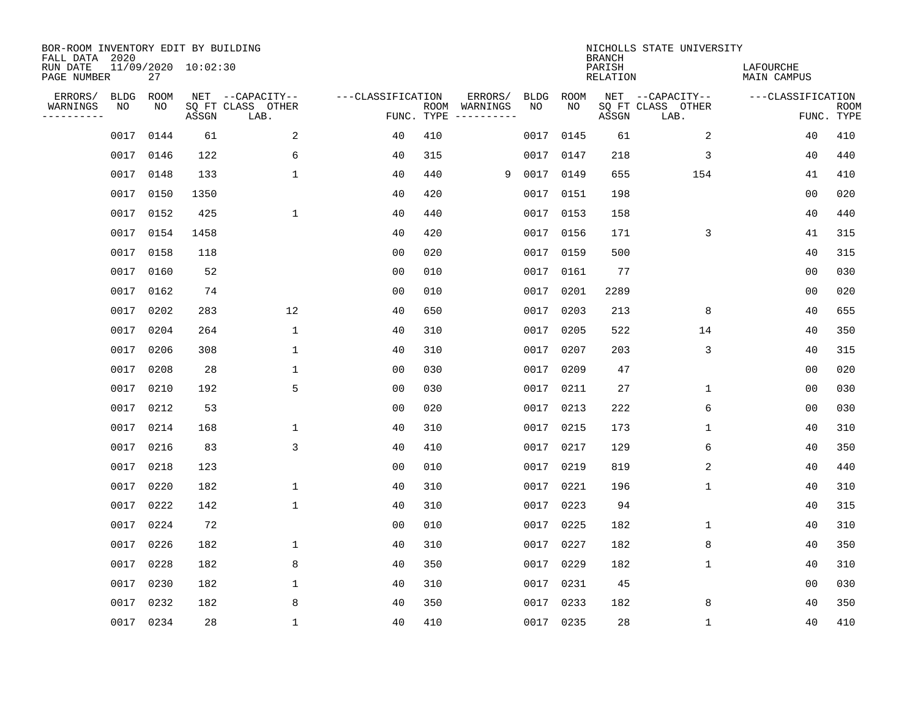| BOR-ROOM INVENTORY EDIT BY BUILDING<br>FALL DATA 2020 |             |      |                     |                           |                   |                    |          |             |             | <b>BRANCH</b>             | NICHOLLS STATE UNIVERSITY |                                 |                           |
|-------------------------------------------------------|-------------|------|---------------------|---------------------------|-------------------|--------------------|----------|-------------|-------------|---------------------------|---------------------------|---------------------------------|---------------------------|
| RUN DATE<br>PAGE NUMBER                               |             | 27   | 11/09/2020 10:02:30 |                           |                   |                    |          |             |             | PARISH<br><b>RELATION</b> |                           | LAFOURCHE<br><b>MAIN CAMPUS</b> |                           |
| ERRORS/                                               | <b>BLDG</b> | ROOM |                     | NET --CAPACITY--          | ---CLASSIFICATION |                    | ERRORS/  | <b>BLDG</b> | <b>ROOM</b> |                           | NET --CAPACITY--          | ---CLASSIFICATION               |                           |
| WARNINGS<br>----------                                | NO          | NO   | ASSGN               | SQ FT CLASS OTHER<br>LAB. |                   | ROOM<br>FUNC. TYPE | WARNINGS | NO          | NO          | ASSGN                     | SQ FT CLASS OTHER<br>LAB. |                                 | <b>ROOM</b><br>FUNC. TYPE |
|                                                       | 0017        | 0144 | 61                  | $\overline{a}$            | 40                | 410                |          | 0017        | 0145        | 61                        | $\overline{c}$            | 40                              | 410                       |
|                                                       | 0017        | 0146 | 122                 | 6                         | 40                | 315                |          |             | 0017 0147   | 218                       | 3                         | 40                              | 440                       |
|                                                       | 0017        | 0148 | 133                 | $\mathbf{1}$              | 40                | 440                | 9        | 0017        | 0149        | 655                       | 154                       | 41                              | 410                       |
|                                                       | 0017        | 0150 | 1350                |                           | 40                | 420                |          |             | 0017 0151   | 198                       |                           | 0 <sub>0</sub>                  | 020                       |
|                                                       | 0017        | 0152 | 425                 | $\mathbf{1}$              | 40                | 440                |          |             | 0017 0153   | 158                       |                           | 40                              | 440                       |
|                                                       | 0017        | 0154 | 1458                |                           | 40                | 420                |          |             | 0017 0156   | 171                       | 3                         | 41                              | 315                       |
|                                                       | 0017        | 0158 | 118                 |                           | 00                | 020                |          |             | 0017 0159   | 500                       |                           | 40                              | 315                       |
|                                                       | 0017        | 0160 | 52                  |                           | 0 <sub>0</sub>    | 010                |          |             | 0017 0161   | 77                        |                           | 0 <sub>0</sub>                  | 030                       |
|                                                       | 0017        | 0162 | 74                  |                           | 0 <sub>0</sub>    | 010                |          | 0017        | 0201        | 2289                      |                           | 0 <sub>0</sub>                  | 020                       |
|                                                       | 0017        | 0202 | 283                 | 12                        | 40                | 650                |          |             | 0017 0203   | 213                       | 8                         | 40                              | 655                       |
|                                                       | 0017        | 0204 | 264                 | $\mathbf{1}$              | 40                | 310                |          | 0017        | 0205        | 522                       | 14                        | 40                              | 350                       |
|                                                       | 0017        | 0206 | 308                 | 1                         | 40                | 310                |          |             | 0017 0207   | 203                       | 3                         | 40                              | 315                       |
|                                                       | 0017        | 0208 | 28                  | 1                         | 00                | 030                |          | 0017        | 0209        | 47                        |                           | 0 <sub>0</sub>                  | 020                       |
|                                                       | 0017        | 0210 | 192                 | 5                         | 0 <sub>0</sub>    | 030                |          | 0017        | 0211        | 27                        | 1                         | 0 <sub>0</sub>                  | 030                       |
|                                                       | 0017        | 0212 | 53                  |                           | 0 <sub>0</sub>    | 020                |          | 0017        | 0213        | 222                       | 6                         | 0 <sub>0</sub>                  | 030                       |
|                                                       | 0017        | 0214 | 168                 | $\mathbf 1$               | 40                | 310                |          | 0017        | 0215        | 173                       | 1                         | 40                              | 310                       |
|                                                       | 0017        | 0216 | 83                  | 3                         | 40                | 410                |          |             | 0017 0217   | 129                       | 6                         | 40                              | 350                       |
|                                                       | 0017        | 0218 | 123                 |                           | 0 <sub>0</sub>    | 010                |          | 0017        | 0219        | 819                       | 2                         | 40                              | 440                       |
|                                                       | 0017        | 0220 | 182                 | $\mathbf{1}$              | 40                | 310                |          | 0017        | 0221        | 196                       | 1                         | 40                              | 310                       |
|                                                       | 0017        | 0222 | 142                 | $\mathbf{1}$              | 40                | 310                |          | 0017        | 0223        | 94                        |                           | 40                              | 315                       |
|                                                       | 0017        | 0224 | 72                  |                           | 0 <sub>0</sub>    | 010                |          |             | 0017 0225   | 182                       | 1                         | 40                              | 310                       |
|                                                       | 0017        | 0226 | 182                 | $\mathbf 1$               | 40                | 310                |          | 0017        | 0227        | 182                       | 8                         | 40                              | 350                       |
|                                                       | 0017        | 0228 | 182                 | 8                         | 40                | 350                |          |             | 0017 0229   | 182                       | 1                         | 40                              | 310                       |
|                                                       | 0017        | 0230 | 182                 | $\mathbf{1}$              | 40                | 310                |          | 0017        | 0231        | 45                        |                           | 00                              | 030                       |
|                                                       | 0017        | 0232 | 182                 | 8                         | 40                | 350                |          |             | 0017 0233   | 182                       | 8                         | 40                              | 350                       |
|                                                       | 0017 0234   |      | 28                  | $\mathbf{1}$              | 40                | 410                |          |             | 0017 0235   | 28                        | $\mathbf{1}$              | 40                              | 410                       |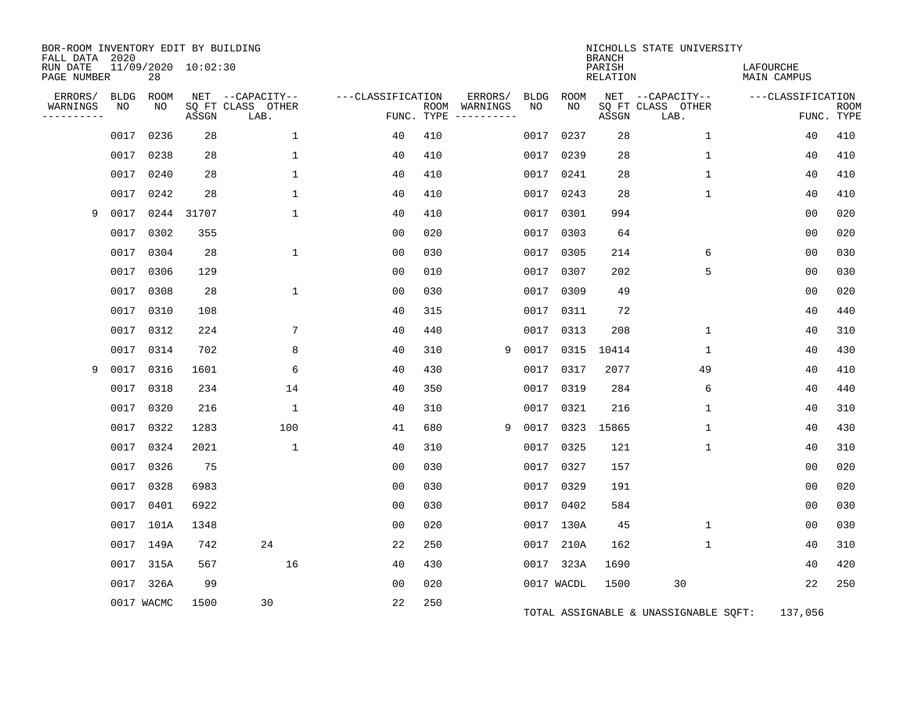| BOR-ROOM INVENTORY EDIT BY BUILDING<br>FALL DATA 2020 |             |            |                     |                           |                   |     |                                      |      |            |                                     | NICHOLLS STATE UNIVERSITY             |                                 |                           |
|-------------------------------------------------------|-------------|------------|---------------------|---------------------------|-------------------|-----|--------------------------------------|------|------------|-------------------------------------|---------------------------------------|---------------------------------|---------------------------|
| RUN DATE<br>PAGE NUMBER                               |             | 28         | 11/09/2020 10:02:30 |                           |                   |     |                                      |      |            | <b>BRANCH</b><br>PARISH<br>RELATION |                                       | LAFOURCHE<br><b>MAIN CAMPUS</b> |                           |
| ERRORS/                                               | <b>BLDG</b> | ROOM       |                     | NET --CAPACITY--          | ---CLASSIFICATION |     | ERRORS/                              | BLDG | ROOM       |                                     | NET --CAPACITY--                      | ---CLASSIFICATION               |                           |
| WARNINGS<br>----------                                | NO          | NO         | ASSGN               | SQ FT CLASS OTHER<br>LAB. |                   |     | ROOM WARNINGS<br>FUNC. TYPE $------$ | NO.  | NO.        | ASSGN                               | SQ FT CLASS OTHER<br>LAB.             |                                 | <b>ROOM</b><br>FUNC. TYPE |
|                                                       | 0017        | 0236       | 28                  | 1                         | 40                | 410 |                                      | 0017 | 0237       | 28                                  | $\mathbf 1$                           | 40                              | 410                       |
|                                                       | 0017        | 0238       | 28                  | $\mathbf{1}$              | 40                | 410 |                                      | 0017 | 0239       | 28                                  | 1                                     | 40                              | 410                       |
|                                                       | 0017        | 0240       | 28                  | 1                         | 40                | 410 |                                      |      | 0017 0241  | 28                                  | 1                                     | 40                              | 410                       |
|                                                       | 0017        | 0242       | 28                  | 1                         | 40                | 410 |                                      | 0017 | 0243       | 28                                  | 1                                     | 40                              | 410                       |
| 9                                                     | 0017        | 0244       | 31707               | $\mathbf{1}$              | 40                | 410 |                                      |      | 0017 0301  | 994                                 |                                       | 00                              | 020                       |
|                                                       | 0017        | 0302       | 355                 |                           | 0 <sub>0</sub>    | 020 |                                      |      | 0017 0303  | 64                                  |                                       | 0 <sub>0</sub>                  | 020                       |
|                                                       | 0017        | 0304       | 28                  | $\mathbf{1}$              | 0 <sub>0</sub>    | 030 |                                      |      | 0017 0305  | 214                                 | 6                                     | 0 <sub>0</sub>                  | 030                       |
|                                                       | 0017        | 0306       | 129                 |                           | 0 <sub>0</sub>    | 010 |                                      |      | 0017 0307  | 202                                 | 5                                     | 0 <sub>0</sub>                  | 030                       |
|                                                       | 0017        | 0308       | 28                  | $\mathbf{1}$              | 0 <sub>0</sub>    | 030 |                                      |      | 0017 0309  | 49                                  |                                       | 0 <sub>0</sub>                  | 020                       |
|                                                       | 0017        | 0310       | 108                 |                           | 40                | 315 |                                      |      | 0017 0311  | 72                                  |                                       | 40                              | 440                       |
|                                                       | 0017        | 0312       | 224                 | 7                         | 40                | 440 |                                      |      | 0017 0313  | 208                                 | 1                                     | 40                              | 310                       |
|                                                       | 0017        | 0314       | 702                 | 8                         | 40                | 310 | 9                                    | 0017 | 0315       | 10414                               | 1                                     | 40                              | 430                       |
| 9                                                     | 0017        | 0316       | 1601                | 6                         | 40                | 430 |                                      |      | 0017 0317  | 2077                                | 49                                    | 40                              | 410                       |
|                                                       | 0017        | 0318       | 234                 | 14                        | 40                | 350 |                                      |      | 0017 0319  | 284                                 | 6                                     | 40                              | 440                       |
|                                                       | 0017        | 0320       | 216                 | $\mathbf 1$               | 40                | 310 |                                      |      | 0017 0321  | 216                                 | 1                                     | 40                              | 310                       |
|                                                       | 0017        | 0322       | 1283                | 100                       | 41                | 680 | 9                                    | 0017 | 0323       | 15865                               | 1                                     | 40                              | 430                       |
|                                                       | 0017        | 0324       | 2021                | $\mathbf{1}$              | 40                | 310 |                                      | 0017 | 0325       | 121                                 | 1                                     | 40                              | 310                       |
|                                                       |             | 0017 0326  | 75                  |                           | 0 <sub>0</sub>    | 030 |                                      |      | 0017 0327  | 157                                 |                                       | 0 <sub>0</sub>                  | 020                       |
|                                                       | 0017        | 0328       | 6983                |                           | 0 <sub>0</sub>    | 030 |                                      |      | 0017 0329  | 191                                 |                                       | 0 <sub>0</sub>                  | 020                       |
|                                                       | 0017        | 0401       | 6922                |                           | 0 <sub>0</sub>    | 030 |                                      |      | 0017 0402  | 584                                 |                                       | 0 <sub>0</sub>                  | 030                       |
|                                                       | 0017        | 101A       | 1348                |                           | 0 <sub>0</sub>    | 020 |                                      |      | 0017 130A  | 45                                  | $\mathbf{1}$                          | 00                              | 030                       |
|                                                       |             | 0017 149A  | 742                 | 24                        | 22                | 250 |                                      |      | 0017 210A  | 162                                 | $\mathbf 1$                           | 40                              | 310                       |
|                                                       |             | 0017 315A  | 567                 | 16                        | 40                | 430 |                                      |      | 0017 323A  | 1690                                |                                       | 40                              | 420                       |
|                                                       |             | 0017 326A  | 99                  |                           | 0 <sub>0</sub>    | 020 |                                      |      | 0017 WACDL | 1500                                | 30                                    | 22                              | 250                       |
|                                                       |             | 0017 WACMC | 1500                | 30                        | 22                | 250 |                                      |      |            |                                     | TOTAL ASSIGNABLE & UNASSIGNABLE SQFT: | 137,056                         |                           |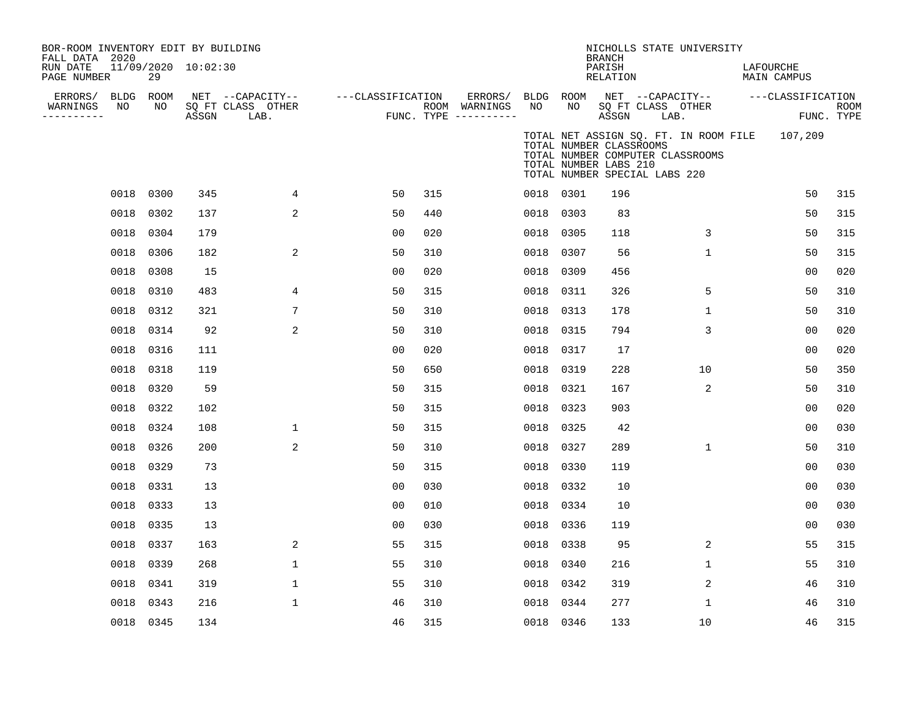| BOR-ROOM INVENTORY EDIT BY BUILDING<br>FALL DATA 2020<br>RUN DATE<br>PAGE NUMBER |           | 29        | 11/09/2020 10:02:30 |                                               |                   |     |                                                             |           |                                                                                   | <b>BRANCH</b><br>PARISH<br>RELATION |      | NICHOLLS STATE UNIVERSITY        | LAFOURCHE<br>MAIN CAMPUS                      |                           |
|----------------------------------------------------------------------------------|-----------|-----------|---------------------|-----------------------------------------------|-------------------|-----|-------------------------------------------------------------|-----------|-----------------------------------------------------------------------------------|-------------------------------------|------|----------------------------------|-----------------------------------------------|---------------------------|
| ERRORS/ BLDG ROOM<br>WARNINGS<br>---------                                       | NO        | NO        | ASSGN               | NET --CAPACITY--<br>SQ FT CLASS OTHER<br>LAB. | ---CLASSIFICATION |     | ERRORS/ BLDG ROOM<br>ROOM WARNINGS<br>FUNC. TYPE ---------- | NO        | NO                                                                                | SQ FT CLASS OTHER<br>ASSGN          | LAB. |                                  | NET --CAPACITY-- ---CLASSIFICATION            | <b>ROOM</b><br>FUNC. TYPE |
|                                                                                  |           |           |                     |                                               |                   |     |                                                             |           | TOTAL NUMBER CLASSROOMS<br>TOTAL NUMBER LABS 210<br>TOTAL NUMBER SPECIAL LABS 220 |                                     |      | TOTAL NUMBER COMPUTER CLASSROOMS | TOTAL NET ASSIGN SQ. FT. IN ROOM FILE 107,209 |                           |
|                                                                                  |           | 0018 0300 | 345                 | 4                                             | 50                | 315 |                                                             | 0018 0301 |                                                                                   | 196                                 |      |                                  | 50                                            | 315                       |
|                                                                                  |           | 0018 0302 | 137                 | 2                                             | 50                | 440 |                                                             | 0018 0303 |                                                                                   | 83                                  |      |                                  | 50                                            | 315                       |
|                                                                                  |           | 0018 0304 | 179                 |                                               | 00                | 020 |                                                             | 0018 0305 |                                                                                   | 118                                 |      | 3                                | 50                                            | 315                       |
|                                                                                  |           | 0018 0306 | 182                 | 2                                             | 50                | 310 |                                                             | 0018 0307 |                                                                                   | 56                                  |      | $\mathbf 1$                      | 50                                            | 315                       |
|                                                                                  |           | 0018 0308 | 15                  |                                               | 00                | 020 |                                                             | 0018 0309 |                                                                                   | 456                                 |      |                                  | 0 <sub>0</sub>                                | 020                       |
|                                                                                  |           | 0018 0310 | 483                 | 4                                             | 50                | 315 |                                                             | 0018 0311 |                                                                                   | 326                                 |      | 5                                | 50                                            | 310                       |
|                                                                                  |           | 0018 0312 | 321                 | 7                                             | 50                | 310 |                                                             | 0018 0313 |                                                                                   | 178                                 |      | $\mathbf{1}$                     | 50                                            | 310                       |
|                                                                                  |           | 0018 0314 | 92                  | 2                                             | 50                | 310 |                                                             | 0018 0315 |                                                                                   | 794                                 |      | 3                                | 0 <sub>0</sub>                                | 020                       |
|                                                                                  |           | 0018 0316 | 111                 |                                               | 00                | 020 |                                                             | 0018 0317 |                                                                                   | 17                                  |      |                                  | 0 <sub>0</sub>                                | 020                       |
|                                                                                  |           | 0018 0318 | 119                 |                                               | 50                | 650 |                                                             | 0018 0319 |                                                                                   | 228                                 |      | 10                               | 50                                            | 350                       |
|                                                                                  |           | 0018 0320 | 59                  |                                               | 50                | 315 |                                                             | 0018 0321 |                                                                                   | 167                                 |      | 2                                | 50                                            | 310                       |
|                                                                                  |           | 0018 0322 | 102                 |                                               | 50                | 315 |                                                             | 0018 0323 |                                                                                   | 903                                 |      |                                  | 0 <sub>0</sub>                                | 020                       |
|                                                                                  |           | 0018 0324 | 108                 | $\mathbf{1}$                                  | 50                | 315 |                                                             | 0018      | 0325                                                                              | 42                                  |      |                                  | 0 <sub>0</sub>                                | 030                       |
|                                                                                  |           | 0018 0326 | 200                 | 2                                             | 50                | 310 |                                                             | 0018 0327 |                                                                                   | 289                                 |      | $\mathbf{1}$                     | 50                                            | 310                       |
|                                                                                  |           | 0018 0329 | 73                  |                                               | 50                | 315 |                                                             | 0018 0330 |                                                                                   | 119                                 |      |                                  | 0 <sub>0</sub>                                | 030                       |
|                                                                                  | 0018 0331 |           | 13                  |                                               | 00                | 030 |                                                             | 0018 0332 |                                                                                   | 10                                  |      |                                  | 00                                            | 030                       |
|                                                                                  |           | 0018 0333 | 13                  |                                               | 00                | 010 |                                                             | 0018 0334 |                                                                                   | 10                                  |      |                                  | 0 <sub>0</sub>                                | 030                       |
|                                                                                  |           | 0018 0335 | 13                  |                                               | 00                | 030 |                                                             | 0018 0336 |                                                                                   | 119                                 |      |                                  | 0 <sub>0</sub>                                | 030                       |
|                                                                                  |           | 0018 0337 | 163                 | 2                                             | 55                | 315 |                                                             | 0018 0338 |                                                                                   | 95                                  |      | 2                                | 55                                            | 315                       |
|                                                                                  |           | 0018 0339 | 268                 | $\mathbf{1}$                                  | 55                | 310 |                                                             | 0018 0340 |                                                                                   | 216                                 |      | $\mathbf{1}$                     | 55                                            | 310                       |
|                                                                                  |           | 0018 0341 | 319                 | $\mathbf 1$                                   | 55                | 310 |                                                             | 0018 0342 |                                                                                   | 319                                 |      | 2                                | 46                                            | 310                       |
|                                                                                  |           | 0018 0343 | 216                 | $\mathbf 1$                                   | 46                | 310 |                                                             | 0018 0344 |                                                                                   | 277                                 |      | 1                                | 46                                            | 310                       |
|                                                                                  |           | 0018 0345 | 134                 |                                               | 46                | 315 |                                                             | 0018 0346 |                                                                                   | 133                                 |      | 10                               | 46                                            | 315                       |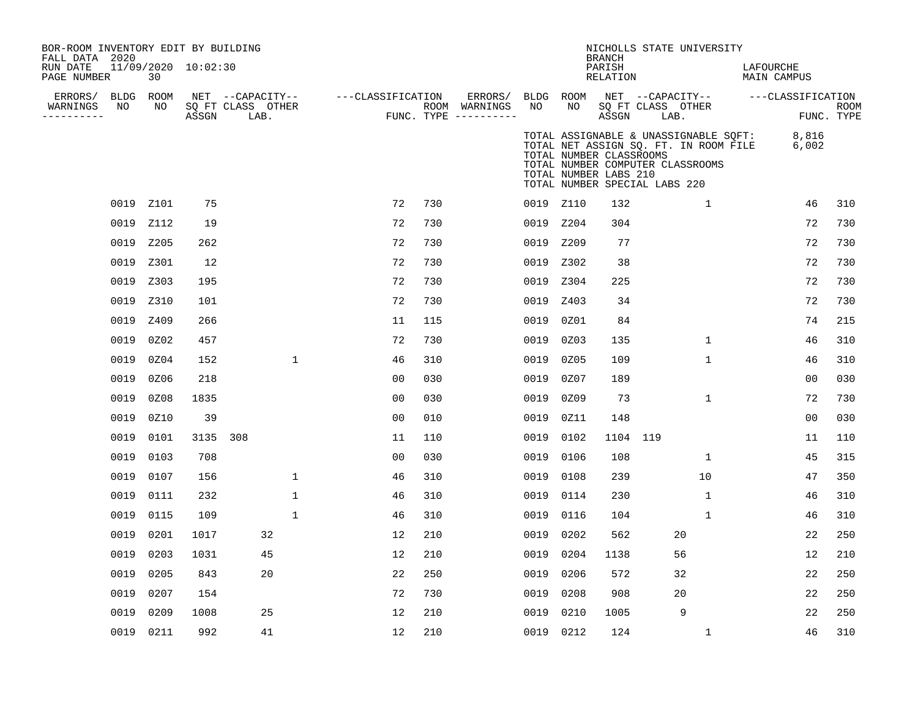| BOR-ROOM INVENTORY EDIT BY BUILDING<br>FALL DATA 2020<br>RUN DATE<br>PAGE NUMBER |            | 30         | 11/09/2020 10:02:30 |                                               |              |                   |     |                                                 |      |                 | <b>BRANCH</b><br>PARISH<br>RELATION              | NICHOLLS STATE UNIVERSITY                                                                                                                           |              | LAFOURCHE<br>MAIN CAMPUS |                           |
|----------------------------------------------------------------------------------|------------|------------|---------------------|-----------------------------------------------|--------------|-------------------|-----|-------------------------------------------------|------|-----------------|--------------------------------------------------|-----------------------------------------------------------------------------------------------------------------------------------------------------|--------------|--------------------------|---------------------------|
| ERRORS/<br>WARNINGS<br>----------                                                | BLDG<br>NO | ROOM<br>NO | ASSGN               | NET --CAPACITY--<br>SQ FT CLASS OTHER<br>LAB. |              | ---CLASSIFICATION |     | ERRORS/<br>ROOM WARNINGS<br>FUNC. TYPE $------$ | NO   | BLDG ROOM<br>NO | ASSGN                                            | NET --CAPACITY--<br>SQ FT CLASS OTHER<br>LAB.                                                                                                       |              | ---CLASSIFICATION        | <b>ROOM</b><br>FUNC. TYPE |
|                                                                                  |            |            |                     |                                               |              |                   |     |                                                 |      |                 | TOTAL NUMBER CLASSROOMS<br>TOTAL NUMBER LABS 210 | TOTAL ASSIGNABLE & UNASSIGNABLE SQFT:<br>TOTAL NET ASSIGN SQ. FT. IN ROOM FILE<br>TOTAL NUMBER COMPUTER CLASSROOMS<br>TOTAL NUMBER SPECIAL LABS 220 |              | 8,816<br>6,002           |                           |
|                                                                                  |            | 0019 Z101  | 75                  |                                               |              | 72                | 730 |                                                 |      | 0019 Z110       | 132                                              |                                                                                                                                                     | 1            | 46                       | 310                       |
|                                                                                  | 0019       | Z112       | 19                  |                                               |              | 72                | 730 |                                                 | 0019 | Z204            | 304                                              |                                                                                                                                                     |              | 72                       | 730                       |
|                                                                                  | 0019       | Z205       | 262                 |                                               |              | 72                | 730 |                                                 | 0019 | Z209            | 77                                               |                                                                                                                                                     |              | 72                       | 730                       |
|                                                                                  | 0019       | Z301       | 12                  |                                               |              | 72                | 730 |                                                 | 0019 | Z302            | 38                                               |                                                                                                                                                     |              | 72                       | 730                       |
|                                                                                  | 0019       | Z303       | 195                 |                                               |              | 72                | 730 |                                                 | 0019 | Z304            | 225                                              |                                                                                                                                                     |              | 72                       | 730                       |
|                                                                                  | 0019       | Z310       | 101                 |                                               |              | 72                | 730 |                                                 | 0019 | Z403            | 34                                               |                                                                                                                                                     |              | 72                       | 730                       |
|                                                                                  | 0019       | Z409       | 266                 |                                               |              | 11                | 115 |                                                 | 0019 | 0Z01            | 84                                               |                                                                                                                                                     |              | 74                       | 215                       |
|                                                                                  | 0019       | 0Z02       | 457                 |                                               |              | 72                | 730 |                                                 | 0019 | 0Z03            | 135                                              |                                                                                                                                                     | $\mathbf 1$  | 46                       | 310                       |
|                                                                                  | 0019       | 0Z04       | 152                 |                                               | $\mathbf{1}$ | 46                | 310 |                                                 | 0019 | 0Z05            | 109                                              |                                                                                                                                                     | $\mathbf{1}$ | 46                       | 310                       |
|                                                                                  | 0019       | 0Z06       | 218                 |                                               |              | 0 <sub>0</sub>    | 030 |                                                 | 0019 | 0Z07            | 189                                              |                                                                                                                                                     |              | 00                       | 030                       |
|                                                                                  | 0019       | 0Z08       | 1835                |                                               |              | 0 <sub>0</sub>    | 030 |                                                 | 0019 | 0Z09            | 73                                               |                                                                                                                                                     | $\mathbf 1$  | 72                       | 730                       |
|                                                                                  | 0019       | 0Z10       | 39                  |                                               |              | 0 <sub>0</sub>    | 010 |                                                 | 0019 | 0Z11            | 148                                              |                                                                                                                                                     |              | 00                       | 030                       |
|                                                                                  | 0019       | 0101       | 3135                | 308                                           |              | 11                | 110 |                                                 | 0019 | 0102            | 1104 119                                         |                                                                                                                                                     |              | 11                       | 110                       |
|                                                                                  | 0019       | 0103       | 708                 |                                               |              | 0 <sub>0</sub>    | 030 |                                                 | 0019 | 0106            | 108                                              |                                                                                                                                                     | $\mathbf{1}$ | 45                       | 315                       |
|                                                                                  | 0019       | 0107       | 156                 |                                               | $\mathbf{1}$ | 46                | 310 |                                                 | 0019 | 0108            | 239                                              | 10                                                                                                                                                  |              | 47                       | 350                       |
|                                                                                  | 0019       | 0111       | 232                 |                                               | $\mathbf{1}$ | 46                | 310 |                                                 | 0019 | 0114            | 230                                              |                                                                                                                                                     | $\mathbf{1}$ | 46                       | 310                       |
|                                                                                  | 0019       | 0115       | 109                 |                                               | $\mathbf{1}$ | 46                | 310 |                                                 | 0019 | 0116            | 104                                              |                                                                                                                                                     | $\mathbf{1}$ | 46                       | 310                       |
|                                                                                  | 0019       | 0201       | 1017                | 32                                            |              | 12                | 210 |                                                 | 0019 | 0202            | 562                                              | 20                                                                                                                                                  |              | 22                       | 250                       |
|                                                                                  | 0019       | 0203       | 1031                | 45                                            |              | 12                | 210 |                                                 | 0019 | 0204            | 1138                                             | 56                                                                                                                                                  |              | 12                       | 210                       |
|                                                                                  | 0019       | 0205       | 843                 | 20                                            |              | 22                | 250 |                                                 | 0019 | 0206            | 572                                              | 32                                                                                                                                                  |              | 22                       | 250                       |
|                                                                                  | 0019       | 0207       | 154                 |                                               |              | 72                | 730 |                                                 | 0019 | 0208            | 908                                              | 20                                                                                                                                                  |              | 22                       | 250                       |
|                                                                                  | 0019       | 0209       | 1008                | 25                                            |              | 12                | 210 |                                                 | 0019 | 0210            | 1005                                             | 9                                                                                                                                                   |              | 22                       | 250                       |
|                                                                                  |            | 0019 0211  | 992                 | 41                                            |              | 12                | 210 |                                                 |      | 0019 0212       | 124                                              |                                                                                                                                                     | $\mathbf 1$  | 46                       | 310                       |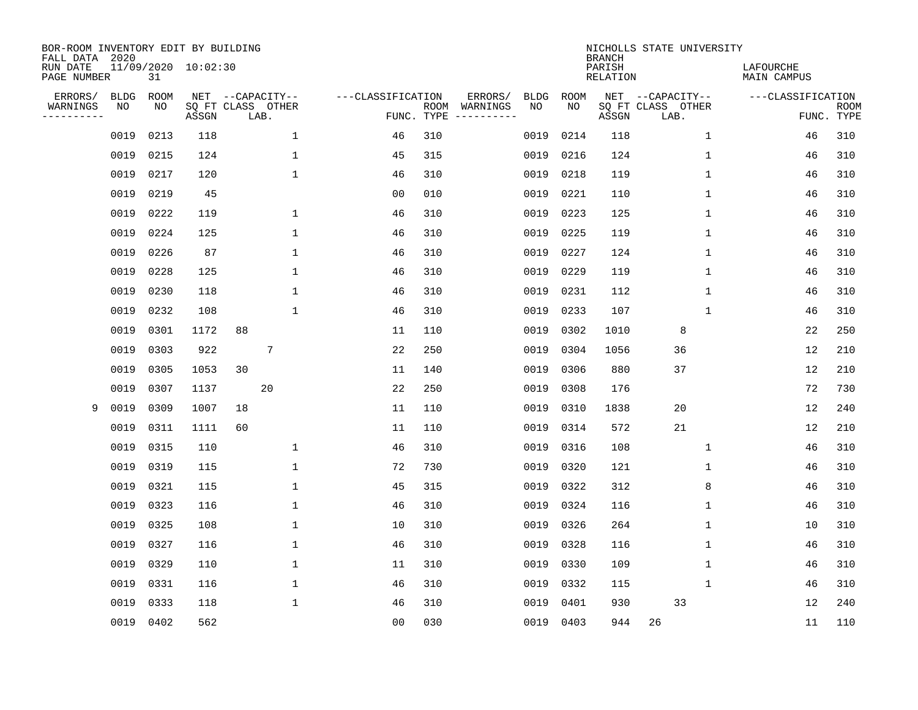| BOR-ROOM INVENTORY EDIT BY BUILDING<br>FALL DATA 2020 |             |             |                     |    |                           |                   |                    |                               |             | <b>BRANCH</b>             | NICHOLLS STATE UNIVERSITY |                                 |                           |
|-------------------------------------------------------|-------------|-------------|---------------------|----|---------------------------|-------------------|--------------------|-------------------------------|-------------|---------------------------|---------------------------|---------------------------------|---------------------------|
| RUN DATE<br>PAGE NUMBER                               |             | 31          | 11/09/2020 10:02:30 |    |                           |                   |                    |                               |             | PARISH<br><b>RELATION</b> |                           | LAFOURCHE<br><b>MAIN CAMPUS</b> |                           |
| ERRORS/                                               | <b>BLDG</b> | <b>ROOM</b> |                     |    | NET --CAPACITY--          | ---CLASSIFICATION |                    | ERRORS/<br><b>BLDG</b>        | <b>ROOM</b> |                           | NET --CAPACITY--          | ---CLASSIFICATION               |                           |
| WARNINGS<br>----------                                | NO          | NO          | ASSGN               |    | SQ FT CLASS OTHER<br>LAB. |                   | ROOM<br>FUNC. TYPE | NO<br>WARNINGS<br>----------- | NO          | ASSGN                     | SQ FT CLASS OTHER<br>LAB. |                                 | <b>ROOM</b><br>FUNC. TYPE |
|                                                       | 0019        | 0213        | 118                 |    | 1                         | 46                | 310                | 0019                          | 0214        | 118                       | $\mathbf{1}$              | 46                              | 310                       |
|                                                       | 0019        | 0215        | 124                 |    | 1                         | 45                | 315                | 0019                          | 0216        | 124                       | 1                         | 46                              | 310                       |
|                                                       | 0019        | 0217        | 120                 |    | $\mathbf 1$               | 46                | 310                | 0019                          | 0218        | 119                       | 1                         | 46                              | 310                       |
|                                                       | 0019        | 0219        | 45                  |    |                           | 0 <sub>0</sub>    | 010                | 0019                          | 0221        | 110                       | 1                         | 46                              | 310                       |
|                                                       | 0019        | 0222        | 119                 |    | 1                         | 46                | 310                | 0019                          | 0223        | 125                       | $\mathbf{1}$              | 46                              | 310                       |
|                                                       | 0019        | 0224        | 125                 |    | $\mathbf{1}$              | 46                | 310                | 0019                          | 0225        | 119                       | $\mathbf{1}$              | 46                              | 310                       |
|                                                       | 0019        | 0226        | 87                  |    | 1                         | 46                | 310                | 0019                          | 0227        | 124                       | 1                         | 46                              | 310                       |
|                                                       | 0019        | 0228        | 125                 |    | 1                         | 46                | 310                | 0019                          | 0229        | 119                       | 1                         | 46                              | 310                       |
|                                                       | 0019        | 0230        | 118                 |    | 1                         | 46                | 310                | 0019                          | 0231        | 112                       | 1                         | 46                              | 310                       |
|                                                       | 0019        | 0232        | 108                 |    | $\mathbf 1$               | 46                | 310                | 0019                          | 0233        | 107                       | 1                         | 46                              | 310                       |
|                                                       | 0019        | 0301        | 1172                | 88 |                           | 11                | 110                | 0019                          | 0302        | 1010                      | 8                         | 22                              | 250                       |
|                                                       | 0019        | 0303        | 922                 |    | 7                         | 22                | 250                | 0019                          | 0304        | 1056                      | 36                        | 12                              | 210                       |
|                                                       | 0019        | 0305        | 1053                | 30 |                           | 11                | 140                | 0019                          | 0306        | 880                       | 37                        | 12                              | 210                       |
|                                                       | 0019        | 0307        | 1137                |    | 20                        | 22                | 250                | 0019                          | 0308        | 176                       |                           | 72                              | 730                       |
| 9                                                     | 0019        | 0309        | 1007                | 18 |                           | 11                | 110                | 0019                          | 0310        | 1838                      | 20                        | 12                              | 240                       |
|                                                       | 0019        | 0311        | 1111                | 60 |                           | 11                | 110                | 0019                          | 0314        | 572                       | 21                        | 12                              | 210                       |
|                                                       | 0019        | 0315        | 110                 |    | 1                         | 46                | 310                | 0019                          | 0316        | 108                       | 1                         | 46                              | 310                       |
|                                                       | 0019        | 0319        | 115                 |    | 1                         | 72                | 730                | 0019                          | 0320        | 121                       | 1                         | 46                              | 310                       |
|                                                       | 0019        | 0321        | 115                 |    | $\mathbf 1$               | 45                | 315                | 0019                          | 0322        | 312                       | 8                         | 46                              | 310                       |
|                                                       | 0019        | 0323        | 116                 |    | 1                         | 46                | 310                | 0019                          | 0324        | 116                       | 1                         | 46                              | 310                       |
|                                                       | 0019        | 0325        | 108                 |    | 1                         | 10                | 310                | 0019                          | 0326        | 264                       | 1                         | 10                              | 310                       |
|                                                       | 0019        | 0327        | 116                 |    | $\mathbf{1}$              | 46                | 310                | 0019                          | 0328        | 116                       | 1                         | 46                              | 310                       |
|                                                       | 0019        | 0329        | 110                 |    | 1                         | 11                | 310                | 0019                          | 0330        | 109                       | 1                         | 46                              | 310                       |
|                                                       | 0019        | 0331        | 116                 |    | 1                         | 46                | 310                | 0019                          | 0332        | 115                       | 1                         | 46                              | 310                       |
|                                                       | 0019        | 0333        | 118                 |    | $\mathbf 1$               | 46                | 310                | 0019                          | 0401        | 930                       | 33                        | 12                              | 240                       |
|                                                       |             | 0019 0402   | 562                 |    |                           | 0 <sub>0</sub>    | 030                |                               | 0019 0403   | 944                       | 26                        | 11                              | 110                       |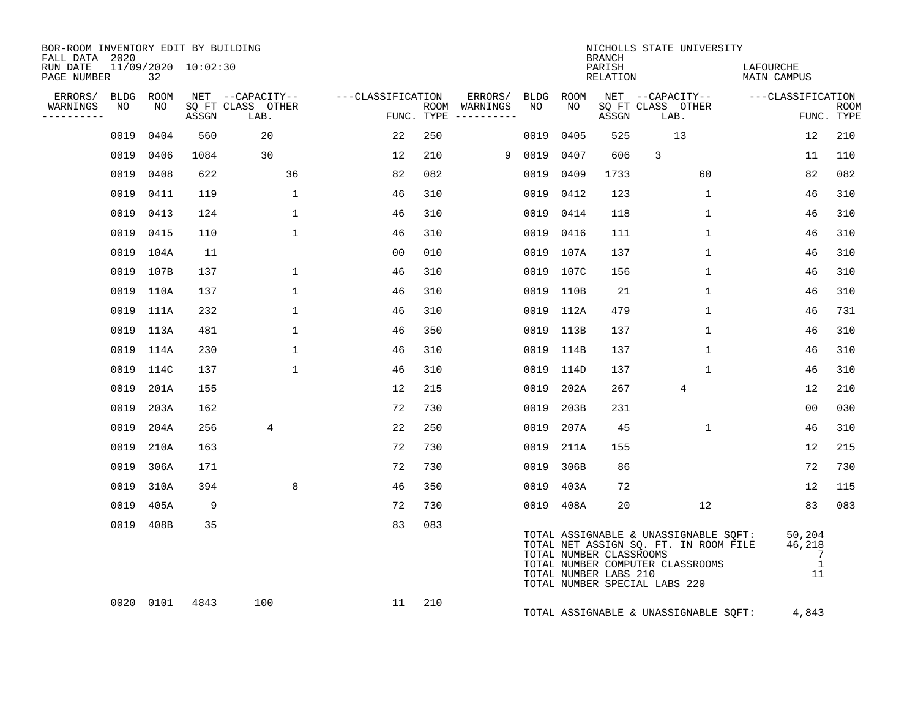| BOR-ROOM INVENTORY EDIT BY BUILDING<br>FALL DATA 2020 |           |           |                     |                           |                   |     |                                      |        |           | BRANCH                                           | NICHOLLS STATE UNIVERSITY                                                                                                                           |                                                            |                           |
|-------------------------------------------------------|-----------|-----------|---------------------|---------------------------|-------------------|-----|--------------------------------------|--------|-----------|--------------------------------------------------|-----------------------------------------------------------------------------------------------------------------------------------------------------|------------------------------------------------------------|---------------------------|
| RUN DATE<br>PAGE NUMBER                               |           | 32        | 11/09/2020 10:02:30 |                           |                   |     |                                      |        |           | PARISH<br>RELATION                               |                                                                                                                                                     | LAFOURCHE<br>MAIN CAMPUS                                   |                           |
| ERRORS/                                               |           | BLDG ROOM |                     | NET --CAPACITY--          | ---CLASSIFICATION |     | ERRORS/ BLDG ROOM                    |        |           |                                                  | NET --CAPACITY-- - ---CLASSIFICATION                                                                                                                |                                                            |                           |
| WARNINGS<br>----------                                | NO        | NO        | ASSGN               | SQ FT CLASS OTHER<br>LAB. |                   |     | ROOM WARNINGS<br>FUNC. TYPE $------$ | NO     | NO        | ASSGN                                            | SQ FT CLASS OTHER<br>LAB.                                                                                                                           |                                                            | <b>ROOM</b><br>FUNC. TYPE |
|                                                       | 0019 0404 |           | 560                 | 20                        | 22                | 250 |                                      | 0019   | 0405      | 525                                              | 13                                                                                                                                                  | $12 \overline{ }$                                          | 210                       |
|                                                       | 0019 0406 |           | 1084                | 30                        | 12                | 210 |                                      | 9 0019 | 0407      | 606                                              | 3                                                                                                                                                   | 11                                                         | 110                       |
|                                                       | 0019 0408 |           | 622                 | 36                        | 82                | 082 |                                      |        | 0019 0409 | 1733                                             | 60                                                                                                                                                  | 82                                                         | 082                       |
|                                                       | 0019 0411 |           | 119                 | $\mathbf{1}$              | 46                | 310 |                                      |        | 0019 0412 | 123                                              | $\mathbf{1}$                                                                                                                                        | 46                                                         | 310                       |
|                                                       | 0019 0413 |           | 124                 | $\mathbf{1}$              | 46                | 310 |                                      |        | 0019 0414 | 118                                              | $\mathbf{1}$                                                                                                                                        | 46                                                         | 310                       |
|                                                       | 0019 0415 |           | 110                 | $\mathbf{1}$              | 46                | 310 |                                      |        | 0019 0416 | 111                                              | $\mathbf{1}$                                                                                                                                        | 46                                                         | 310                       |
|                                                       | 0019 104A |           | 11                  |                           | 0 <sub>0</sub>    | 010 |                                      |        | 0019 107A | 137                                              | $\mathbf{1}$                                                                                                                                        | 46                                                         | 310                       |
|                                                       | 0019 107B |           | 137                 | $\mathbf{1}$              | 46                | 310 |                                      |        | 0019 107C | 156                                              | $\mathbf{1}$                                                                                                                                        | 46                                                         | 310                       |
|                                                       | 0019 110A |           | 137                 | $\mathbf{1}$              | 46                | 310 |                                      |        | 0019 110B | 21                                               | $\mathbf{1}$                                                                                                                                        | 46                                                         | 310                       |
|                                                       |           | 0019 111A | 232                 | $\mathbf{1}$              | 46                | 310 |                                      |        | 0019 112A | 479                                              | $\mathbf{1}$                                                                                                                                        | 46                                                         | 731                       |
|                                                       | 0019 113A |           | 481                 | $\mathbf{1}$              | 46                | 350 |                                      |        | 0019 113B | 137                                              | $\mathbf{1}$                                                                                                                                        | 46                                                         | 310                       |
|                                                       | 0019 114A |           | 230                 | $\mathbf{1}$              | 46                | 310 |                                      |        | 0019 114B | 137                                              | $\mathbf{1}$                                                                                                                                        | 46                                                         | 310                       |
|                                                       | 0019 114C |           | 137                 | $\mathbf{1}$              | 46                | 310 |                                      |        | 0019 114D | 137                                              | $\mathbf{1}$                                                                                                                                        | 46                                                         | 310                       |
|                                                       |           | 0019 201A | 155                 |                           | 12                | 215 |                                      |        | 0019 202A | 267                                              | $\overline{4}$                                                                                                                                      | 12                                                         | 210                       |
|                                                       |           | 0019 203A | 162                 |                           | 72                | 730 |                                      | 0019   | 203B      | 231                                              |                                                                                                                                                     | 0 <sub>0</sub>                                             | 030                       |
|                                                       |           | 0019 204A | 256                 | 4                         | 22                | 250 |                                      |        | 0019 207A | 45                                               | $\mathbf{1}$                                                                                                                                        | 46                                                         | 310                       |
|                                                       |           | 0019 210A | 163                 |                           | 72                | 730 |                                      |        | 0019 211A | 155                                              |                                                                                                                                                     | $12 \overline{ }$                                          | 215                       |
|                                                       |           | 0019 306A | 171                 |                           | 72                | 730 |                                      |        | 0019 306B | 86                                               |                                                                                                                                                     | 72                                                         | 730                       |
|                                                       |           | 0019 310A | 394                 | 8                         | 46                | 350 |                                      | 0019   | 403A      | 72                                               |                                                                                                                                                     | 12                                                         | 115                       |
|                                                       |           | 0019 405A | 9                   |                           | 72                | 730 |                                      |        | 0019 408A | 20                                               | 12                                                                                                                                                  | 83                                                         | 083                       |
|                                                       |           | 0019 408B | 35                  |                           | 83                | 083 |                                      |        |           | TOTAL NUMBER CLASSROOMS<br>TOTAL NUMBER LABS 210 | TOTAL ASSIGNABLE & UNASSIGNABLE SQFT:<br>TOTAL NET ASSIGN SQ. FT. IN ROOM FILE<br>TOTAL NUMBER COMPUTER CLASSROOMS<br>TOTAL NUMBER SPECIAL LABS 220 | 50,204<br>46,218<br>$\overline{7}$<br>$\overline{1}$<br>11 |                           |
|                                                       |           |           | 0020 0101 4843      | 100                       | 11                | 210 |                                      |        |           |                                                  | TOTAL ASSIGNABLE & UNASSIGNABLE SQFT:                                                                                                               | 4,843                                                      |                           |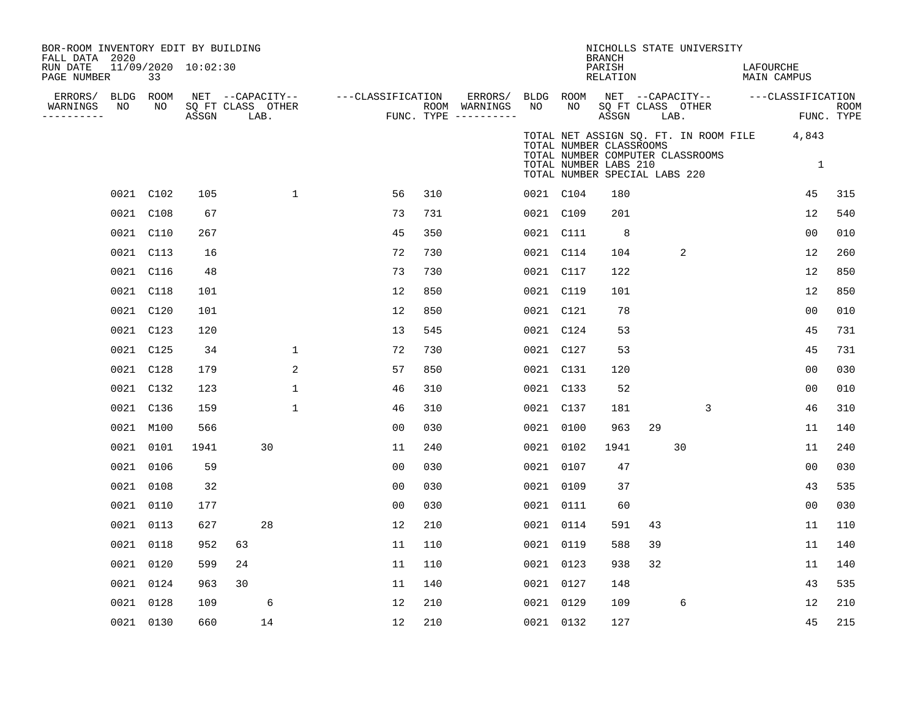| BOR-ROOM INVENTORY EDIT BY BUILDING<br>FALL DATA 2020<br>RUN DATE |    |                 | 11/09/2020 10:02:30 |                                       |             |                   |     |                          |                 |                                                                                   | <b>BRANCH</b><br>PARISH |    | NICHOLLS STATE UNIVERSITY        | LAFOURCHE                                   |                                    |             |
|-------------------------------------------------------------------|----|-----------------|---------------------|---------------------------------------|-------------|-------------------|-----|--------------------------|-----------------|-----------------------------------------------------------------------------------|-------------------------|----|----------------------------------|---------------------------------------------|------------------------------------|-------------|
| PAGE NUMBER                                                       |    | 33              |                     |                                       |             |                   |     |                          |                 |                                                                                   | RELATION                |    |                                  |                                             | MAIN CAMPUS                        |             |
| ERRORS/<br>WARNINGS                                               | NO | BLDG ROOM<br>NO |                     | NET --CAPACITY--<br>SQ FT CLASS OTHER |             | ---CLASSIFICATION |     | ERRORS/<br>ROOM WARNINGS | BLDG ROOM<br>NO | NO                                                                                |                         |    | SQ FT CLASS OTHER                |                                             | NET --CAPACITY-- ---CLASSIFICATION | <b>ROOM</b> |
| ---------                                                         |    |                 | ASSGN               | LAB.                                  |             |                   |     | FUNC. TYPE $------$      |                 |                                                                                   | ASSGN                   |    | LAB.                             |                                             | FUNC. TYPE                         |             |
|                                                                   |    |                 |                     |                                       |             |                   |     |                          |                 | TOTAL NUMBER CLASSROOMS<br>TOTAL NUMBER LABS 210<br>TOTAL NUMBER SPECIAL LABS 220 |                         |    | TOTAL NUMBER COMPUTER CLASSROOMS | TOTAL NET ASSIGN SQ. FT. IN ROOM FILE 4,843 | 1                                  |             |
|                                                                   |    | 0021 C102       | 105                 |                                       | $\mathbf 1$ | 56                | 310 |                          | 0021 C104       |                                                                                   | 180                     |    |                                  |                                             | 45                                 | 315         |
|                                                                   |    | 0021 C108       | 67                  |                                       |             | 73                | 731 |                          | 0021 C109       |                                                                                   | 201                     |    |                                  |                                             | 12                                 | 540         |
|                                                                   |    | 0021 C110       | 267                 |                                       |             | 45                | 350 |                          | 0021 C111       |                                                                                   | 8                       |    |                                  |                                             | 00                                 | 010         |
|                                                                   |    | 0021 C113       | 16                  |                                       |             | 72                | 730 |                          | 0021 C114       |                                                                                   | 104                     |    | 2                                |                                             | 12                                 | 260         |
|                                                                   |    | 0021 C116       | 48                  |                                       |             | 73                | 730 |                          | 0021 C117       |                                                                                   | 122                     |    |                                  |                                             | 12                                 | 850         |
|                                                                   |    | 0021 C118       | 101                 |                                       |             | 12                | 850 |                          | 0021 C119       |                                                                                   | 101                     |    |                                  |                                             | 12                                 | 850         |
|                                                                   |    | 0021 C120       | 101                 |                                       |             | 12                | 850 |                          | 0021 C121       |                                                                                   | 78                      |    |                                  |                                             | 0 <sub>0</sub>                     | 010         |
|                                                                   |    | 0021 C123       | 120                 |                                       |             | 13                | 545 |                          | 0021 C124       |                                                                                   | 53                      |    |                                  |                                             | 45                                 | 731         |
|                                                                   |    | 0021 C125       | 34                  |                                       | $\mathbf 1$ | 72                | 730 |                          | 0021 C127       |                                                                                   | 53                      |    |                                  |                                             | 45                                 | 731         |
|                                                                   |    | 0021 C128       | 179                 |                                       | 2           | 57                | 850 |                          | 0021 C131       |                                                                                   | 120                     |    |                                  |                                             | 0 <sub>0</sub>                     | 030         |
|                                                                   |    | 0021 C132       | 123                 |                                       | $\mathbf 1$ | 46                | 310 |                          | 0021 C133       |                                                                                   | 52                      |    |                                  |                                             | 0 <sub>0</sub>                     | 010         |
|                                                                   |    | 0021 C136       | 159                 |                                       | 1           | 46                | 310 |                          | 0021 C137       |                                                                                   | 181                     |    | 3                                |                                             | 46                                 | 310         |
|                                                                   |    | 0021 M100       | 566                 |                                       |             | 0 <sub>0</sub>    | 030 |                          | 0021 0100       |                                                                                   | 963                     | 29 |                                  |                                             | 11                                 | 140         |
|                                                                   |    | 0021 0101       | 1941                | 30                                    |             | 11                | 240 |                          | 0021 0102       |                                                                                   | 1941                    |    | 30                               |                                             | 11                                 | 240         |
|                                                                   |    | 0021 0106       | 59                  |                                       |             | 0 <sub>0</sub>    | 030 |                          | 0021 0107       |                                                                                   | 47                      |    |                                  |                                             | 0 <sub>0</sub>                     | 030         |
|                                                                   |    | 0021 0108       | 32                  |                                       |             | 0 <sub>0</sub>    | 030 |                          | 0021 0109       |                                                                                   | 37                      |    |                                  |                                             | 43                                 | 535         |
|                                                                   |    | 0021 0110       | 177                 |                                       |             | 0 <sub>0</sub>    | 030 |                          | 0021 0111       |                                                                                   | 60                      |    |                                  |                                             | 0 <sub>0</sub>                     | 030         |
|                                                                   |    | 0021 0113       | 627                 | 28                                    |             | 12                | 210 |                          | 0021 0114       |                                                                                   | 591                     | 43 |                                  |                                             | 11                                 | 110         |
|                                                                   |    | 0021 0118       | 952                 | 63                                    |             | 11                | 110 |                          | 0021 0119       |                                                                                   | 588                     | 39 |                                  |                                             | 11                                 | 140         |
|                                                                   |    | 0021 0120       | 599                 | 24                                    |             | 11                | 110 |                          | 0021 0123       |                                                                                   | 938                     | 32 |                                  |                                             | 11                                 | 140         |
|                                                                   |    | 0021 0124       | 963                 | 30                                    |             | 11                | 140 |                          | 0021 0127       |                                                                                   | 148                     |    |                                  |                                             | 43                                 | 535         |
|                                                                   |    | 0021 0128       | 109                 | 6                                     |             | 12                | 210 |                          | 0021 0129       |                                                                                   | 109                     |    | 6                                |                                             | 12                                 | 210         |
|                                                                   |    | 0021 0130       | 660                 | 14                                    |             | 12                | 210 |                          | 0021 0132       |                                                                                   | 127                     |    |                                  |                                             | 45                                 | 215         |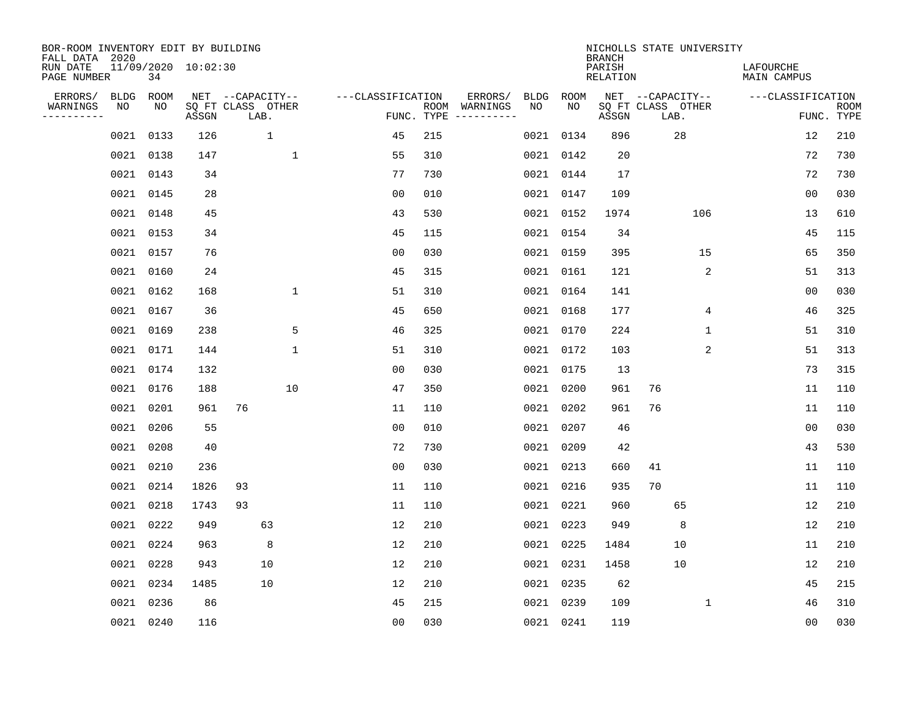| BOR-ROOM INVENTORY EDIT BY BUILDING<br>FALL DATA 2020 |             |           |                     |                           |              |                   |                    |                         |      |           | <b>BRANCH</b>             | NICHOLLS STATE UNIVERSITY |     |                                 |                |                           |
|-------------------------------------------------------|-------------|-----------|---------------------|---------------------------|--------------|-------------------|--------------------|-------------------------|------|-----------|---------------------------|---------------------------|-----|---------------------------------|----------------|---------------------------|
| RUN DATE<br>PAGE NUMBER                               |             | 34        | 11/09/2020 10:02:30 |                           |              |                   |                    |                         |      |           | PARISH<br><b>RELATION</b> |                           |     | LAFOURCHE<br><b>MAIN CAMPUS</b> |                |                           |
| ERRORS/                                               | <b>BLDG</b> | ROOM      |                     | NET --CAPACITY--          |              | ---CLASSIFICATION |                    | ERRORS/                 | BLDG | ROOM      |                           | NET --CAPACITY--          |     | ---CLASSIFICATION               |                |                           |
| WARNINGS<br>----------                                | NO          | NO        | ASSGN               | SQ FT CLASS OTHER<br>LAB. |              |                   | ROOM<br>FUNC. TYPE | WARNINGS<br>----------- | NO   | NO        | ASSGN                     | SQ FT CLASS OTHER<br>LAB. |     |                                 |                | <b>ROOM</b><br>FUNC. TYPE |
|                                                       | 0021        | 0133      | 126                 | $\mathbf{1}$              |              | 45                | 215                |                         | 0021 | 0134      | 896                       | 28                        |     |                                 | 12             | 210                       |
|                                                       |             | 0021 0138 | 147                 |                           | 1            | 55                | 310                |                         |      | 0021 0142 | 20                        |                           |     |                                 | 72             | 730                       |
|                                                       |             | 0021 0143 | 34                  |                           |              | 77                | 730                |                         |      | 0021 0144 | 17                        |                           |     |                                 | 72             | 730                       |
|                                                       |             | 0021 0145 | 28                  |                           |              | 0 <sub>0</sub>    | 010                |                         |      | 0021 0147 | 109                       |                           |     |                                 | 0 <sub>0</sub> | 030                       |
|                                                       |             | 0021 0148 | 45                  |                           |              | 43                | 530                |                         |      | 0021 0152 | 1974                      |                           | 106 |                                 | 13             | 610                       |
|                                                       |             | 0021 0153 | 34                  |                           |              | 45                | 115                |                         |      | 0021 0154 | 34                        |                           |     |                                 | 45             | 115                       |
|                                                       |             | 0021 0157 | 76                  |                           |              | 0 <sub>0</sub>    | 030                |                         |      | 0021 0159 | 395                       |                           | 15  |                                 | 65             | 350                       |
|                                                       |             | 0021 0160 | 24                  |                           |              | 45                | 315                |                         |      | 0021 0161 | 121                       |                           | 2   |                                 | 51             | 313                       |
|                                                       | 0021        | 0162      | 168                 |                           | $\mathbf{1}$ | 51                | 310                |                         |      | 0021 0164 | 141                       |                           |     |                                 | 0 <sub>0</sub> | 030                       |
|                                                       |             | 0021 0167 | 36                  |                           |              | 45                | 650                |                         |      | 0021 0168 | 177                       |                           | 4   |                                 | 46             | 325                       |
|                                                       |             | 0021 0169 | 238                 |                           | 5            | 46                | 325                |                         |      | 0021 0170 | 224                       |                           | 1   |                                 | 51             | 310                       |
|                                                       |             | 0021 0171 | 144                 |                           | $\mathbf 1$  | 51                | 310                |                         |      | 0021 0172 | 103                       |                           | 2   |                                 | 51             | 313                       |
|                                                       |             | 0021 0174 | 132                 |                           |              | 0 <sub>0</sub>    | 030                |                         |      | 0021 0175 | 13                        |                           |     |                                 | 73             | 315                       |
|                                                       |             | 0021 0176 | 188                 |                           | 10           | 47                | 350                |                         | 0021 | 0200      | 961                       | 76                        |     |                                 | 11             | 110                       |
|                                                       | 0021        | 0201      | 961                 | 76                        |              | 11                | 110                |                         | 0021 | 0202      | 961                       | 76                        |     |                                 | 11             | 110                       |
|                                                       | 0021        | 0206      | 55                  |                           |              | 0 <sub>0</sub>    | 010                |                         | 0021 | 0207      | 46                        |                           |     |                                 | 00             | 030                       |
|                                                       | 0021        | 0208      | 40                  |                           |              | 72                | 730                |                         | 0021 | 0209      | 42                        |                           |     |                                 | 43             | 530                       |
|                                                       | 0021        | 0210      | 236                 |                           |              | 0 <sub>0</sub>    | 030                |                         | 0021 | 0213      | 660                       | 41                        |     |                                 | 11             | 110                       |
|                                                       | 0021        | 0214      | 1826                | 93                        |              | 11                | 110                |                         |      | 0021 0216 | 935                       | 70                        |     |                                 | 11             | 110                       |
|                                                       | 0021        | 0218      | 1743                | 93                        |              | 11                | 110                |                         |      | 0021 0221 | 960                       | 65                        |     |                                 | 12             | 210                       |
|                                                       | 0021        | 0222      | 949                 | 63                        |              | 12                | 210                |                         |      | 0021 0223 | 949                       | 8                         |     |                                 | 12             | 210                       |
|                                                       | 0021        | 0224      | 963                 | 8                         |              | 12                | 210                |                         | 0021 | 0225      | 1484                      | 10                        |     |                                 | 11             | 210                       |
|                                                       | 0021        | 0228      | 943                 | 10                        |              | 12                | 210                |                         |      | 0021 0231 | 1458                      | 10                        |     |                                 | 12             | 210                       |
|                                                       |             | 0021 0234 | 1485                | 10                        |              | 12                | 210                |                         |      | 0021 0235 | 62                        |                           |     |                                 | 45             | 215                       |
|                                                       | 0021        | 0236      | 86                  |                           |              | 45                | 215                |                         |      | 0021 0239 | 109                       |                           | 1   |                                 | 46             | 310                       |
|                                                       |             | 0021 0240 | 116                 |                           |              | 0 <sub>0</sub>    | 030                |                         |      | 0021 0241 | 119                       |                           |     |                                 | 00             | 030                       |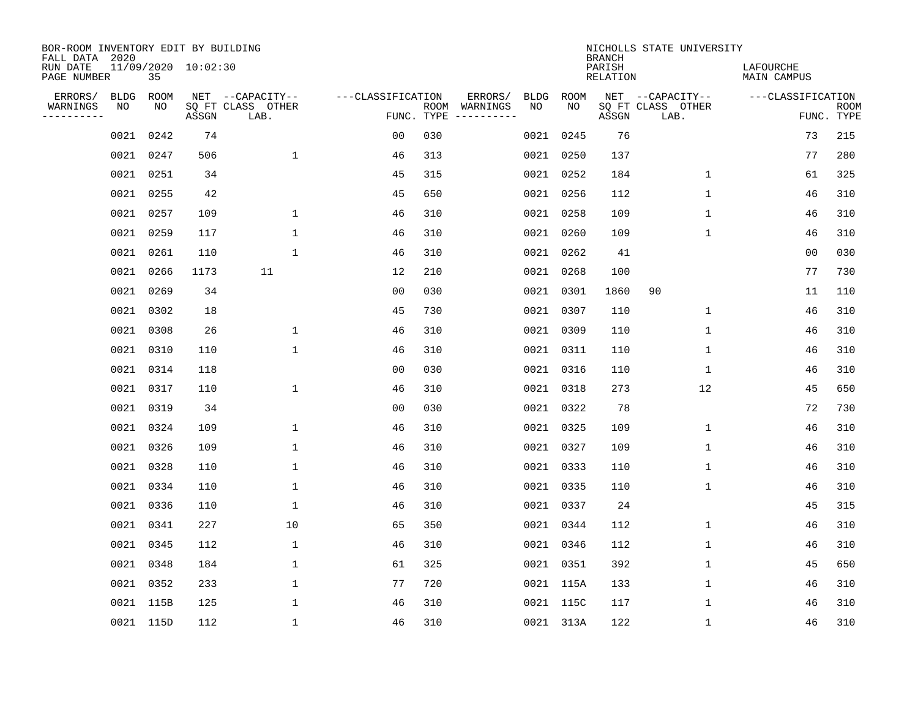| BOR-ROOM INVENTORY EDIT BY BUILDING<br>FALL DATA 2020 |             |      |                     |                           |                   |     |                                      |             |             | <b>BRANCH</b>             | NICHOLLS STATE UNIVERSITY |                          |                           |
|-------------------------------------------------------|-------------|------|---------------------|---------------------------|-------------------|-----|--------------------------------------|-------------|-------------|---------------------------|---------------------------|--------------------------|---------------------------|
| RUN DATE<br>PAGE NUMBER                               |             | 35   | 11/09/2020 10:02:30 |                           |                   |     |                                      |             |             | PARISH<br><b>RELATION</b> |                           | LAFOURCHE<br>MAIN CAMPUS |                           |
| ERRORS/                                               | <b>BLDG</b> | ROOM |                     | NET --CAPACITY--          | ---CLASSIFICATION |     | ERRORS/                              | <b>BLDG</b> | <b>ROOM</b> |                           | NET --CAPACITY--          | ---CLASSIFICATION        |                           |
| WARNINGS<br>----------                                | NO          | NO   | ASSGN               | SQ FT CLASS OTHER<br>LAB. |                   |     | ROOM WARNINGS<br>FUNC. TYPE $------$ | NO          | NO          | ASSGN                     | SQ FT CLASS OTHER<br>LAB. |                          | <b>ROOM</b><br>FUNC. TYPE |
|                                                       | 0021        | 0242 | 74                  |                           | 0 <sub>0</sub>    | 030 |                                      |             | 0021 0245   | 76                        |                           | 73                       | 215                       |
|                                                       | 0021        | 0247 | 506                 | $\mathbf 1$               | 46                | 313 |                                      |             | 0021 0250   | 137                       |                           | 77                       | 280                       |
|                                                       | 0021        | 0251 | 34                  |                           | 45                | 315 |                                      |             | 0021 0252   | 184                       | $\mathbf 1$               | 61                       | 325                       |
|                                                       | 0021        | 0255 | 42                  |                           | 45                | 650 |                                      |             | 0021 0256   | 112                       | $\mathbf 1$               | 46                       | 310                       |
|                                                       | 0021        | 0257 | 109                 | $\mathbf{1}$              | 46                | 310 |                                      |             | 0021 0258   | 109                       | $\mathbf{1}$              | 46                       | 310                       |
|                                                       | 0021 0259   |      | 117                 | $\mathbf 1$               | 46                | 310 |                                      |             | 0021 0260   | 109                       | $\mathbf{1}$              | 46                       | 310                       |
|                                                       | 0021 0261   |      | 110                 | $\mathbf{1}$              | 46                | 310 |                                      |             | 0021 0262   | 41                        |                           | 0 <sub>0</sub>           | 030                       |
|                                                       | 0021 0266   |      | 1173                | 11                        | 12                | 210 |                                      |             | 0021 0268   | 100                       |                           | 77                       | 730                       |
|                                                       | 0021        | 0269 | 34                  |                           | 0 <sub>0</sub>    | 030 |                                      |             | 0021 0301   | 1860                      | 90                        | 11                       | 110                       |
|                                                       | 0021 0302   |      | 18                  |                           | 45                | 730 |                                      |             | 0021 0307   | 110                       | 1                         | 46                       | 310                       |
|                                                       | 0021        | 0308 | 26                  | $\mathbf{1}$              | 46                | 310 |                                      |             | 0021 0309   | 110                       | $\mathbf 1$               | 46                       | 310                       |
|                                                       | 0021 0310   |      | 110                 | $\mathbf{1}$              | 46                | 310 |                                      |             | 0021 0311   | 110                       | $\mathbf 1$               | 46                       | 310                       |
|                                                       | 0021        | 0314 | 118                 |                           | 0 <sub>0</sub>    | 030 |                                      |             | 0021 0316   | 110                       | $\mathbf 1$               | 46                       | 310                       |
|                                                       | 0021        | 0317 | 110                 | 1                         | 46                | 310 |                                      |             | 0021 0318   | 273                       | 12                        | 45                       | 650                       |
|                                                       | 0021        | 0319 | 34                  |                           | 0 <sub>0</sub>    | 030 |                                      |             | 0021 0322   | 78                        |                           | 72                       | 730                       |
|                                                       | 0021        | 0324 | 109                 | 1                         | 46                | 310 |                                      |             | 0021 0325   | 109                       | 1                         | 46                       | 310                       |
|                                                       | 0021        | 0326 | 109                 | $\mathbf{1}$              | 46                | 310 |                                      |             | 0021 0327   | 109                       | 1                         | 46                       | 310                       |
|                                                       | 0021        | 0328 | 110                 | $\mathbf{1}$              | 46                | 310 |                                      |             | 0021 0333   | 110                       | 1                         | 46                       | 310                       |
|                                                       | 0021        | 0334 | 110                 | $\mathbf{1}$              | 46                | 310 |                                      |             | 0021 0335   | 110                       | 1                         | 46                       | 310                       |
|                                                       | 0021        | 0336 | 110                 | $\mathbf 1$               | 46                | 310 |                                      |             | 0021 0337   | 24                        |                           | 45                       | 315                       |
|                                                       | 0021        | 0341 | 227                 | 10                        | 65                | 350 |                                      |             | 0021 0344   | 112                       | 1                         | 46                       | 310                       |
|                                                       | 0021        | 0345 | 112                 | $\mathbf 1$               | 46                | 310 |                                      |             | 0021 0346   | 112                       | $\mathbf 1$               | 46                       | 310                       |
|                                                       | 0021        | 0348 | 184                 | 1                         | 61                | 325 |                                      |             | 0021 0351   | 392                       | 1                         | 45                       | 650                       |
|                                                       | 0021 0352   |      | 233                 | $\mathbf 1$               | 77                | 720 |                                      |             | 0021 115A   | 133                       | $\mathbf 1$               | 46                       | 310                       |
|                                                       | 0021 115B   |      | 125                 | $\mathbf{1}$              | 46                | 310 |                                      |             | 0021 115C   | 117                       | 1                         | 46                       | 310                       |
|                                                       | 0021 115D   |      | 112                 | $\mathbf{1}$              | 46                | 310 |                                      |             | 0021 313A   | 122                       | 1                         | 46                       | 310                       |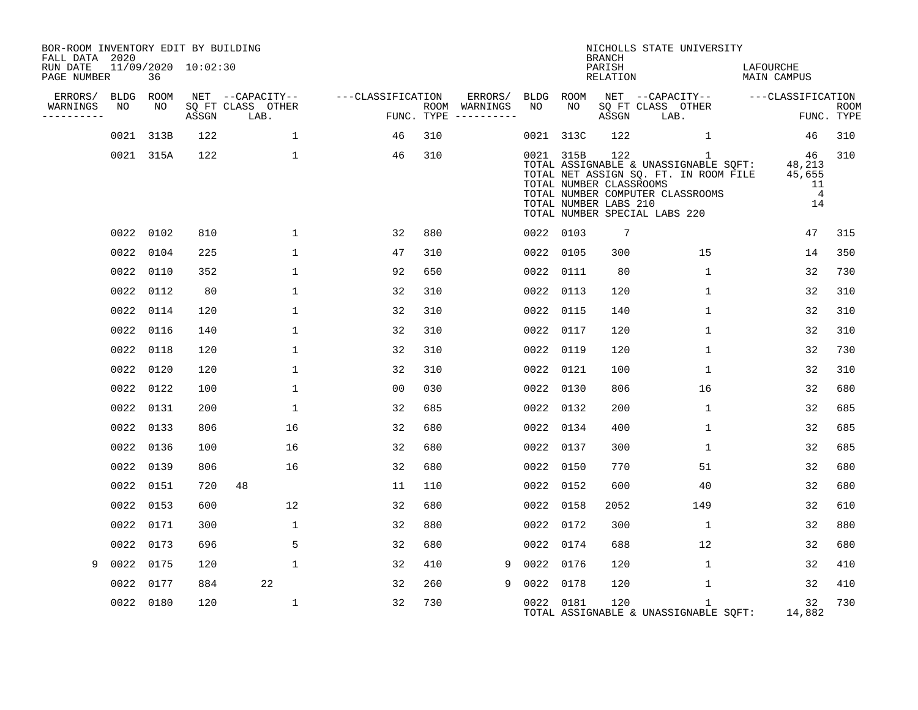| BOR-ROOM INVENTORY EDIT BY BUILDING<br>FALL DATA 2020 |                   |           |                     |                           |                   |     |                                      |                 |           | <b>BRANCH</b>                                           | NICHOLLS STATE UNIVERSITY                                                                                                                                           |                                                      |                           |
|-------------------------------------------------------|-------------------|-----------|---------------------|---------------------------|-------------------|-----|--------------------------------------|-----------------|-----------|---------------------------------------------------------|---------------------------------------------------------------------------------------------------------------------------------------------------------------------|------------------------------------------------------|---------------------------|
| RUN DATE<br>PAGE NUMBER                               |                   | 36        | 11/09/2020 10:02:30 |                           |                   |     |                                      |                 |           | PARISH<br>RELATION                                      |                                                                                                                                                                     | LAFOURCHE<br>MAIN CAMPUS                             |                           |
| ERRORS/                                               | <b>BLDG</b><br>NO | ROOM      |                     | NET --CAPACITY--          | ---CLASSIFICATION |     | ERRORS/                              | BLDG ROOM<br>NO |           |                                                         | NET --CAPACITY--                                                                                                                                                    | ---CLASSIFICATION                                    |                           |
| WARNINGS                                              |                   | NO        | ASSGN               | SQ FT CLASS OTHER<br>LAB. |                   |     | ROOM WARNINGS<br>FUNC. TYPE $------$ |                 | NO        | ASSGN                                                   | SQ FT CLASS OTHER<br>LAB.                                                                                                                                           |                                                      | <b>ROOM</b><br>FUNC. TYPE |
|                                                       | 0021              | 313B      | 122                 | 1                         | 46                | 310 |                                      | 0021 313C       |           | 122                                                     | $\mathbf{1}$                                                                                                                                                        | 46                                                   | 310                       |
|                                                       |                   | 0021 315A | 122                 | 1                         | 46                | 310 |                                      |                 | 0021 315B | 122<br>TOTAL NUMBER CLASSROOMS<br>TOTAL NUMBER LABS 210 | $\mathbf{1}$<br>TOTAL ASSIGNABLE & UNASSIGNABLE SQFT:<br>TOTAL NET ASSIGN SQ. FT. IN ROOM FILE<br>TOTAL NUMBER COMPUTER CLASSROOMS<br>TOTAL NUMBER SPECIAL LABS 220 | 46<br>48,213<br>45,655<br>11<br>$\overline{4}$<br>14 | 310                       |
|                                                       |                   | 0022 0102 | 810                 | $\mathbf{1}$              | 32                | 880 |                                      | 0022 0103       |           | $7\phantom{.0}$                                         |                                                                                                                                                                     | 47                                                   | 315                       |
|                                                       | 0022              | 0104      | 225                 | $\mathbf{1}$              | 47                | 310 |                                      | 0022 0105       |           | 300                                                     | 15                                                                                                                                                                  | 14                                                   | 350                       |
|                                                       |                   | 0022 0110 | 352                 | $\mathbf{1}$              | 92                | 650 |                                      | 0022 0111       |           | 80                                                      | $\mathbf{1}$                                                                                                                                                        | 32                                                   | 730                       |
|                                                       |                   | 0022 0112 | 80                  | 1                         | 32                | 310 |                                      | 0022 0113       |           | 120                                                     | $\mathbf 1$                                                                                                                                                         | 32                                                   | 310                       |
|                                                       |                   | 0022 0114 | 120                 | 1                         | 32                | 310 |                                      | 0022 0115       |           | 140                                                     | $\mathbf 1$                                                                                                                                                         | 32                                                   | 310                       |
|                                                       |                   | 0022 0116 | 140                 | 1                         | 32                | 310 |                                      | 0022 0117       |           | 120                                                     | $\mathbf 1$                                                                                                                                                         | 32                                                   | 310                       |
|                                                       |                   | 0022 0118 | 120                 | $\mathbf 1$               | 32                | 310 |                                      | 0022 0119       |           | 120                                                     | $\mathbf 1$                                                                                                                                                         | 32                                                   | 730                       |
|                                                       |                   | 0022 0120 | 120                 | 1                         | 32                | 310 |                                      | 0022 0121       |           | 100                                                     | $\mathbf 1$                                                                                                                                                         | 32                                                   | 310                       |
|                                                       |                   | 0022 0122 | 100                 | $\mathbf 1$               | 00                | 030 |                                      | 0022 0130       |           | 806                                                     | 16                                                                                                                                                                  | 32                                                   | 680                       |
|                                                       |                   | 0022 0131 | 200                 | 1                         | 32                | 685 |                                      | 0022 0132       |           | 200                                                     | 1                                                                                                                                                                   | 32                                                   | 685                       |
|                                                       |                   | 0022 0133 | 806                 | 16                        | 32                | 680 |                                      | 0022 0134       |           | 400                                                     | $\mathbf 1$                                                                                                                                                         | 32                                                   | 685                       |
|                                                       |                   | 0022 0136 | 100                 | 16                        | 32                | 680 |                                      | 0022 0137       |           | 300                                                     | 1                                                                                                                                                                   | 32                                                   | 685                       |
|                                                       |                   | 0022 0139 | 806                 | 16                        | 32                | 680 |                                      | 0022 0150       |           | 770                                                     | 51                                                                                                                                                                  | 32                                                   | 680                       |
|                                                       |                   | 0022 0151 | 720                 | 48                        | 11                | 110 |                                      | 0022 0152       |           | 600                                                     | 40                                                                                                                                                                  | 32                                                   | 680                       |
|                                                       |                   | 0022 0153 | 600                 | 12                        | 32                | 680 |                                      | 0022 0158       |           | 2052                                                    | 149                                                                                                                                                                 | 32                                                   | 610                       |
|                                                       | 0022 0171         |           | 300                 | $\mathbf 1$               | 32                | 880 |                                      | 0022 0172       |           | 300                                                     | $\mathbf{1}$                                                                                                                                                        | 32                                                   | 880                       |
|                                                       |                   | 0022 0173 | 696                 | 5                         | 32                | 680 |                                      | 0022 0174       |           | 688                                                     | 12                                                                                                                                                                  | 32                                                   | 680                       |
| 9                                                     | 0022 0175         |           | 120                 | $\mathbf{1}$              | 32                | 410 | 9                                    | 0022 0176       |           | 120                                                     | $\mathbf{1}$                                                                                                                                                        | 32                                                   | 410                       |
|                                                       | 0022              | 0177      | 884                 | 22                        | 32                | 260 | 9                                    | 0022            | 0178      | 120                                                     | $\mathbf 1$                                                                                                                                                         | 32                                                   | 410                       |
|                                                       |                   | 0022 0180 | 120                 | $\mathbf 1$               | 32                | 730 |                                      | 0022 0181       |           | 120                                                     | $\mathbf{1}$<br>TOTAL ASSIGNABLE & UNASSIGNABLE SQFT:                                                                                                               | 32<br>14,882                                         | 730                       |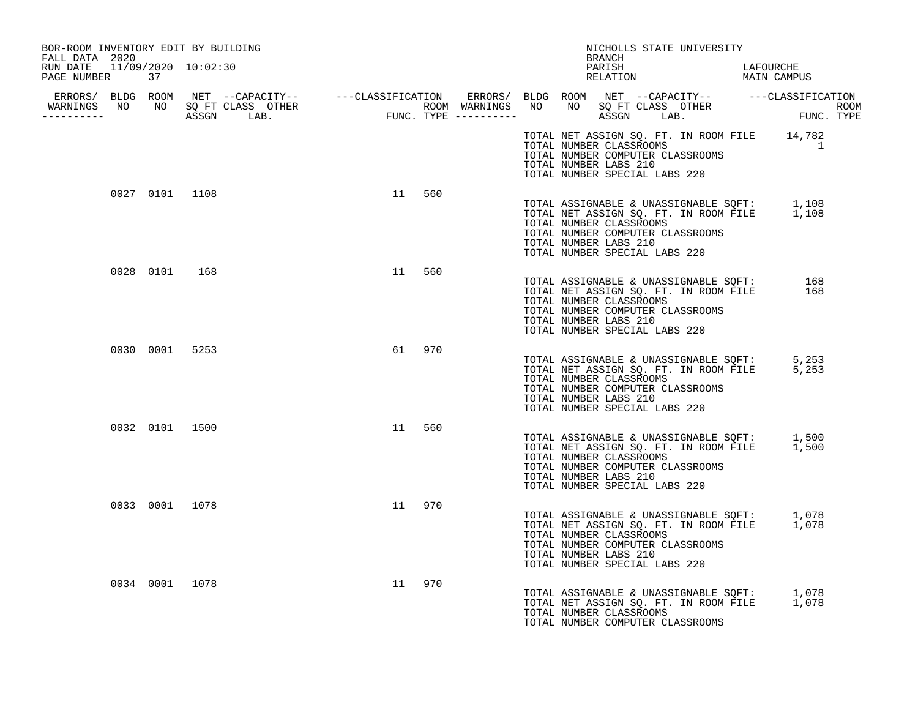| BOR-ROOM INVENTORY EDIT BY BUILDING<br>FALL DATA 2020                                                                                                                                                                                |  |    |        |  | BRANCH                                                                                                                | NICHOLLS STATE UNIVERSITY                                                                                                       |                |  |
|--------------------------------------------------------------------------------------------------------------------------------------------------------------------------------------------------------------------------------------|--|----|--------|--|-----------------------------------------------------------------------------------------------------------------------|---------------------------------------------------------------------------------------------------------------------------------|----------------|--|
| RUN DATE 11/09/2020 10:02:30<br>PAGE NUMBER 37                                                                                                                                                                                       |  |    |        |  |                                                                                                                       | PARISH LAFOURCHE RELATION MAIN CAMPUS                                                                                           |                |  |
| ERRORS/ BLDG ROOM NET --CAPACITY-- ----CLASSIFICATION ERRORS/ BLDG ROOM NET --CAPACITY-- -----CLASSIFICATION<br>WARNINGS NO NO SQFTCLASS OTHER ROOM WARNINGS NO NO SQFTCLASS OTHER ROOM<br>----------- ASSGN LAB. FUNC.TYPE -------- |  |    |        |  |                                                                                                                       |                                                                                                                                 |                |  |
|                                                                                                                                                                                                                                      |  |    |        |  | TOTAL NUMBER COMPUTER CLASSROOMS<br>TOTAL NUMBER LABS 210<br>TOTAL NUMBER SPECIAL LABS 220                            | TOTAL NET ASSIGN SQ. FT. IN ROOM FILE 14,782<br>TOTAL NUMBER CLASSROOMS                                                         | $\overline{1}$ |  |
| 0027 0101 1108                                                                                                                                                                                                                       |  |    | 11 560 |  | TOTAL NUMBER CLASSROOMS<br>TOTAL NUMBER COMPUTER CLASSROOMS<br>TOTAL NUMBER LABS 210<br>TOTAL NUMBER SPECIAL LABS 220 | TOTAL ASSIGNABLE & UNASSIGNABLE SQFT: 1,108<br>TOTAL NET ASSIGN SQ. FT. IN ROOM FILE 1,108                                      |                |  |
| 0028 0101 168                                                                                                                                                                                                                        |  | 11 | 560    |  | TOTAL NUMBER CLASSROOMS<br>TOTAL NUMBER COMPUTER CLASSROOMS<br>TOTAL NUMBER LABS 210<br>TOTAL NUMBER SPECIAL LABS 220 | TOTAL ASSIGNABLE & UNASSIGNABLE SQFT: 168<br>TOTAL NET ASSIGN SQ. FT. IN ROOM FILE 168<br>TOTAL NET ASSIGN SQ. FT. IN ROOM FILE |                |  |
| 0030 0001 5253                                                                                                                                                                                                                       |  |    | 61 970 |  | TOTAL NUMBER CLASSROOMS<br>TOTAL NUMBER COMPUTER CLASSROOMS<br>TOTAL NUMBER LABS 210<br>TOTAL NUMBER SPECIAL LABS 220 | TOTAL ASSIGNABLE & UNASSIGNABLE SQFT: 5,253<br>TOTAL NET ASSIGN SQ. FT. IN ROOM FILE 5,253                                      |                |  |
| 0032 0101 1500                                                                                                                                                                                                                       |  | 11 | 560    |  | TOTAL NUMBER CLASSROOMS<br>TOTAL NUMBER COMPUTER CLASSROOMS<br>TOTAL NUMBER LABS 210<br>TOTAL NUMBER SPECIAL LABS 220 | TOTAL ASSIGNABLE & UNASSIGNABLE SQFT: 1,500<br>TOTAL NET ASSIGN SQ. FT. IN ROOM FILE 1,500                                      |                |  |
| 0033 0001 1078                                                                                                                                                                                                                       |  |    | 11 970 |  | TOTAL NUMBER CLASSROOMS<br>TOTAL NUMBER COMPUTER CLASSROOMS<br>TOTAL NUMBER LABS 210<br>TOTAL NUMBER SPECIAL LABS 220 | TOTAL ASSIGNABLE & UNASSIGNABLE SQFT: 1,078<br>TOTAL NET ASSIGN SQ. FT. IN ROOM FILE 1,078                                      |                |  |
| 0034 0001 1078                                                                                                                                                                                                                       |  |    | 11 970 |  | TOTAL NUMBER CLASSROOMS<br>TOTAL NUMBER COMPUTER CLASSROOMS                                                           | TOTAL ASSIGNABLE & UNASSIGNABLE SQFT: 1,078<br>TOTAL NET ASSIGN SQ. FT. IN ROOM FILE 1,078                                      |                |  |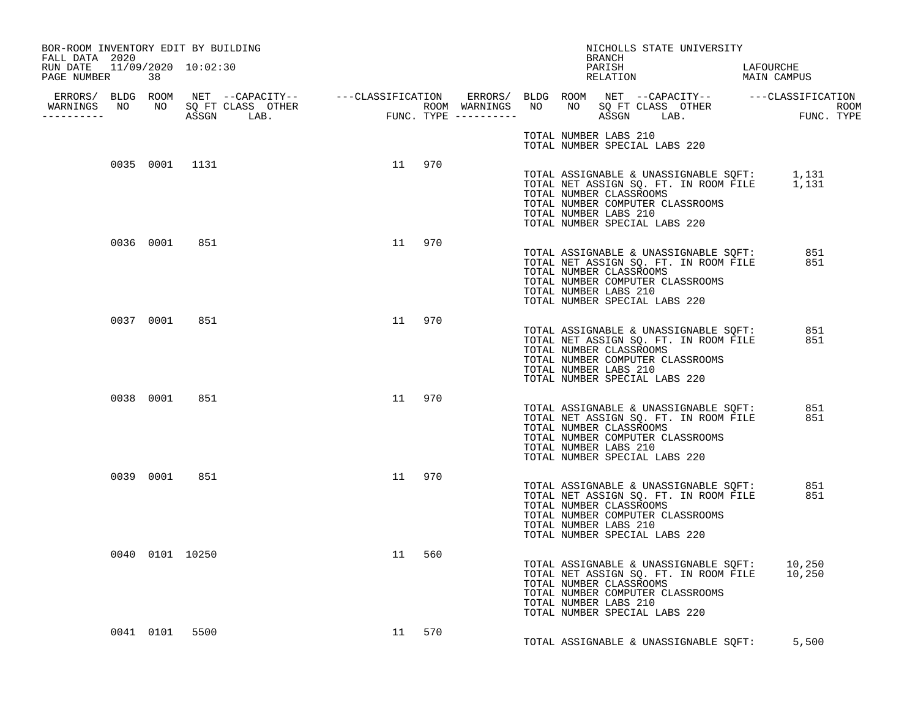| BOR-ROOM INVENTORY EDIT BY BUILDING<br>FALL DATA 2020 |                 |  |        |     |  |                                                  | BRANCH | NICHOLLS STATE UNIVERSITY                                                                                                                                                                        |            |  |
|-------------------------------------------------------|-----------------|--|--------|-----|--|--------------------------------------------------|--------|--------------------------------------------------------------------------------------------------------------------------------------------------------------------------------------------------|------------|--|
| RUN DATE 11/09/2020 10:02:30<br>PAGE NUMBER           | 38              |  |        |     |  |                                                  |        | PARISH LAFOURCHE RELATION MAIN CAMPUS                                                                                                                                                            |            |  |
| <u> - - - - - - - - - - -</u>                         |                 |  |        |     |  |                                                  |        |                                                                                                                                                                                                  |            |  |
|                                                       |                 |  |        |     |  | TOTAL NUMBER LABS 210                            |        | TOTAL NUMBER SPECIAL LABS 220                                                                                                                                                                    |            |  |
|                                                       | 0035 0001 1131  |  | 11 970 |     |  | TOTAL NUMBER LABS 210                            |        | TOTAL ASSIGNABLE & UNASSIGNABLE SQFT: 1,131<br>TOTAL NET ASSIGN SQ. FT. IN ROOM FILE 1,131<br>TOTAL NUMBER CLASSROOMS<br>TOTAL NUMBER COMPUTER CLASSROOMS<br>TOTAL NUMBER SPECIAL LABS 220       |            |  |
|                                                       | 0036 0001 851   |  | 11 970 |     |  | TOTAL NUMBER CLASSROOMS<br>TOTAL NUMBER LABS 210 |        | TOTAL ASSIGNABLE & UNASSIGNABLE SQFT:<br>TOTAL NET ASSIGN SQ. FT. IN ROOM FILE<br>TOTAL NUMBER COMPUTER CLASSROOMS<br>TOTAL NUMBER SPECIAL LABS 220                                              | 851<br>851 |  |
|                                                       | 0037 0001 851   |  | 11 970 |     |  | TOTAL NUMBER LABS 210                            |        | TOTAL ASSIGNABLE & UNASSIGNABLE SQFT:<br>TOTAL NET ASSIGN SQ. FT. IN ROOM FILE<br>TOTAL NUMBER CLASSROOMS<br>TOTAL NUMBER COMPUTER CLASSROOMS<br>TOTAL NUMBER SPECIAL LABS 220                   | 851<br>851 |  |
|                                                       | 0038 0001 851   |  | 11 970 |     |  | TOTAL NUMBER CLASSROOMS<br>TOTAL NUMBER LABS 210 |        | TOTAL ASSIGNABLE & UNASSIGNABLE SQFT:<br>TOTAL ATTEL ASSIGNABLE TO FT IN ROOM FILE<br>TOTAL NET ASSIGN SQ. FT. IN ROOM FILE<br>TOTAL NUMBER COMPUTER CLASSROOMS<br>TOTAL NUMBER SPECIAL LABS 220 | 851<br>851 |  |
|                                                       | 0039 0001 851   |  | 11 970 |     |  | TOTAL NUMBER LABS 210                            |        | TOTAL ASSIGNABLE & UNASSIGNABLE SOFT:<br>TOTAL NET ASSIGN SQ. FT. IN ROOM FILE<br>TOTAL NUMBER CLASSROOMS<br>TOTAL NUMBER COMPUTER CLASSROOMS<br>TOTAL NUMBER SPECIAL LABS 220                   | 851<br>851 |  |
|                                                       | 0040 0101 10250 |  | 11     | 560 |  | TOTAL NUMBER LABS 210                            |        | TOTAL ASSIGNABLE & UNASSIGNABLE SOFT: 10,250<br>TOTAL NET ASSIGN SQ. FT. IN ROOM FILE 10,250<br>TOTAL NUMBER CLASSROOMS<br>TOTAL NUMBER COMPUTER CLASSROOMS<br>TOTAL NUMBER SPECIAL LABS 220     |            |  |
|                                                       | 0041 0101 5500  |  | 11 570 |     |  |                                                  |        | TOTAL ASSIGNABLE & UNASSIGNABLE SOFT: 5,500                                                                                                                                                      |            |  |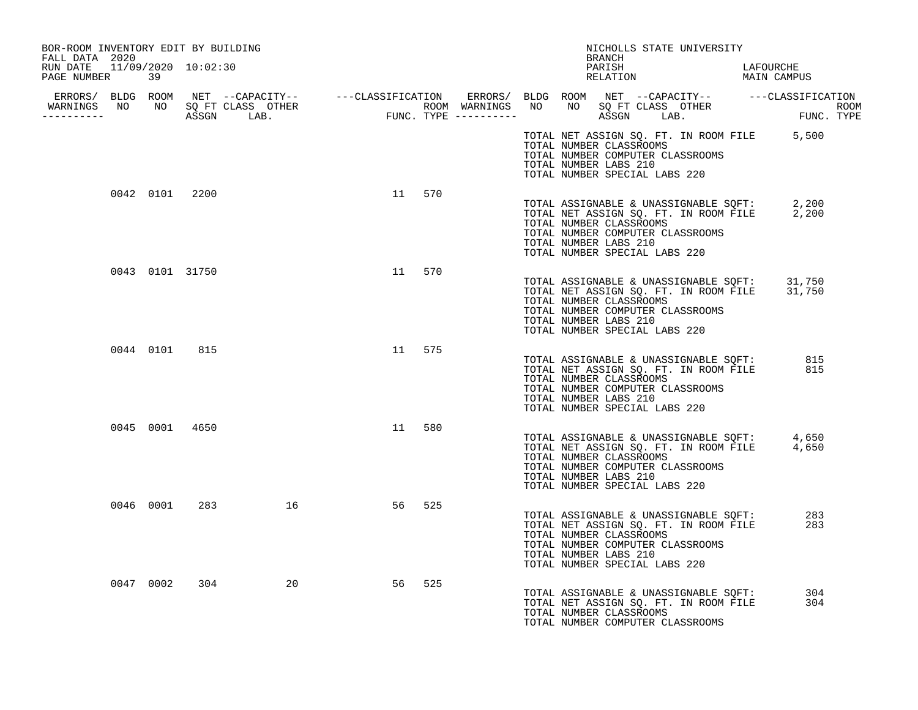| BOR-ROOM INVENTORY EDIT BY BUILDING<br>FALL DATA 2020 |           |                 |    |    |        |  | NICHOLLS STATE UNIVERSITY<br>BRANCH                                                                                                                                                                                     |                                       |
|-------------------------------------------------------|-----------|-----------------|----|----|--------|--|-------------------------------------------------------------------------------------------------------------------------------------------------------------------------------------------------------------------------|---------------------------------------|
| RUN DATE 11/09/2020 10:02:30<br>PAGE NUMBER 39        |           |                 |    |    |        |  | PARISH<br>RELATION                                                                                                                                                                                                      | LAFOURCHE<br>LAFOURCHE<br>MAIN CAMPUS |
|                                                       |           |                 |    |    |        |  |                                                                                                                                                                                                                         |                                       |
|                                                       |           |                 |    |    |        |  | TOTAL NET ASSIGN SQ. FT. IN ROOM FILE 5,500<br>TOTAL NUMBER CLASSROOMS<br>TOTAL NUMBER COMPUTER CLASSROOMS<br>TOTAL NUMBER LABS 210<br>TOTAL NUMBER SPECIAL LABS 220                                                    |                                       |
|                                                       |           | 0042 0101 2200  |    |    | 11 570 |  | TOTAL ASSIGNABLE & UNASSIGNABLE SQFT: 2,200<br>TOTAL NET ASSIGN SQ. FT. IN ROOM FILE 2,200<br>TOTAL NUMBER CLASSROOMS<br>TOTAL NUMBER COMPUTER CLASSROOMS<br>TOTAL NUMBER LABS 210<br>TOTAL NUMBER SPECIAL LABS 220     |                                       |
|                                                       |           | 0043 0101 31750 |    | 11 | 570    |  | TOTAL ASSIGNABLE & UNASSIGNABLE SQFT: $31,750$<br>TOTAL NET ASSIGN SQ. FT. IN ROOM FILE 31,750<br>TOTAL NUMBER CLASSROOMS<br>TOTAL NUMBER COMPUTER CLASSROOMS<br>TOTAL NUMBER LABS 210<br>TOTAL NUMBER SPECIAL LABS 220 |                                       |
|                                                       | 0044 0101 | 815             |    | 11 | 575    |  | TOTAL ASSIGNABLE & UNASSIGNABLE SQFT: 815<br>TOTAL NET ASSIGN SQ. FT. IN ROOM FILE<br>TOTAL NUMBER CLASSROOMS<br>TOTAL NUMBER COMPUTER CLASSROOMS<br>TOTAL NUMBER LABS 210<br>TOTAL NUMBER SPECIAL LABS 220             | 815                                   |
|                                                       |           | 0045 0001 4650  |    |    | 11 580 |  | TOTAL ASSIGNABLE & UNASSIGNABLE SQFT: 4,650<br>TOTAL NET ASSIGN SQ. FT. IN ROOM FILE 4,650<br>TOTAL NUMBER CLASSROOMS<br>TOTAL NUMBER COMPUTER CLASSROOMS<br>TOTAL NUMBER LABS 210<br>TOTAL NUMBER SPECIAL LABS 220     |                                       |
|                                                       |           | 0046 0001 283   | 16 | 56 | 525    |  | TOTAL ASSIGNABLE & UNASSIGNABLE SQFT:<br>TOTAL NET ASSIGN SQ. FT. IN ROOM FILE<br>TOTAL NUMBER CLASSROOMS<br>TOTAL NUMBER COMPUTER CLASSROOMS<br>TOTAL NUMBER LABS 210<br>TOTAL NUMBER SPECIAL LABS 220                 | 283<br>283                            |
|                                                       | 0047 0002 | 304             | 20 | 56 | 525    |  | TOTAL ASSIGNABLE & UNASSIGNABLE SOFT:<br>TOTAL NET ASSIGN SQ. FT. IN ROOM FILE<br>TOTAL NUMBER CLASSROOMS<br>TOTAL NUMBER COMPUTER CLASSROOMS                                                                           | 304<br>304                            |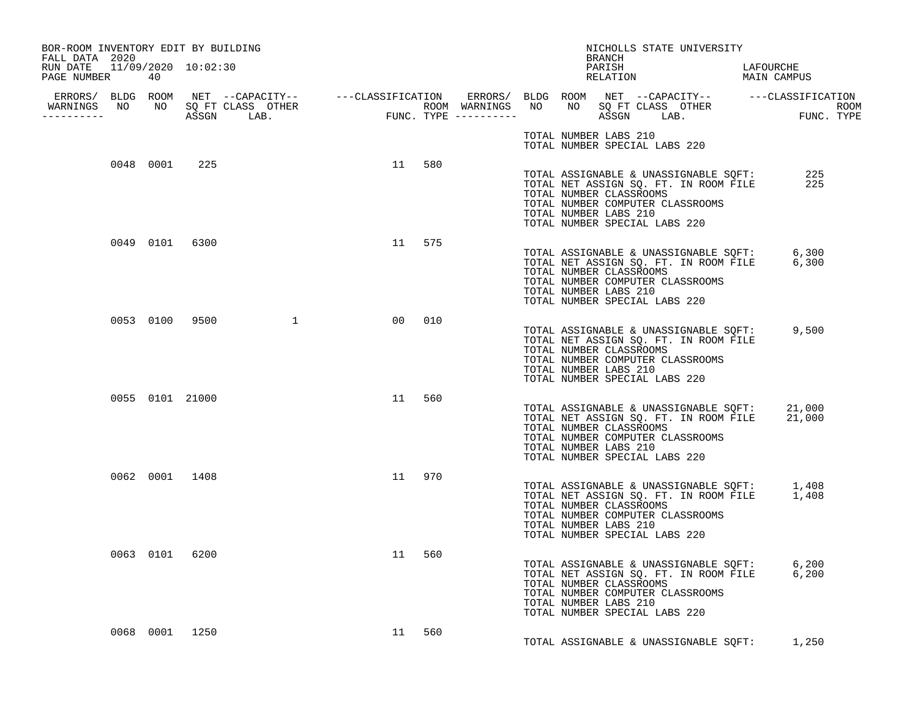| BOR-ROOM INVENTORY EDIT BY BUILDING<br>FALL DATA 2020 |                 |                  |    |        |  |                                                  | BRANCH | NICHOLLS STATE UNIVERSITY                                                                                                                                                                            |  |  |
|-------------------------------------------------------|-----------------|------------------|----|--------|--|--------------------------------------------------|--------|------------------------------------------------------------------------------------------------------------------------------------------------------------------------------------------------------|--|--|
| RUN DATE 11/09/2020 10:02:30<br>PAGE NUMBER           | 40              |                  |    |        |  |                                                  |        | PARISH LAFOURCHE RELATION MAIN CAMPUS                                                                                                                                                                |  |  |
| <u> - - - - - - - - - - - - - </u>                    |                 |                  |    |        |  |                                                  |        |                                                                                                                                                                                                      |  |  |
|                                                       |                 |                  |    |        |  | TOTAL NUMBER LABS 210                            |        | TOTAL NUMBER SPECIAL LABS 220                                                                                                                                                                        |  |  |
|                                                       | 0048 0001 225   |                  |    | 11 580 |  | TOTAL NUMBER CLASSROOMS<br>TOTAL NUMBER LABS 210 |        | TOTAL ASSIGNABLE & UNASSIGNABLE SQFT: 225<br>TOTAL NET ASSIGN SQ. FT. IN ROOM FILE 225<br>TOTAL NET ASSIGN SQ. FT. IN ROOM FILE<br>TOTAL NUMBER COMPUTER CLASSROOMS<br>TOTAL NUMBER SPECIAL LABS 220 |  |  |
|                                                       | 0049 0101 6300  |                  |    | 11 575 |  | TOTAL NUMBER CLASSROOMS<br>TOTAL NUMBER LABS 210 |        | TOTAL ASSIGNABLE & UNASSIGNABLE SQFT: 6,300<br>TOTAL NET ASSIGN SQ. FT. IN ROOM FILE 6,300<br>TOTAL NUMBER COMPUTER CLASSROOMS<br>TOTAL NUMBER SPECIAL LABS 220                                      |  |  |
|                                                       |                 | 0053 0100 9500 1 |    | 00 010 |  | TOTAL NUMBER CLASSROOMS<br>TOTAL NUMBER LABS 210 |        | TOTAL ASSIGNABLE & UNASSIGNABLE SQFT: 9,500<br>TOTAL NET ASSIGN SQ. FT. IN ROOM FILE<br>TOTAL NUMBER COMPUTER CLASSROOMS<br>TOTAL NUMBER SPECIAL LABS 220                                            |  |  |
|                                                       | 0055 0101 21000 |                  |    | 11 560 |  | TOTAL NUMBER CLASSROOMS<br>TOTAL NUMBER LABS 210 |        | TOTAL ASSIGNABLE & UNASSIGNABLE SQFT: 21,000<br>TOTAL NET ASSIGN SQ. FT. IN ROOM FILE 21,000<br>TOTAL NUMBER COMPUTER CLASSROOMS<br>TOTAL NUMBER SPECIAL LABS 220                                    |  |  |
|                                                       | 0062 0001 1408  |                  |    | 11 970 |  | TOTAL NUMBER LABS 210                            |        | TOTAL ASSIGNABLE & UNASSIGNABLE SQFT: 1,408<br>TOTAL NET ASSIGN SQ. FT. IN ROOM FILE 1,408<br>TOTAL NUMBER CLASSROOMS<br>TOTAL NUMBER COMPUTER CLASSROOMS<br>TOTAL NUMBER SPECIAL LABS 220           |  |  |
|                                                       | 0063 0101 6200  |                  | 11 | 560    |  | TOTAL NUMBER CLASSROOMS<br>TOTAL NUMBER LABS 210 |        | TOTAL ASSIGNABLE & UNASSIGNABLE SQFT: 6,200<br>TOTAL NET ASSIGN SQ. FT. IN ROOM FILE 6,200<br>TOTAL NUMBER COMPUTER CLASSROOMS<br>TOTAL NUMBER SPECIAL LABS 220                                      |  |  |
|                                                       | 0068 0001 1250  |                  |    | 11 560 |  |                                                  |        | TOTAL ASSIGNABLE & UNASSIGNABLE SOFT: 1,250                                                                                                                                                          |  |  |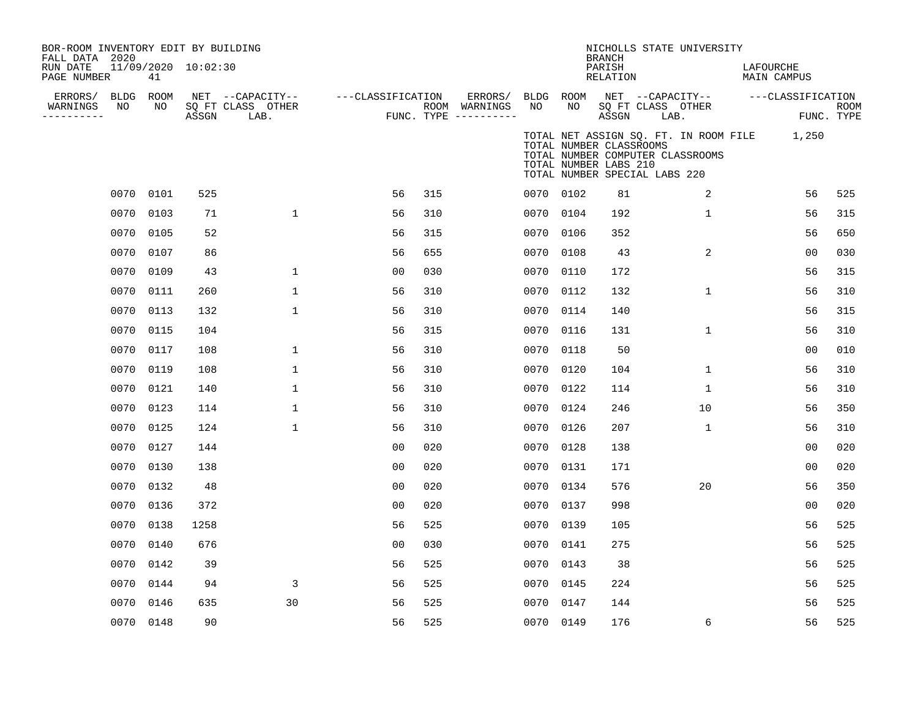| BOR-ROOM INVENTORY EDIT BY BUILDING<br>FALL DATA 2020<br>RUN DATE<br>PAGE NUMBER |                 | 41        | 11/09/2020 10:02:30 |                                               |                   |     |                                                           |           |    | <b>BRANCH</b><br>PARISH<br>RELATION              |                               | NICHOLLS STATE UNIVERSITY        | LAFOURCHE | MAIN CAMPUS                                 |                           |
|----------------------------------------------------------------------------------|-----------------|-----------|---------------------|-----------------------------------------------|-------------------|-----|-----------------------------------------------------------|-----------|----|--------------------------------------------------|-------------------------------|----------------------------------|-----------|---------------------------------------------|---------------------------|
| ERRORS/<br>WARNINGS<br>---------                                                 | BLDG ROOM<br>NO | NO        | ASSGN               | NET --CAPACITY--<br>SQ FT CLASS OTHER<br>LAB. | ---CLASSIFICATION |     | ERRORS/ BLDG ROOM<br>ROOM WARNINGS<br>FUNC. TYPE $------$ | NO        | NO | ASSGN                                            | SQ FT CLASS OTHER<br>LAB.     | NET --CAPACITY--                 |           | ---CLASSIFICATION                           | <b>ROOM</b><br>FUNC. TYPE |
|                                                                                  |                 |           |                     |                                               |                   |     |                                                           |           |    | TOTAL NUMBER CLASSROOMS<br>TOTAL NUMBER LABS 210 | TOTAL NUMBER SPECIAL LABS 220 | TOTAL NUMBER COMPUTER CLASSROOMS |           | TOTAL NET ASSIGN SQ. FT. IN ROOM FILE 1,250 |                           |
|                                                                                  |                 | 0070 0101 | 525                 |                                               | 56                | 315 |                                                           | 0070 0102 |    | 81                                               |                               | 2                                |           | 56                                          | 525                       |
|                                                                                  | 0070            | 0103      | 71                  | $\mathbf 1$                                   | 56                | 310 |                                                           | 0070 0104 |    | 192                                              |                               | $\mathbf 1$                      |           | 56                                          | 315                       |
|                                                                                  |                 | 0070 0105 | 52                  |                                               | 56                | 315 |                                                           | 0070 0106 |    | 352                                              |                               |                                  |           | 56                                          | 650                       |
|                                                                                  | 0070            | 0107      | 86                  |                                               | 56                | 655 |                                                           | 0070 0108 |    | 43                                               |                               | 2                                |           | 0 <sub>0</sub>                              | 030                       |
|                                                                                  | 0070            | 0109      | 43                  | $\mathbf 1$                                   | 0 <sub>0</sub>    | 030 |                                                           | 0070 0110 |    | 172                                              |                               |                                  |           | 56                                          | 315                       |
|                                                                                  | 0070            | 0111      | 260                 | $\mathbf{1}$                                  | 56                | 310 |                                                           | 0070 0112 |    | 132                                              |                               | $\mathbf{1}$                     |           | 56                                          | 310                       |
|                                                                                  | 0070            | 0113      | 132                 | 1                                             | 56                | 310 |                                                           | 0070 0114 |    | 140                                              |                               |                                  |           | 56                                          | 315                       |
|                                                                                  |                 | 0070 0115 | 104                 |                                               | 56                | 315 |                                                           | 0070 0116 |    | 131                                              |                               | $\mathbf 1$                      |           | 56                                          | 310                       |
|                                                                                  | 0070 0117       |           | 108                 | $\mathbf 1$                                   | 56                | 310 |                                                           | 0070 0118 |    | 50                                               |                               |                                  |           | 00                                          | 010                       |
|                                                                                  | 0070 0119       |           | 108                 | $\mathbf{1}$                                  | 56                | 310 |                                                           | 0070 0120 |    | 104                                              |                               | $\mathbf 1$                      |           | 56                                          | 310                       |
|                                                                                  | 0070 0121       |           | 140                 | $\mathbf{1}$                                  | 56                | 310 |                                                           | 0070 0122 |    | 114                                              |                               | $\mathbf{1}$                     |           | 56                                          | 310                       |
|                                                                                  | 0070 0123       |           | 114                 | 1                                             | 56                | 310 |                                                           | 0070 0124 |    | 246                                              |                               | 10                               |           | 56                                          | 350                       |
|                                                                                  |                 | 0070 0125 | 124                 | $\mathbf 1$                                   | 56                | 310 |                                                           | 0070 0126 |    | 207                                              |                               | 1                                |           | 56                                          | 310                       |
|                                                                                  | 0070 0127       |           | 144                 |                                               | 0 <sub>0</sub>    | 020 |                                                           | 0070 0128 |    | 138                                              |                               |                                  |           | 00                                          | 020                       |
|                                                                                  |                 | 0070 0130 | 138                 |                                               | 0 <sub>0</sub>    | 020 |                                                           | 0070 0131 |    | 171                                              |                               |                                  |           | 00                                          | 020                       |
|                                                                                  |                 | 0070 0132 | 48                  |                                               | 0 <sub>0</sub>    | 020 |                                                           | 0070 0134 |    | 576                                              |                               | 20                               |           | 56                                          | 350                       |
|                                                                                  |                 | 0070 0136 | 372                 |                                               | 00                | 020 |                                                           | 0070 0137 |    | 998                                              |                               |                                  |           | 0 <sub>0</sub>                              | 020                       |
|                                                                                  | 0070            | 0138      | 1258                |                                               | 56                | 525 |                                                           | 0070 0139 |    | 105                                              |                               |                                  |           | 56                                          | 525                       |
|                                                                                  | 0070            | 0140      | 676                 |                                               | 00                | 030 |                                                           | 0070 0141 |    | 275                                              |                               |                                  |           | 56                                          | 525                       |
|                                                                                  |                 | 0070 0142 | 39                  |                                               | 56                | 525 |                                                           | 0070 0143 |    | 38                                               |                               |                                  |           | 56                                          | 525                       |
|                                                                                  | 0070            | 0144      | 94                  | 3                                             | 56                | 525 |                                                           | 0070 0145 |    | 224                                              |                               |                                  |           | 56                                          | 525                       |
|                                                                                  | 0070            | 0146      | 635                 | 30                                            | 56                | 525 |                                                           | 0070 0147 |    | 144                                              |                               |                                  |           | 56                                          | 525                       |
|                                                                                  |                 | 0070 0148 | 90                  |                                               | 56                | 525 |                                                           | 0070 0149 |    | 176                                              |                               | 6                                |           | 56                                          | 525                       |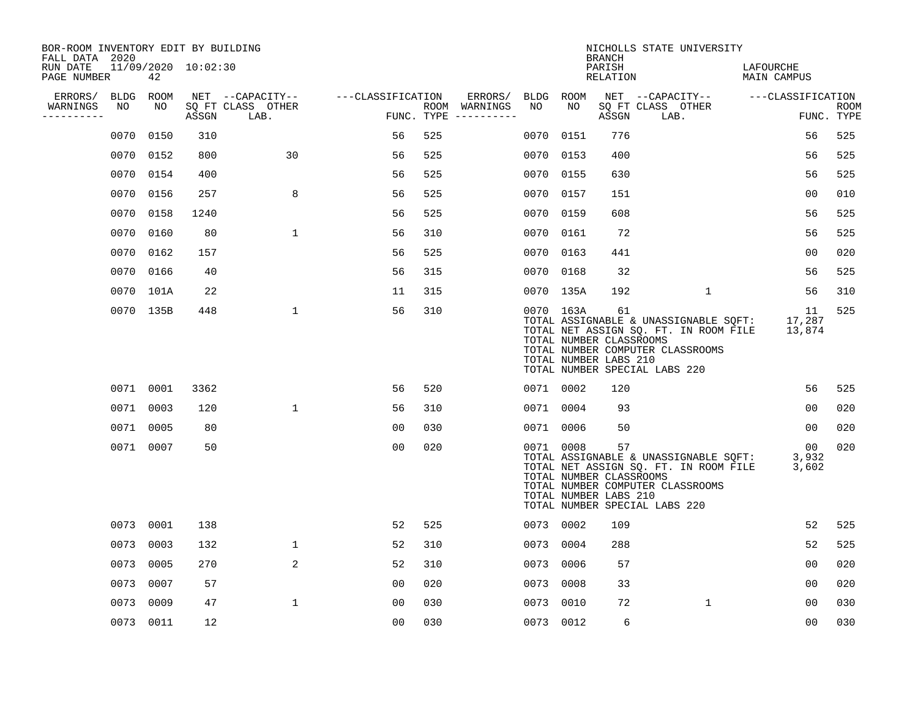| BOR-ROOM INVENTORY EDIT BY BUILDING<br>FALL DATA 2020 |                     |                     |                           |                   |     |                                      |           |           | <b>BRANCH</b>                                                                           |      | NICHOLLS STATE UNIVERSITY                                                                                          |           |                                    |                           |
|-------------------------------------------------------|---------------------|---------------------|---------------------------|-------------------|-----|--------------------------------------|-----------|-----------|-----------------------------------------------------------------------------------------|------|--------------------------------------------------------------------------------------------------------------------|-----------|------------------------------------|---------------------------|
| RUN DATE<br>PAGE NUMBER                               | 42                  | 11/09/2020 10:02:30 |                           |                   |     |                                      |           |           | PARISH<br>RELATION                                                                      |      |                                                                                                                    | LAFOURCHE | MAIN CAMPUS                        |                           |
| ERRORS/                                               | <b>BLDG</b><br>ROOM |                     | NET --CAPACITY--          | ---CLASSIFICATION |     | ERRORS/                              | BLDG ROOM |           |                                                                                         |      |                                                                                                                    |           | NET --CAPACITY-- ---CLASSIFICATION |                           |
| WARNINGS<br>-----------                               | NO<br>NO            | ASSGN               | SQ FT CLASS OTHER<br>LAB. |                   |     | ROOM WARNINGS<br>FUNC. TYPE $------$ | NO        | NO        | ASSGN                                                                                   | LAB. | SQ FT CLASS OTHER                                                                                                  |           |                                    | <b>ROOM</b><br>FUNC. TYPE |
|                                                       | 0150<br>0070        | 310                 |                           | 56                | 525 |                                      | 0070      | 0151      | 776                                                                                     |      |                                                                                                                    |           | 56                                 | 525                       |
|                                                       | 0070<br>0152        | 800                 | 30                        | 56                | 525 |                                      |           | 0070 0153 | 400                                                                                     |      |                                                                                                                    |           | 56                                 | 525                       |
|                                                       | 0070<br>0154        | 400                 |                           | 56                | 525 |                                      | 0070      | 0155      | 630                                                                                     |      |                                                                                                                    |           | 56                                 | 525                       |
|                                                       | 0070<br>0156        | 257                 | 8                         | 56                | 525 |                                      | 0070      | 0157      | 151                                                                                     |      |                                                                                                                    |           | 00                                 | 010                       |
|                                                       | 0070<br>0158        | 1240                |                           | 56                | 525 |                                      | 0070      | 0159      | 608                                                                                     |      |                                                                                                                    |           | 56                                 | 525                       |
|                                                       | 0070<br>0160        | 80                  | $\mathbf 1$               | 56                | 310 |                                      | 0070      | 0161      | 72                                                                                      |      |                                                                                                                    |           | 56                                 | 525                       |
|                                                       | 0070<br>0162        | 157                 |                           | 56                | 525 |                                      | 0070      | 0163      | 441                                                                                     |      |                                                                                                                    |           | 0 <sub>0</sub>                     | 020                       |
|                                                       | 0070 0166           | 40                  |                           | 56                | 315 |                                      | 0070 0168 |           | 32                                                                                      |      |                                                                                                                    |           | 56                                 | 525                       |
|                                                       | 0070 101A           | 22                  |                           | 11                | 315 |                                      |           | 0070 135A | 192                                                                                     |      | $\mathbf{1}$                                                                                                       |           | 56                                 | 310                       |
|                                                       | 0070 135B           | 448                 | $\mathbf 1$               | 56                | 310 |                                      |           | 0070 163A | 61<br>TOTAL NUMBER CLASSROOMS<br>TOTAL NUMBER LABS 210<br>TOTAL NUMBER SPECIAL LABS 220 |      | TOTAL ASSIGNABLE & UNASSIGNABLE SQFT:<br>TOTAL NET ASSIGN SQ. FT. IN ROOM FILE<br>TOTAL NUMBER COMPUTER CLASSROOMS |           | 11<br>17,287<br>13,874             | 525                       |
|                                                       | 0071 0001           | 3362                |                           | 56                | 520 |                                      | 0071 0002 |           | 120                                                                                     |      |                                                                                                                    |           | 56                                 | 525                       |
|                                                       | 0071<br>0003        | 120                 | $\mathbf{1}$              | 56                | 310 |                                      |           | 0071 0004 | 93                                                                                      |      |                                                                                                                    |           | 0 <sub>0</sub>                     | 020                       |
|                                                       | 0071 0005           | 80                  |                           | 00                | 030 |                                      |           | 0071 0006 | 50                                                                                      |      |                                                                                                                    |           | 00                                 | 020                       |
|                                                       | 0071 0007           | 50                  |                           | 0 <sub>0</sub>    | 020 |                                      |           | 0071 0008 | 57<br>TOTAL NUMBER CLASSROOMS<br>TOTAL NUMBER LABS 210<br>TOTAL NUMBER SPECIAL LABS 220 |      | TOTAL ASSIGNABLE & UNASSIGNABLE SQFT:<br>TOTAL NET ASSIGN SQ. FT. IN ROOM FILE<br>TOTAL NUMBER COMPUTER CLASSROOMS |           | 00<br>3,932<br>3,602               | 020                       |
|                                                       | 0073<br>0001        | 138                 |                           | 52                | 525 |                                      |           | 0073 0002 | 109                                                                                     |      |                                                                                                                    |           | 52                                 | 525                       |
|                                                       | 0073<br>0003        | 132                 | $\mathbf{1}$              | 52                | 310 |                                      | 0073      | 0004      | 288                                                                                     |      |                                                                                                                    |           | 52                                 | 525                       |
|                                                       | 0073<br>0005        | 270                 | 2                         | 52                | 310 |                                      | 0073      | 0006      | 57                                                                                      |      |                                                                                                                    |           | 0 <sub>0</sub>                     | 020                       |
|                                                       | 0073<br>0007        | 57                  |                           | 00                | 020 |                                      | 0073      | 0008      | 33                                                                                      |      |                                                                                                                    |           | 0 <sub>0</sub>                     | 020                       |
|                                                       | 0073<br>0009        | 47                  | $\mathbf{1}$              | 0 <sub>0</sub>    | 030 |                                      | 0073      | 0010      | 72                                                                                      |      | $\mathbf{1}$                                                                                                       |           | 0 <sub>0</sub>                     | 030                       |
|                                                       | 0073<br>0011        | 12                  |                           | 0 <sub>0</sub>    | 030 |                                      | 0073 0012 |           | 6                                                                                       |      |                                                                                                                    |           | 00                                 | 030                       |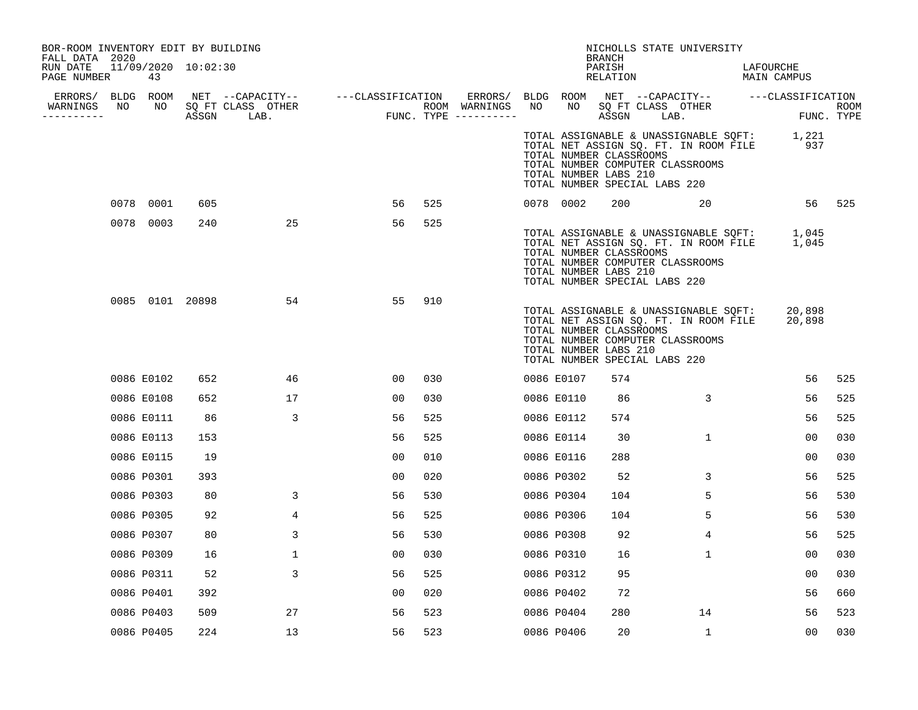| BOR-ROOM INVENTORY EDIT BY BUILDING<br>FALL DATA 2020 |    |                           |     |                                    |                                                                                                                                                        |     |               |    |                                                  | <b>BRANCH</b>      | NICHOLLS STATE UNIVERSITY                                                                                                                                       |                                              |        |
|-------------------------------------------------------|----|---------------------------|-----|------------------------------------|--------------------------------------------------------------------------------------------------------------------------------------------------------|-----|---------------|----|--------------------------------------------------|--------------------|-----------------------------------------------------------------------------------------------------------------------------------------------------------------|----------------------------------------------|--------|
| RUN DATE<br>PAGE NUMBER                               |    | 11/09/2020 10:02:30<br>43 |     |                                    |                                                                                                                                                        |     |               |    |                                                  | PARISH<br>RELATION |                                                                                                                                                                 | LAFOURCHE<br><b>LAFUURCAL</b><br>MAIN CAMPUS |        |
| WARNINGS<br>----------                                | NO |                           |     | NO SQ FT CLASS OTHER<br>ASSGN LAB. | ERRORS/ BLDG ROOM NET --CAPACITY-- - ---CLASSIFICATION ERRORS/ BLDG ROOM NET --CAPACITY-- - ---CLASSIFICATION<br>ROOM WARNINGS<br>FUNC. TYPE --------- |     | ROOM WARNINGS | NO | NO 11                                            | ASSGN              | SQ FT CLASS OTHER<br>LAB.                                                                                                                                       | FUNC. TYPE                                   | ROOM   |
|                                                       |    |                           |     |                                    |                                                                                                                                                        |     |               |    | TOTAL NUMBER CLASSROOMS<br>TOTAL NUMBER LABS 210 |                    | TOTAL ASSIGNABLE & UNASSIGNABLE SQFT: 1,221<br>TOTAL NET ASSIGN SQ. FT. IN ROOM FILE 937<br>TOTAL NUMBER COMPUTER CLASSROOMS<br>TOTAL NUMBER SPECIAL LABS 220   |                                              |        |
|                                                       |    | 0078 0001                 | 605 |                                    | 56                                                                                                                                                     | 525 |               |    | 0078 0002                                        |                    | 200 20 20                                                                                                                                                       |                                              | 56 525 |
|                                                       |    | 0078 0003                 | 240 | 25                                 | 56                                                                                                                                                     | 525 |               |    | TOTAL NUMBER CLASSROOMS<br>TOTAL NUMBER LABS 210 |                    | TOTAL ASSIGNABLE & UNASSIGNABLE SOFT: 1,045<br>TOTAL NET ASSIGN SQ. FT. IN ROOM FILE 1,045<br>TOTAL NUMBER COMPUTER CLASSROOMS<br>TOTAL NUMBER SPECIAL LABS 220 |                                              |        |
|                                                       |    | 0085 0101 20898           |     | 54                                 | 55                                                                                                                                                     | 910 |               |    | TOTAL NUMBER CLASSROOMS<br>TOTAL NUMBER LABS 210 |                    | TOTAL ASSIGNABLE & UNASSIGNABLE SQFT:<br>TOTAL NET ASSIGN SQ. FT. IN ROOM FILE<br>TOTAL NUMBER COMPUTER CLASSROOMS<br>TOTAL NUMBER SPECIAL LABS 220             | 20,898<br>20,898                             |        |
|                                                       |    | 0086 E0102                | 652 | 46                                 | 00                                                                                                                                                     | 030 |               |    | 0086 E0107                                       | 574                |                                                                                                                                                                 | 56                                           | 525    |
|                                                       |    | 0086 E0108                | 652 | 17                                 | 00                                                                                                                                                     | 030 |               |    | 0086 E0110                                       | 86                 | 3                                                                                                                                                               | 56                                           | 525    |
|                                                       |    | 0086 E0111                | 86  | 3                                  | 56                                                                                                                                                     | 525 |               |    | 0086 E0112                                       | 574                |                                                                                                                                                                 | 56                                           | 525    |
|                                                       |    | 0086 E0113                | 153 |                                    | 56                                                                                                                                                     | 525 |               |    | 0086 E0114                                       | 30                 | $\mathbf{1}$                                                                                                                                                    | 00                                           | 030    |
|                                                       |    | 0086 E0115                | 19  |                                    | 00                                                                                                                                                     | 010 |               |    | 0086 E0116                                       | 288                |                                                                                                                                                                 | 0 <sub>0</sub>                               | 030    |
|                                                       |    | 0086 P0301                | 393 |                                    | 00                                                                                                                                                     | 020 |               |    | 0086 P0302                                       | 52                 | 3                                                                                                                                                               | 56                                           | 525    |
|                                                       |    | 0086 P0303                | 80  | 3                                  | 56                                                                                                                                                     | 530 |               |    | 0086 P0304                                       | 104                | 5                                                                                                                                                               | 56                                           | 530    |
|                                                       |    | 0086 P0305                | 92  | 4                                  | 56                                                                                                                                                     | 525 |               |    | 0086 P0306                                       | 104                | 5                                                                                                                                                               | 56                                           | 530    |
|                                                       |    | 0086 P0307                | 80  | 3                                  | 56                                                                                                                                                     | 530 |               |    | 0086 P0308                                       | 92                 | 4                                                                                                                                                               | 56                                           | 525    |
|                                                       |    | 0086 P0309                | 16  | $\mathbf{1}$                       | 00                                                                                                                                                     | 030 |               |    | 0086 P0310                                       | 16                 | $\mathbf{1}$                                                                                                                                                    | 00                                           | 030    |
|                                                       |    | 0086 P0311                | 52  | 3                                  | 56                                                                                                                                                     | 525 |               |    | 0086 P0312                                       | 95                 |                                                                                                                                                                 | 00                                           | 030    |
|                                                       |    | 0086 P0401                | 392 |                                    | 00                                                                                                                                                     | 020 |               |    | 0086 P0402                                       | 72                 |                                                                                                                                                                 | 56                                           | 660    |
|                                                       |    | 0086 P0403                | 509 | 27                                 | 56                                                                                                                                                     | 523 |               |    | 0086 P0404                                       | 280                | 14                                                                                                                                                              | 56                                           | 523    |
|                                                       |    | 0086 P0405                | 224 | 13                                 | 56                                                                                                                                                     | 523 |               |    | 0086 P0406                                       | 20                 | $\mathbf{1}$                                                                                                                                                    | 00                                           | 030    |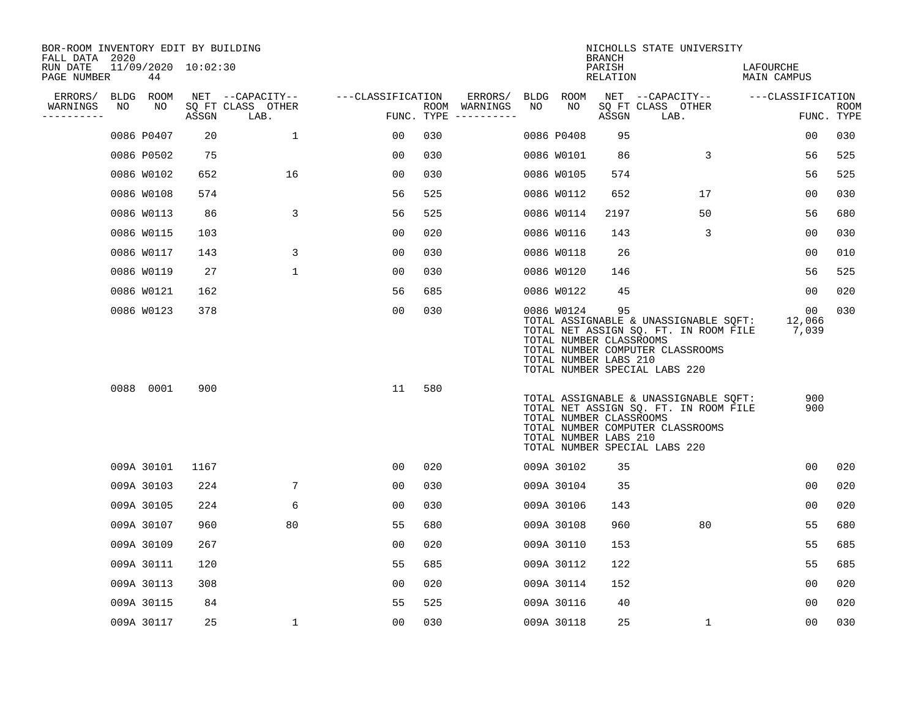| BOR-ROOM INVENTORY EDIT BY BUILDING<br>FALL DATA 2020 |    |            |                     |                           |                   |     |                                      |    |            | <b>BRANCH</b>                                          | NICHOLLS STATE UNIVERSITY                                                                                                                           |                          |                    |
|-------------------------------------------------------|----|------------|---------------------|---------------------------|-------------------|-----|--------------------------------------|----|------------|--------------------------------------------------------|-----------------------------------------------------------------------------------------------------------------------------------------------------|--------------------------|--------------------|
| RUN DATE<br>PAGE NUMBER                               |    | 44         | 11/09/2020 10:02:30 |                           |                   |     |                                      |    |            | PARISH<br>RELATION                                     |                                                                                                                                                     | LAFOURCHE<br>MAIN CAMPUS |                    |
| ERRORS/                                               |    | BLDG ROOM  |                     | NET --CAPACITY--          | ---CLASSIFICATION |     | ERRORS/                              |    | BLDG ROOM  |                                                        | NET --CAPACITY--                                                                                                                                    | ---CLASSIFICATION        |                    |
| WARNINGS<br>-----------                               | NO | NO         | ASSGN               | SQ FT CLASS OTHER<br>LAB. |                   |     | ROOM WARNINGS<br>FUNC. TYPE $------$ | NO | NO         | ASSGN                                                  | SQ FT CLASS OTHER<br>LAB.                                                                                                                           |                          | ROOM<br>FUNC. TYPE |
|                                                       |    | 0086 P0407 | 20                  | $\mathbf{1}$              | 00                | 030 |                                      |    | 0086 P0408 | 95                                                     |                                                                                                                                                     | 00                       | 030                |
|                                                       |    | 0086 P0502 | 75                  |                           | 0 <sub>0</sub>    | 030 |                                      |    | 0086 W0101 | 86                                                     | 3                                                                                                                                                   | 56                       | 525                |
|                                                       |    | 0086 W0102 | 652                 | 16                        | 0 <sub>0</sub>    | 030 |                                      |    | 0086 W0105 | 574                                                    |                                                                                                                                                     | 56                       | 525                |
|                                                       |    | 0086 W0108 | 574                 |                           | 56                | 525 |                                      |    | 0086 W0112 | 652                                                    | 17                                                                                                                                                  | 0 <sub>0</sub>           | 030                |
|                                                       |    | 0086 W0113 | 86                  | 3                         | 56                | 525 |                                      |    | 0086 W0114 | 2197                                                   | 50                                                                                                                                                  | 56                       | 680                |
|                                                       |    | 0086 W0115 | 103                 |                           | 00                | 020 |                                      |    | 0086 W0116 | 143                                                    | 3                                                                                                                                                   | 00                       | 030                |
|                                                       |    | 0086 W0117 | 143                 | 3                         | 00                | 030 |                                      |    | 0086 W0118 | 26                                                     |                                                                                                                                                     | 0 <sub>0</sub>           | 010                |
|                                                       |    | 0086 W0119 | 27                  | $\mathbf{1}$              | 0 <sub>0</sub>    | 030 |                                      |    | 0086 W0120 | 146                                                    |                                                                                                                                                     | 56                       | 525                |
|                                                       |    | 0086 W0121 | 162                 |                           | 56                | 685 |                                      |    | 0086 W0122 | 45                                                     |                                                                                                                                                     | 00                       | 020                |
|                                                       |    | 0086 W0123 | 378                 |                           | 0 <sub>0</sub>    | 030 |                                      |    | 0086 W0124 | 95<br>TOTAL NUMBER CLASSROOMS<br>TOTAL NUMBER LABS 210 | TOTAL ASSIGNABLE & UNASSIGNABLE SQFT:<br>TOTAL NET ASSIGN SQ. FT. IN ROOM FILE<br>TOTAL NUMBER COMPUTER CLASSROOMS<br>TOTAL NUMBER SPECIAL LABS 220 | 00<br>12,066<br>7,039    | 030                |
|                                                       |    | 0088 0001  | 900                 |                           | 11                | 580 |                                      |    |            | TOTAL NUMBER CLASSROOMS<br>TOTAL NUMBER LABS 210       | TOTAL ASSIGNABLE & UNASSIGNABLE SQFT:<br>TOTAL NET ASSIGN SQ. FT. IN ROOM FILE<br>TOTAL NUMBER COMPUTER CLASSROOMS<br>TOTAL NUMBER SPECIAL LABS 220 | 900<br>900               |                    |
|                                                       |    | 009A 30101 | 1167                |                           | 00                | 020 |                                      |    | 009A 30102 | 35                                                     |                                                                                                                                                     | 00                       | 020                |
|                                                       |    | 009A 30103 | 224                 | 7                         | 0 <sub>0</sub>    | 030 |                                      |    | 009A 30104 | 35                                                     |                                                                                                                                                     | 0 <sub>0</sub>           | 020                |
|                                                       |    | 009A 30105 | 224                 | 6                         | 00                | 030 |                                      |    | 009A 30106 | 143                                                    |                                                                                                                                                     | 0 <sub>0</sub>           | 020                |
|                                                       |    | 009A 30107 | 960                 | 80                        | 55                | 680 |                                      |    | 009A 30108 | 960                                                    | 80                                                                                                                                                  | 55                       | 680                |
|                                                       |    | 009A 30109 | 267                 |                           | 0 <sub>0</sub>    | 020 |                                      |    | 009A 30110 | 153                                                    |                                                                                                                                                     | 55                       | 685                |
|                                                       |    | 009A 30111 | 120                 |                           | 55                | 685 |                                      |    | 009A 30112 | 122                                                    |                                                                                                                                                     | 55                       | 685                |
|                                                       |    | 009A 30113 | 308                 |                           | 0 <sub>0</sub>    | 020 |                                      |    | 009A 30114 | 152                                                    |                                                                                                                                                     | 0 <sub>0</sub>           | 020                |
|                                                       |    | 009A 30115 | 84                  |                           | 55                | 525 |                                      |    | 009A 30116 | 40                                                     |                                                                                                                                                     | 00                       | 020                |
|                                                       |    | 009A 30117 | 25                  | 1                         | 0 <sub>0</sub>    | 030 |                                      |    | 009A 30118 | 25                                                     | $\mathbf 1$                                                                                                                                         | 0 <sub>0</sub>           | 030                |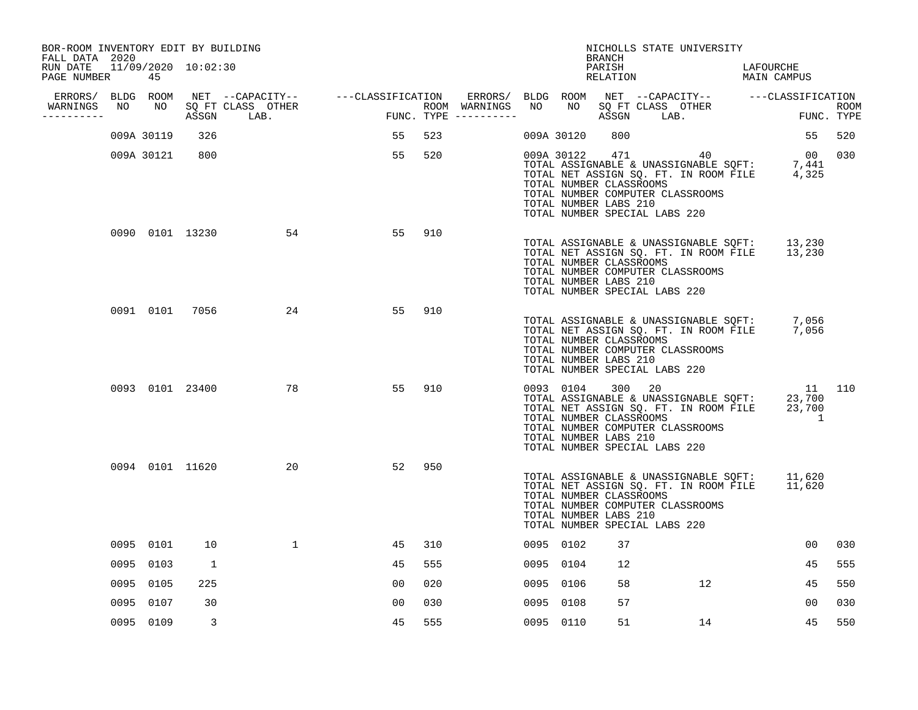| BOR-ROOM INVENTORY EDIT BY BUILDING<br>FALL DATA 2020 |            |              |                    |                                                                                                                                                                                                                          |     |  |            | BRANCH                                                                                                | NICHOLLS STATE UNIVERSITY                                                                                                                                                                                                                           |                                    |     |
|-------------------------------------------------------|------------|--------------|--------------------|--------------------------------------------------------------------------------------------------------------------------------------------------------------------------------------------------------------------------|-----|--|------------|-------------------------------------------------------------------------------------------------------|-----------------------------------------------------------------------------------------------------------------------------------------------------------------------------------------------------------------------------------------------------|------------------------------------|-----|
| RUN DATE 11/09/2020 10:02:30<br>PAGE NUMBER           | 45         |              |                    |                                                                                                                                                                                                                          |     |  |            | PARISH                                                                                                | PARISH LAFOURCHE<br>RELATION MAIN CAMPUS                                                                                                                                                                                                            | LAFOURCHE                          |     |
| ERRORS/ BLDG ROOM                                     |            |              |                    |                                                                                                                                                                                                                          |     |  |            |                                                                                                       |                                                                                                                                                                                                                                                     |                                    |     |
| WARNINGS<br>-----------                               | NO NO      |              |                    | NET --CAPACITY-- ----CLASSIFICATION ERRORS/BLDG ROOM NET --CAPACITY-- ----CLASSIFICATION<br>SQ FT CLASS OTHER ROOM WARNINGS NO NO SQ FT CLASS OTHER ROOM ROOM<br>ASSGN LAB. FUNC. TYPE ----------- ASSGN LAB. FUNC. TYPE |     |  |            |                                                                                                       |                                                                                                                                                                                                                                                     |                                    |     |
|                                                       | 009A 30119 | 326          |                    | 55                                                                                                                                                                                                                       | 523 |  | 009A 30120 | 800                                                                                                   |                                                                                                                                                                                                                                                     | 55                                 | 520 |
|                                                       | 009A 30121 | 800          |                    | 55                                                                                                                                                                                                                       | 520 |  |            | TOTAL NUMBER CLASSROOMS<br>TOTAL NUMBER LABS 210<br>TOTAL NUMBER SPECIAL LABS 220                     | $\begin{array}{lllll} 009 \texttt{A} & 30122 & 471 & 40 & 00 & 030 \\ \texttt{TOTAL ASSIGNABLE & UNASSIGNABLE} & \texttt{SQFT}: & 7,441 \\ \texttt{TOTAL NET ASSIGN SQ. FT. IN ROM FILE} & 4,325 & \end{array}$<br>TOTAL NUMBER COMPUTER CLASSROOMS |                                    |     |
|                                                       |            |              | 0090 0101 13230    | 54<br>55                                                                                                                                                                                                                 | 910 |  |            | TOTAL NUMBER CLASSROOMS<br>TOTAL NUMBER LABS 210<br>TOTAL NUMBER SPECIAL LABS 220                     | TOTAL ASSIGNABLE & UNASSIGNABLE SQFT: 13,230<br>TOTAL NET ASSIGN SQ. FT. IN ROOM FILE 13,230<br>TOTAL NUMBER COMPUTER CLASSROOMS                                                                                                                    |                                    |     |
|                                                       |            |              | 0091 0101 7056 24  | 55                                                                                                                                                                                                                       | 910 |  |            | TOTAL NUMBER CLASSROOMS<br>TOTAL NUMBER LABS 210<br>TOTAL NUMBER SPECIAL LABS 220                     | TOTAL ASSIGNABLE & UNASSIGNABLE SQFT: 7,056<br>TOTAL NET ASSIGN SQ. FT. IN ROOM FILE 7,056<br>TOTAL NUMBER COMPUTER CLASSROOMS                                                                                                                      |                                    |     |
|                                                       |            |              | 0093 0101 23400 78 | 55                                                                                                                                                                                                                       | 910 |  |            | 0093 0104 300 20<br>TOTAL NUMBER CLASSROOMS<br>TOTAL NUMBER LABS 210<br>TOTAL NUMBER SPECIAL LABS 220 | TOTAL ASSIGNABLE & UNASSIGNABLE SQFT: 23,700<br>TOTAL NET ASSIGN SQ. FT. IN ROOM FILE 23,700<br>TOTAL NUMBER COMPUTER CLASSROOMS                                                                                                                    | 11 110<br>$\overline{\phantom{a}}$ |     |
|                                                       |            |              | 0094 0101 11620 20 | 52                                                                                                                                                                                                                       | 950 |  |            | TOTAL NUMBER CLASSROOMS<br>TOTAL NUMBER LABS 210<br>TOTAL NUMBER SPECIAL LABS 220                     | TOTAL ASSIGNABLE & UNASSIGNABLE SQFT: 11,620<br>TOTAL NET ASSIGN SQ. FT. IN ROOM FILE 11,620<br>TOTAL NUMBER COMPUTER CLASSROOMS                                                                                                                    |                                    |     |
|                                                       | 0095 0101  | 10           | $\mathbf{1}$       | 45                                                                                                                                                                                                                       | 310 |  | 0095 0102  | 37                                                                                                    |                                                                                                                                                                                                                                                     | 00 <sub>o</sub>                    | 030 |
|                                                       | 0095 0103  | <sup>1</sup> |                    | 45                                                                                                                                                                                                                       | 555 |  | 0095 0104  | 12                                                                                                    |                                                                                                                                                                                                                                                     | 45                                 | 555 |
|                                                       | 0095 0105  | 225          |                    | 00                                                                                                                                                                                                                       | 020 |  | 0095 0106  | 58                                                                                                    | 12                                                                                                                                                                                                                                                  | 45                                 | 550 |
|                                                       | 0095 0107  | 30           |                    | 0 <sub>0</sub>                                                                                                                                                                                                           | 030 |  | 0095 0108  | 57                                                                                                    |                                                                                                                                                                                                                                                     | 00                                 | 030 |
|                                                       | 0095 0109  | 3            |                    | 45                                                                                                                                                                                                                       | 555 |  | 0095 0110  | 51                                                                                                    | 14                                                                                                                                                                                                                                                  | 45                                 | 550 |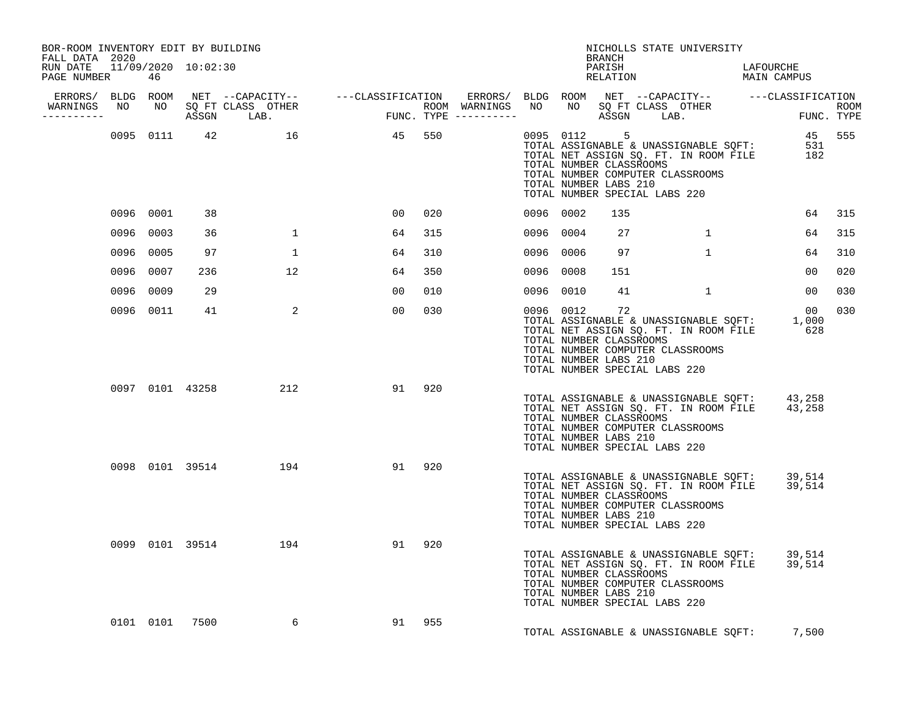| BOR-ROOM INVENTORY EDIT BY BUILDING<br>FALL DATA 2020<br>RUN DATE 11/09/2020 10:02:30<br>PAGE NUMBER |      | 46        |      |                        |        |     |  |           | BRANCH<br>PARISH                                       | NICHOLLS STATE UNIVERSITY<br>RELATION                                                                                                                                                       | LAFOURCHE<br>LAPUURCAL<br>MAIN CAMPUS |                           |
|------------------------------------------------------------------------------------------------------|------|-----------|------|------------------------|--------|-----|--|-----------|--------------------------------------------------------|---------------------------------------------------------------------------------------------------------------------------------------------------------------------------------------------|---------------------------------------|---------------------------|
| WARNINGS NO<br>----------                                                                            |      |           |      |                        |        |     |  |           |                                                        |                                                                                                                                                                                             |                                       | <b>ROOM</b><br>FUNC. TYPE |
|                                                                                                      |      | 0095 0111 |      | 42 16                  | 45 550 |     |  |           | TOTAL NUMBER LABS 210                                  | 9<br>TOTAL ASSIGNABLE & UNASSIGNABLE SQFT: 531<br>TOTAL NET ASSIGN SQ. FT. IN ROOM FILE 182<br>TOTAL NUMBER CLASSROOMS<br>TOTAL NUMBER COMPUTER CLASSROOMS<br>TOTAL NUMBER SPECIAL LABS 220 |                                       |                           |
|                                                                                                      |      | 0096 0001 | 38   |                        | 00     | 020 |  | 0096 0002 | 135                                                    |                                                                                                                                                                                             | 64                                    | 315                       |
|                                                                                                      | 0096 | 0003      | 36   | $\mathbf{1}$           | 64     | 315 |  | 0096 0004 | 27                                                     | $1 \quad$                                                                                                                                                                                   | 64                                    | 315                       |
|                                                                                                      | 0096 | 0005      | 97   | 1                      | 64     | 310 |  | 0096 0006 | 97                                                     | $\mathbf{1}$                                                                                                                                                                                | 64                                    | 310                       |
|                                                                                                      | 0096 | 0007      | 236  | 12 <sup>°</sup>        | 64     | 350 |  | 0096 0008 | 151                                                    |                                                                                                                                                                                             | 00                                    | 020                       |
|                                                                                                      | 0096 | 0009      | 29   |                        | 00     | 010 |  | 0096 0010 | 41                                                     | $\mathbf{1}$                                                                                                                                                                                | 00                                    | 030                       |
|                                                                                                      |      | 0096 0011 | 41   | 2                      | 00     | 030 |  | 0096 0012 | 72<br>TOTAL NUMBER CLASSROOMS<br>TOTAL NUMBER LABS 210 | TOTAL ASSIGNABLE & UNASSIGNABLE SQFT:<br>TOTAL NET ASSIGN SQ. FT. IN ROOM FILE<br>TOTAL NUMBER COMPUTER CLASSROOMS<br>TOTAL NUMBER SPECIAL LABS 220                                         | 00<br>1,000<br>628                    | 030                       |
|                                                                                                      |      |           |      | 0097 0101 43258<br>212 | 91     | 920 |  |           | TOTAL NUMBER CLASSROOMS<br>TOTAL NUMBER LABS 210       | TOTAL ASSIGNABLE & UNASSIGNABLE SOFT: 43,258<br>TOTAL NET ASSIGN SQ. FT. IN ROOM FILE<br>TOTAL NUMBER COMPUTER CLASSROOMS<br>TOTAL NUMBER SPECIAL LABS 220                                  | 43,258                                |                           |
|                                                                                                      |      |           |      | 0098 0101 39514 194    | 91     | 920 |  |           | TOTAL NUMBER CLASSROOMS<br>TOTAL NUMBER LABS 210       | TOTAL ASSIGNABLE & UNASSIGNABLE SQFT: 39,514<br>TOTAL NET ASSIGN SQ. FT. IN ROOM FILE<br>TOTAL NUMBER COMPUTER CLASSROOMS<br>TOTAL NUMBER SPECIAL LABS 220                                  | 39,514                                |                           |
|                                                                                                      |      |           |      | 0099 0101 39514 194    | 91     | 920 |  |           | TOTAL NUMBER CLASSROOMS<br>TOTAL NUMBER LABS 210       | TOTAL ASSIGNABLE & UNASSIGNABLE SQFT: 39,514<br>TOTAL NET ASSIGN SQ. FT. IN ROOM FILE 39,514<br>TOTAL NUMBER COMPUTER CLASSROOMS<br>TOTAL NUMBER SPECIAL LABS 220                           |                                       |                           |
|                                                                                                      |      | 0101 0101 | 7500 | 6                      | 91 955 |     |  |           |                                                        | TOTAL ASSIGNABLE & UNASSIGNABLE SQFT: 7,500                                                                                                                                                 |                                       |                           |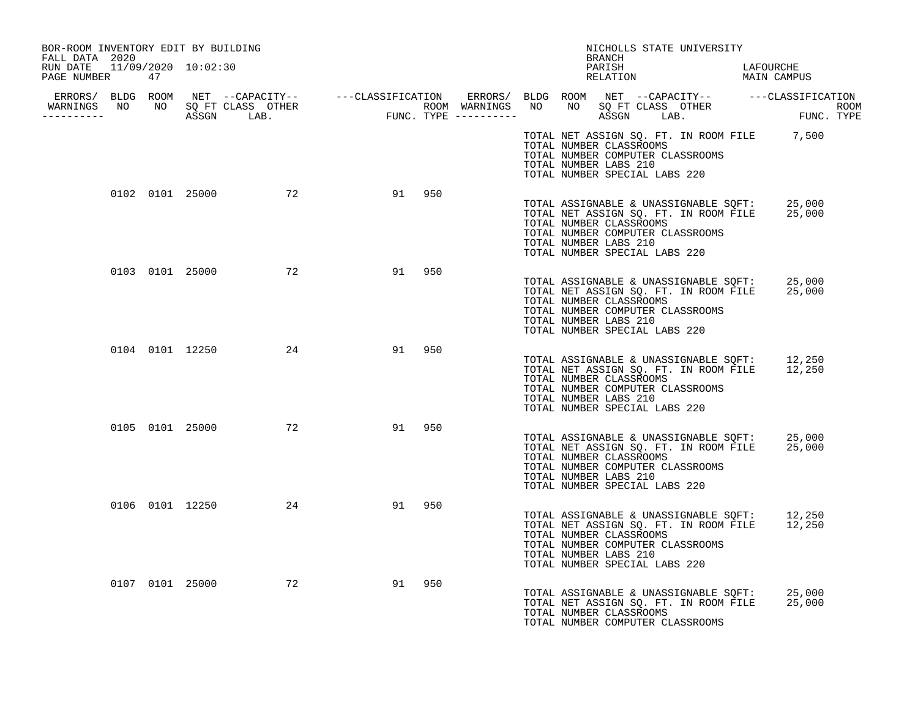| BOR-ROOM INVENTORY EDIT BY BUILDING<br>FALL DATA 2020 |  |                    |    |        |                       | NICHOLLS STATE UNIVERSITY<br>BRANCH                                                                                                                                                          |                                                                                              |
|-------------------------------------------------------|--|--------------------|----|--------|-----------------------|----------------------------------------------------------------------------------------------------------------------------------------------------------------------------------------------|----------------------------------------------------------------------------------------------|
| RUN DATE 11/09/2020 10:02:30<br>PAGE NUMBER 47        |  |                    |    |        |                       | PARISH<br>PARISH<br>RELATION                                                                                                                                                                 | LAFOURCHE<br>MAIN CAMPUS                                                                     |
|                                                       |  |                    |    |        |                       |                                                                                                                                                                                              |                                                                                              |
| -----------                                           |  |                    |    |        |                       |                                                                                                                                                                                              |                                                                                              |
|                                                       |  |                    |    |        | TOTAL NUMBER LABS 210 | TOTAL NUMBER CLASSROOMS<br>TOTAL NUMBER COMPUTER CLASSROOMS<br>TOTAL NUMBER SPECIAL LABS 220                                                                                                 | TOTAL NET ASSIGN SQ. FT. IN ROOM FILE 7,500                                                  |
|                                                       |  | 0102 0101 25000 72 |    | 91 950 | TOTAL NUMBER LABS 210 | TOTAL ASSIGNABLE & UNASSIGNABLE SQFT: 25,000<br>TOTAL NET ASSIGN SQ. FT. IN ROOM FILE 25,000<br>TOTAL NUMBER CLASSROOMS<br>TOTAL NUMBER COMPUTER CLASSROOMS<br>TOTAL NUMBER SPECIAL LABS 220 |                                                                                              |
|                                                       |  | 0103 0101 25000 72 | 91 | 950    | TOTAL NUMBER LABS 210 | TOTAL ASSIGNABLE & UNASSIGNABLE SQFT: 25,000<br>TOTAL NET ASSIGN SQ. FT. IN ROOM FILE 25,000<br>TOTAL NUMBER CLASSROOMS<br>TOTAL NUMBER COMPUTER CLASSROOMS<br>TOTAL NUMBER SPECIAL LABS 220 |                                                                                              |
|                                                       |  | 0104 0101 12250 24 | 91 | 950    | TOTAL NUMBER LABS 210 | TOTAL NUMBER CLASSROOMS<br>TOTAL NUMBER COMPUTER CLASSROOMS<br>TOTAL NUMBER SPECIAL LABS 220                                                                                                 | TOTAL ASSIGNABLE & UNASSIGNABLE SQFT: 12,250<br>TOTAL NET ASSIGN SQ. FT. IN ROOM FILE 12,250 |
|                                                       |  | 0105 0101 25000 72 |    | 91 950 | TOTAL NUMBER LABS 210 | TOTAL NUMBER CLASSROOMS<br>TOTAL NUMBER COMPUTER CLASSROOMS<br>TOTAL NUMBER SPECIAL LABS 220                                                                                                 | TOTAL ASSIGNABLE & UNASSIGNABLE SQFT: 25,000<br>TOTAL NET ASSIGN SQ. FT. IN ROOM FILE 25,000 |
|                                                       |  | 0106 0101 12250 24 |    | 91 950 | TOTAL NUMBER LABS 210 | TOTAL NUMBER CLASSROOMS<br>TOTAL NUMBER COMPUTER CLASSROOMS<br>TOTAL NUMBER SPECIAL LABS 220                                                                                                 | TOTAL ASSIGNABLE & UNASSIGNABLE SOFT: 12,250<br>TOTAL NET ASSIGN SQ. FT. IN ROOM FILE 12,250 |
|                                                       |  | 0107 0101 25000 72 | 91 | 950    |                       | TOTAL ASSIGNABLE & UNASSIGNABLE SQFT: 25,000<br>TOTAL NUMBER CLASSROOMS<br>TOTAL NUMBER COMPUTER CLASSROOMS                                                                                  | TOTAL NET ASSIGN SQ. FT. IN ROOM FILE 25,000                                                 |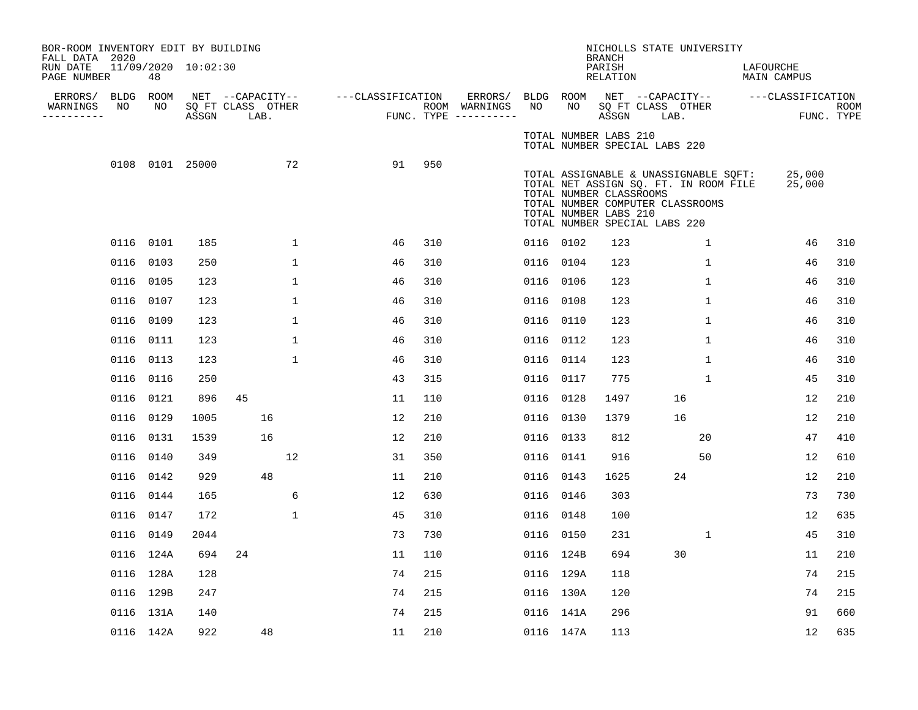| BOR-ROOM INVENTORY EDIT BY BUILDING<br>FALL DATA 2020 |      |           |                     |                                       |              |                   |     |                                    |           |                                                  | <b>BRANCH</b>      |                               | NICHOLLS STATE UNIVERSITY                                                                                          |                                    |            |
|-------------------------------------------------------|------|-----------|---------------------|---------------------------------------|--------------|-------------------|-----|------------------------------------|-----------|--------------------------------------------------|--------------------|-------------------------------|--------------------------------------------------------------------------------------------------------------------|------------------------------------|------------|
| RUN DATE<br>PAGE NUMBER                               |      | 48        | 11/09/2020 10:02:30 |                                       |              |                   |     |                                    |           |                                                  | PARISH<br>RELATION |                               |                                                                                                                    | LAFOURCHE<br>MAIN CAMPUS           |            |
| ERRORS/ BLDG ROOM<br>WARNINGS                         | NO   | NO        |                     | NET --CAPACITY--<br>SQ FT CLASS OTHER |              | ---CLASSIFICATION |     | ERRORS/ BLDG ROOM<br>ROOM WARNINGS | NO        | NO                                               |                    | SQ FT CLASS OTHER             |                                                                                                                    | NET --CAPACITY-- ---CLASSIFICATION | ROOM       |
| ----------                                            |      |           | ASSGN               | LAB.                                  |              |                   |     | FUNC. TYPE ----------              |           |                                                  | ASSGN              |                               | LAB.                                                                                                               |                                    | FUNC. TYPE |
|                                                       |      |           |                     |                                       |              |                   |     |                                    |           | TOTAL NUMBER LABS 210                            |                    | TOTAL NUMBER SPECIAL LABS 220 |                                                                                                                    |                                    |            |
|                                                       |      |           | 0108 0101 25000     |                                       | 72           | 91                | 950 |                                    |           | TOTAL NUMBER CLASSROOMS<br>TOTAL NUMBER LABS 210 |                    | TOTAL NUMBER SPECIAL LABS 220 | TOTAL ASSIGNABLE & UNASSIGNABLE SOFT:<br>TOTAL NET ASSIGN SQ. FT. IN ROOM FILE<br>TOTAL NUMBER COMPUTER CLASSROOMS | 25,000<br>25,000                   |            |
|                                                       |      | 0116 0101 | 185                 |                                       | $\mathbf{1}$ | 46                | 310 |                                    | 0116 0102 |                                                  | 123                |                               | $\mathbf{1}$                                                                                                       | 46                                 | 310        |
|                                                       |      | 0116 0103 | 250                 |                                       | $\mathbf{1}$ | 46                | 310 |                                    | 0116 0104 |                                                  | 123                |                               | $\mathbf{1}$                                                                                                       | 46                                 | 310        |
|                                                       |      | 0116 0105 | 123                 |                                       | $\mathbf{1}$ | 46                | 310 |                                    | 0116 0106 |                                                  | 123                |                               | $\mathbf{1}$                                                                                                       | 46                                 | 310        |
|                                                       |      | 0116 0107 | 123                 |                                       | $\mathbf 1$  | 46                | 310 |                                    | 0116 0108 |                                                  | 123                |                               | $\mathbf{1}$                                                                                                       | 46                                 | 310        |
|                                                       |      | 0116 0109 | 123                 |                                       | $\mathbf{1}$ | 46                | 310 |                                    | 0116 0110 |                                                  | 123                |                               | $\mathbf{1}$                                                                                                       | 46                                 | 310        |
|                                                       |      | 0116 0111 | 123                 |                                       | $\mathbf{1}$ | 46                | 310 |                                    | 0116 0112 |                                                  | 123                |                               | $\mathbf{1}$                                                                                                       | 46                                 | 310        |
|                                                       | 0116 | 0113      | 123                 |                                       | $\mathbf{1}$ | 46                | 310 |                                    | 0116 0114 |                                                  | 123                |                               | $\mathbf{1}$                                                                                                       | 46                                 | 310        |
|                                                       |      | 0116 0116 | 250                 |                                       |              | 43                | 315 |                                    | 0116 0117 |                                                  | 775                |                               | $\mathbf{1}$                                                                                                       | 45                                 | 310        |
|                                                       |      | 0116 0121 | 896                 | 45                                    |              | 11                | 110 |                                    | 0116 0128 |                                                  | 1497               |                               | 16                                                                                                                 | 12                                 | 210        |
|                                                       |      | 0116 0129 | 1005                | 16                                    |              | 12                | 210 |                                    | 0116      | 0130                                             | 1379               |                               | 16                                                                                                                 | 12                                 | 210        |
|                                                       |      | 0116 0131 | 1539                | 16                                    |              | 12                | 210 |                                    | 0116 0133 |                                                  | 812                |                               | 20                                                                                                                 | 47                                 | 410        |
|                                                       |      | 0116 0140 | 349                 |                                       | 12           | 31                | 350 |                                    | 0116 0141 |                                                  | 916                |                               | 50                                                                                                                 | 12                                 | 610        |
|                                                       |      | 0116 0142 | 929                 | 48                                    |              | 11                | 210 |                                    | 0116 0143 |                                                  | 1625               |                               | 24                                                                                                                 | 12                                 | 210        |
|                                                       |      | 0116 0144 | 165                 |                                       | 6            | 12                | 630 |                                    | 0116 0146 |                                                  | 303                |                               |                                                                                                                    | 73                                 | 730        |
|                                                       |      | 0116 0147 | 172                 |                                       | $\mathbf{1}$ | 45                | 310 |                                    | 0116 0148 |                                                  | 100                |                               |                                                                                                                    | 12                                 | 635        |
|                                                       |      | 0116 0149 | 2044                |                                       |              | 73                | 730 |                                    | 0116 0150 |                                                  | 231                |                               | 1                                                                                                                  | 45                                 | 310        |
|                                                       |      | 0116 124A | 694                 | 24                                    |              | 11                | 110 |                                    | 0116 124B |                                                  | 694                |                               | 30                                                                                                                 | 11                                 | 210        |
|                                                       |      | 0116 128A | 128                 |                                       |              | 74                | 215 |                                    |           | 0116 129A                                        | 118                |                               |                                                                                                                    | 74                                 | 215        |
|                                                       |      | 0116 129B | 247                 |                                       |              | 74                | 215 |                                    | 0116 130A |                                                  | 120                |                               |                                                                                                                    | 74                                 | 215        |
|                                                       |      | 0116 131A | 140                 |                                       |              | 74                | 215 |                                    |           | 0116 141A                                        | 296                |                               |                                                                                                                    | 91                                 | 660        |
|                                                       |      | 0116 142A | 922                 | 48                                    |              | 11                | 210 |                                    | 0116 147A |                                                  | 113                |                               |                                                                                                                    | 12                                 | 635        |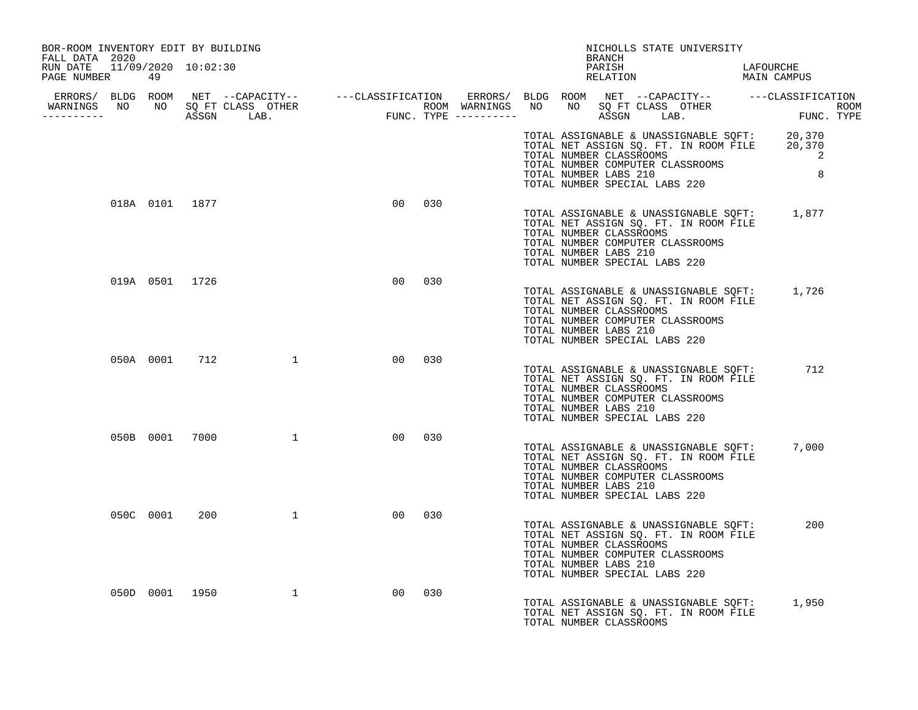| BOR-ROOM INVENTORY EDIT BY BUILDING<br>FALL DATA 2020 | NICHOLLS STATE UNIVERSITY<br>BRANCH |                                  |                 |     |  |                                                                                   |  |        |  |                                                                                                                    |  |                                                                                                                                |  |
|-------------------------------------------------------|-------------------------------------|----------------------------------|-----------------|-----|--|-----------------------------------------------------------------------------------|--|--------|--|--------------------------------------------------------------------------------------------------------------------|--|--------------------------------------------------------------------------------------------------------------------------------|--|
| RUN DATE 11/09/2020 10:02:30<br>PAGE NUMBER           | 49                                  |                                  |                 |     |  |                                                                                   |  | PARISH |  | PARISH DARIOURCHE RELATION MAIN CAMPUS                                                                             |  | LAFOURCHE                                                                                                                      |  |
| __________                                            |                                     | WARNINGS NO NO SQ FT CLASS OTHER |                 |     |  |                                                                                   |  |        |  |                                                                                                                    |  |                                                                                                                                |  |
|                                                       |                                     |                                  |                 |     |  | TOTAL NUMBER LABS 210<br>TOTAL NUMBER SPECIAL LABS 220                            |  |        |  | TOTAL NUMBER COMPUTER CLASSROOMS                                                                                   |  | TOTAL ASSIGNABLE & UNASSIGNABLE SQFT: 20,370<br>TOTAL NET ASSIGN SQ. FT. IN ROOM FILE 20,370<br>TOTAL NUMBER CLASSROOMS 2<br>8 |  |
|                                                       | 018A 0101 1877                      |                                  | 00              | 030 |  | TOTAL NUMBER CLASSROOMS<br>TOTAL NUMBER LABS 210<br>TOTAL NUMBER SPECIAL LABS 220 |  |        |  | TOTAL NET ASSIGN SQ. FT. IN ROOM FILE<br>TOTAL NUMBER COMPUTER CLASSROOMS                                          |  | TOTAL ASSIGNABLE & UNASSIGNABLE SQFT: 1,877                                                                                    |  |
|                                                       | 019A 0501 1726                      |                                  | 00 <sup>o</sup> | 030 |  | TOTAL NUMBER CLASSROOMS<br>TOTAL NUMBER LABS 210<br>TOTAL NUMBER SPECIAL LABS 220 |  |        |  | TOTAL NET ASSIGN SQ. FT. IN ROOM FILE<br>TOTAL NUMBER COMPUTER CLASSROOMS                                          |  | TOTAL ASSIGNABLE & UNASSIGNABLE SQFT: 1,726                                                                                    |  |
|                                                       |                                     | 050A 0001 712 1                  | 00 <sub>o</sub> | 030 |  | TOTAL NUMBER CLASSROOMS<br>TOTAL NUMBER LABS 210<br>TOTAL NUMBER SPECIAL LABS 220 |  |        |  | TOTAL ASSIGNABLE & UNASSIGNABLE SOFT:<br>TOTAL NET ASSIGN SQ. FT. IN ROOM FILE<br>TOTAL NUMBER COMPUTER CLASSROOMS |  | 712                                                                                                                            |  |
|                                                       | 050B 0001                           | 7000 1                           | 00 <sub>o</sub> | 030 |  | TOTAL NUMBER CLASSROOMS<br>TOTAL NUMBER LABS 210<br>TOTAL NUMBER SPECIAL LABS 220 |  |        |  | TOTAL ASSIGNABLE & UNASSIGNABLE SQFT:<br>TOTAL NET ASSIGN SQ. FT. IN ROOM FILE<br>TOTAL NUMBER COMPUTER CLASSROOMS |  | 7,000                                                                                                                          |  |
|                                                       | 050C 0001                           | $200$ 1                          | 00 <sub>o</sub> | 030 |  | TOTAL NUMBER CLASSROOMS<br>TOTAL NUMBER LABS 210<br>TOTAL NUMBER SPECIAL LABS 220 |  |        |  | TOTAL ASSIGNABLE & UNASSIGNABLE SQFT:<br>TOTAL NET ASSIGN SO. FT. IN ROOM FILE<br>TOTAL NUMBER COMPUTER CLASSROOMS |  | 200                                                                                                                            |  |
|                                                       |                                     | 050D 0001 1950 1                 | 00 <sub>o</sub> | 030 |  | TOTAL NUMBER CLASSROOMS                                                           |  |        |  | TOTAL NET ASSIGN SQ. FT. IN ROOM FILE                                                                              |  | TOTAL ASSIGNABLE & UNASSIGNABLE SQFT: 1,950                                                                                    |  |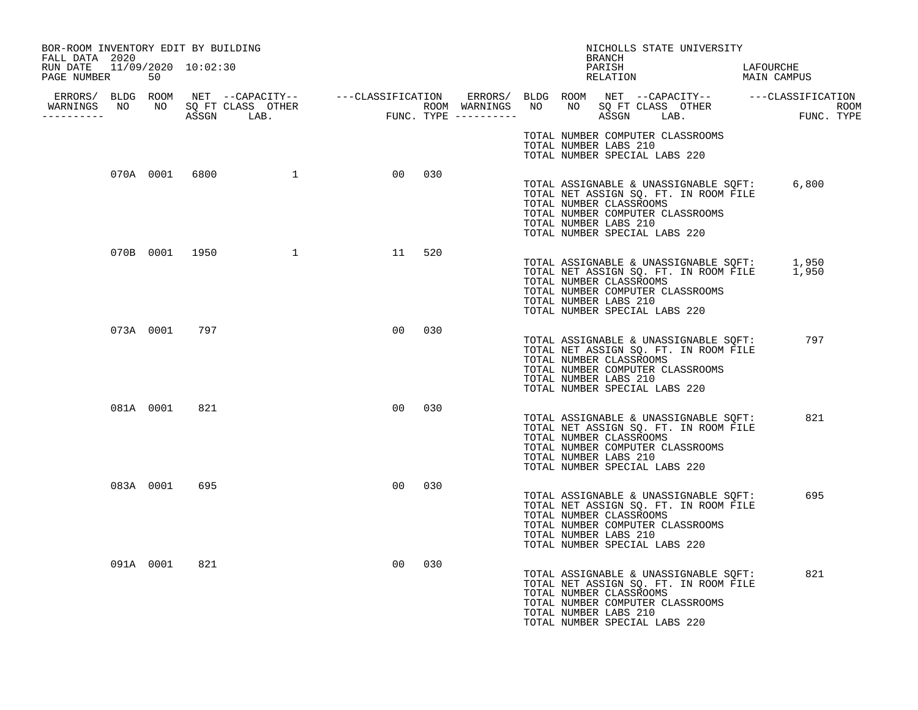| BOR-ROOM INVENTORY EDIT BY BUILDING<br>FALL DATA 2020 |           |               |                  |        |     |  | NICHOLLS STATE UNIVERSITY<br>BRANCH                                                                                                                                                                                 |                          |
|-------------------------------------------------------|-----------|---------------|------------------|--------|-----|--|---------------------------------------------------------------------------------------------------------------------------------------------------------------------------------------------------------------------|--------------------------|
| RUN DATE 11/09/2020 10:02:30<br>PAGE NUMBER           | 50        |               |                  |        |     |  | PARISH<br>RELATION                                                                                                                                                                                                  | LAFOURCHE<br>MAIN CAMPUS |
| WARNINGS NO<br>----------                             |           |               |                  |        |     |  |                                                                                                                                                                                                                     |                          |
|                                                       |           |               |                  |        |     |  | TOTAL NUMBER COMPUTER CLASSROOMS<br>TOTAL NUMBER LABS 210<br>TOTAL NUMBER SPECIAL LABS 220                                                                                                                          |                          |
|                                                       |           |               | 070A 0001 6800 1 | 00 030 |     |  | TOTAL ASSIGNABLE & UNASSIGNABLE SQFT:<br>TOTAL NET ASSIGN SQ. FT. IN ROOM FILE<br>TOTAL NUMBER CLASSROOMS<br>TOTAL NUMBER COMPUTER CLASSROOMS<br>TOTAL NUMBER LABS 210<br>TOTAL NUMBER SPECIAL LABS 220             | 6,800                    |
|                                                       |           |               | 070B 0001 1950 1 | 11     | 520 |  | TOTAL ASSIGNABLE & UNASSIGNABLE SQFT: 1,950<br>TOTAL NET ASSIGN SQ. FT. IN ROOM FILE 1,950<br>TOTAL NUMBER CLASSROOMS<br>TOTAL NUMBER COMPUTER CLASSROOMS<br>TOTAL NUMBER LABS 210<br>TOTAL NUMBER SPECIAL LABS 220 |                          |
|                                                       |           | 073A 0001 797 |                  | 00     | 030 |  | TOTAL ASSIGNABLE & UNASSIGNABLE SQFT:<br>TOTAL NET ASSIGN SQ. FT. IN ROOM FILE<br>TOTAL NUMBER CLASSROOMS<br>TOTAL NUMBER COMPUTER CLASSROOMS<br>TOTAL NUMBER LABS 210<br>TOTAL NUMBER SPECIAL LABS 220             | 797                      |
|                                                       | 081A 0001 | 821           |                  | 00     | 030 |  | TOTAL ASSIGNABLE & UNASSIGNABLE SQFT:<br>TOTAL NET ASSIGN SQ. FT. IN ROOM FILE<br>TOTAL NUMBER CLASSROOMS<br>TOTAL NUMBER COMPUTER CLASSROOMS<br>TOTAL NUMBER LABS 210<br>TOTAL NUMBER SPECIAL LABS 220             | 821                      |
|                                                       | 083A 0001 | 695           |                  | 00     | 030 |  | TOTAL ASSIGNABLE & UNASSIGNABLE SQFT:<br>TOTAL NET ASSIGN SQ. FT. IN ROOM FILE<br>TOTAL NUMBER CLASSROOMS<br>TOTAL NUMBER COMPUTER CLASSROOMS<br>TOTAL NUMBER LABS 210<br>TOTAL NUMBER SPECIAL LABS 220             | 695                      |
|                                                       | 091A 0001 | 821           |                  | 00     | 030 |  | TOTAL ASSIGNABLE & UNASSIGNABLE SQFT:<br>TOTAL NET ASSIGN SQ. FT. IN ROOM FILE<br>TOTAL NUMBER CLASSROOMS<br>TOTAL NUMBER COMPUTER CLASSROOMS<br>TOTAL NUMBER LABS 210<br>TOTAL NUMBER SPECIAL LABS 220             | 821                      |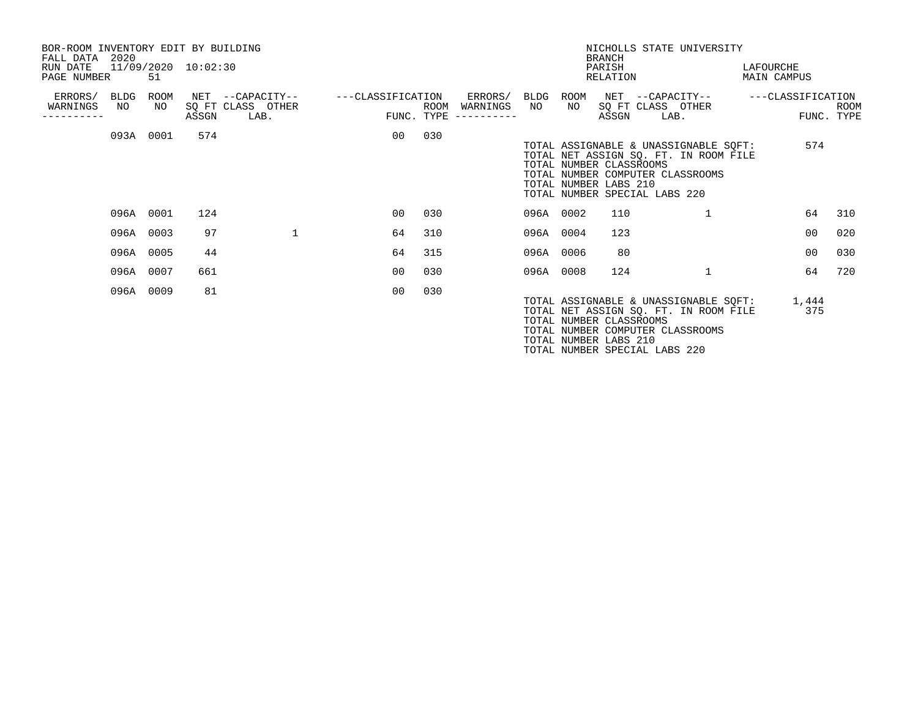| BOR-ROOM INVENTORY EDIT BY BUILDING<br>FALL DATA 2020 |            |            |                     |                                               |                                 |      |                                    |            |                                                  | <b>BRANCH</b>      | NICHOLLS STATE UNIVERSITY                                                                                                                           |                          |                           |
|-------------------------------------------------------|------------|------------|---------------------|-----------------------------------------------|---------------------------------|------|------------------------------------|------------|--------------------------------------------------|--------------------|-----------------------------------------------------------------------------------------------------------------------------------------------------|--------------------------|---------------------------|
| RUN DATE<br>PAGE NUMBER                               |            | 51         | 11/09/2020 10:02:30 |                                               |                                 |      |                                    |            |                                                  | PARISH<br>RELATION |                                                                                                                                                     | LAFOURCHE<br>MAIN CAMPUS |                           |
| ERRORS/<br>WARNINGS                                   | BLDG<br>NO | ROOM<br>NO | ASSGN               | NET --CAPACITY--<br>SQ FT CLASS OTHER<br>LAB. | ---CLASSIFICATION<br>FUNC. TYPE | ROOM | ERRORS/<br>WARNINGS<br>----------- | BLDG<br>NO | ROOM<br>NO                                       | ASSGN              | NET --CAPACITY--<br>SQ FT CLASS OTHER<br>LAB.                                                                                                       | ---CLASSIFICATION        | <b>ROOM</b><br>FUNC. TYPE |
|                                                       |            | 093A 0001  | 574                 |                                               | 00                              | 030  |                                    |            | TOTAL NUMBER CLASSROOMS<br>TOTAL NUMBER LABS 210 |                    | TOTAL ASSIGNABLE & UNASSIGNABLE SQFT:<br>TOTAL NET ASSIGN SQ. FT. IN ROOM FILE<br>TOTAL NUMBER COMPUTER CLASSROOMS<br>TOTAL NUMBER SPECIAL LABS 220 | 574                      |                           |
|                                                       |            | 096A 0001  | 124                 |                                               | 00                              | 030  |                                    | 096A 0002  |                                                  | 110                | 1                                                                                                                                                   | 64                       | 310                       |
|                                                       | 096A 0003  |            | 97                  | $\mathbf{1}$                                  | 64                              | 310  |                                    | 096A 0004  |                                                  | 123                |                                                                                                                                                     | 00                       | 020                       |
|                                                       | 096A 0005  |            | 44                  |                                               | 64                              | 315  |                                    | 096A 0006  |                                                  | 80                 |                                                                                                                                                     | 00                       | 030                       |
|                                                       | 096A 0007  |            | 661                 |                                               | 0 <sub>0</sub>                  | 030  |                                    | 096A 0008  |                                                  | 124                | $\overline{1}$                                                                                                                                      | 64                       | 720                       |
|                                                       | 096A 0009  |            | 81                  |                                               | 0 <sub>0</sub>                  | 030  |                                    |            | TOTAL NUMBER CLASSROOMS<br>TOTAL NUMBER LABS 210 |                    | TOTAL ASSIGNABLE & UNASSIGNABLE SOFT:<br>TOTAL NET ASSIGN SQ. FT. IN ROOM FILE<br>TOTAL NUMBER COMPUTER CLASSROOMS                                  | 1,444<br>375             |                           |

TOTAL NUMBER SPECIAL LABS 220